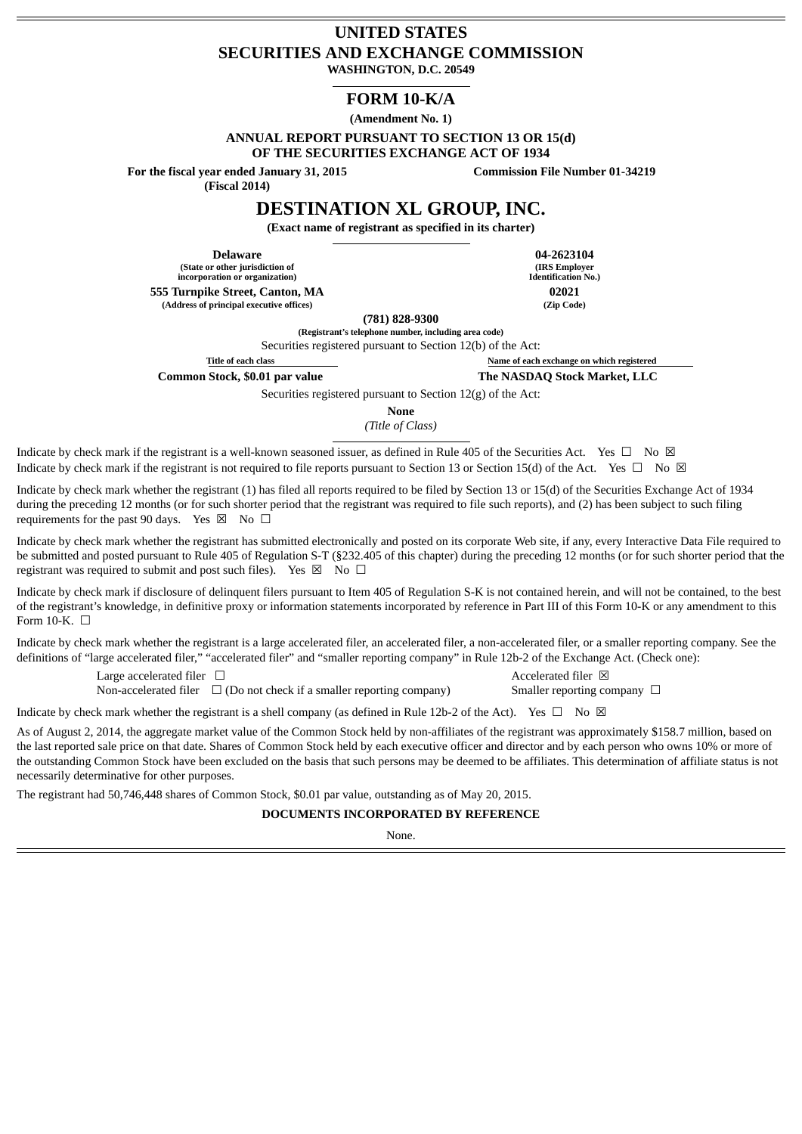# **UNITED STATES SECURITIES AND EXCHANGE COMMISSION**

**WASHINGTON, D.C. 20549**

## **FORM 10-K/A**

**(Amendment No. 1)**

**ANNUAL REPORT PURSUANT TO SECTION 13 OR 15(d)**

**OF THE SECURITIES EXCHANGE ACT OF 1934**

**For the fiscal year ended January 31, 2015**

**(Fiscal 2014)**

**Commission File Number 01-34219**

**DESTINATION XL GROUP, INC.**

**(Exact name of registrant as specified in its charter)**

**(State or other jurisdiction of incorporation or organization) 555 Turnpike Street, Canton, MA 02021**

**Delaware 04-2623104 (IRS Employer Identification No.) (Address of principal executive offices) (Zip Code)**

**(781) 828-9300**

**(Registrant's telephone number, including area code)**

Securities registered pursuant to Section 12(b) of the Act:

**Title of each class Name of each exchange on which registered**

**Common Stock, \$0.01 par value The NASDAQ Stock Market, LLC**

Securities registered pursuant to Section 12(g) of the Act:

**None**

*(Title of Class)*

Indicate by check mark if the registrant is a well-known seasoned issuer, as defined in Rule 405 of the Securities Act. Yes  $\Box$  No  $\boxtimes$ Indicate by check mark if the registrant is not required to file reports pursuant to Section 13 or Section 15(d) of the Act. Yes  $\Box$  No  $\boxtimes$ 

Indicate by check mark whether the registrant (1) has filed all reports required to be filed by Section 13 or 15(d) of the Securities Exchange Act of 1934 during the preceding 12 months (or for such shorter period that the registrant was required to file such reports), and (2) has been subject to such filing requirements for the past 90 days. Yes  $\boxtimes$  No  $\Box$ 

Indicate by check mark whether the registrant has submitted electronically and posted on its corporate Web site, if any, every Interactive Data File required to be submitted and posted pursuant to Rule 405 of Regulation S-T (§232.405 of this chapter) during the preceding 12 months (or for such shorter period that the registrant was required to submit and post such files). Yes  $\boxtimes$  No  $\Box$ 

Indicate by check mark if disclosure of delinquent filers pursuant to Item 405 of Regulation S-K is not contained herein, and will not be contained, to the best of the registrant's knowledge, in definitive proxy or information statements incorporated by reference in Part III of this Form 10-K or any amendment to this Form 10-K.  $\Box$ 

Indicate by check mark whether the registrant is a large accelerated filer, an accelerated filer, a non-accelerated filer, or a smaller reporting company. See the definitions of "large accelerated filer," "accelerated filer" and "smaller reporting company" in Rule 12b-2 of the Exchange Act. (Check one):

> Large accelerated filer  $\Box$ Non-accelerated filer  $\Box$  (Do not check if a smaller reporting company) Smaller reporting company  $\Box$

Indicate by check mark whether the registrant is a shell company (as defined in Rule 12b-2 of the Act). Yes  $\Box$  No  $\boxtimes$ 

As of August 2, 2014, the aggregate market value of the Common Stock held by non-affiliates of the registrant was approximately \$158.7 million, based on the last reported sale price on that date. Shares of Common Stock held by each executive officer and director and by each person who owns 10% or more of the outstanding Common Stock have been excluded on the basis that such persons may be deemed to be affiliates. This determination of affiliate status is not necessarily determinative for other purposes.

The registrant had 50,746,448 shares of Common Stock, \$0.01 par value, outstanding as of May 20, 2015.

## **DOCUMENTS INCORPORATED BY REFERENCE**

None.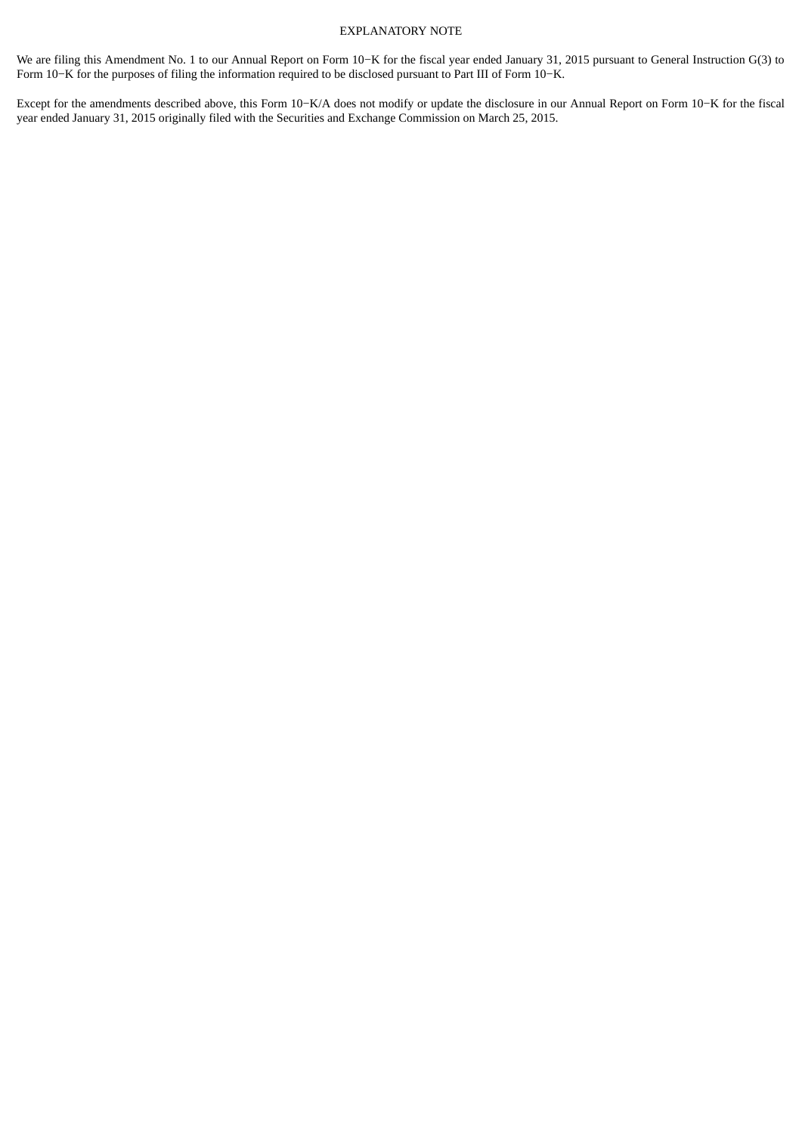## EXPLANATORY NOTE

We are filing this Amendment No. 1 to our Annual Report on Form 10−K for the fiscal year ended January 31, 2015 pursuant to General Instruction G(3) to Form 10−K for the purposes of filing the information required to be disclosed pursuant to Part III of Form 10−K.

Except for the amendments described above, this Form 10−K/A does not modify or update the disclosure in our Annual Report on Form 10−K for the fiscal year ended January 31, 2015 originally filed with the Securities and Exchange Commission on March 25, 2015.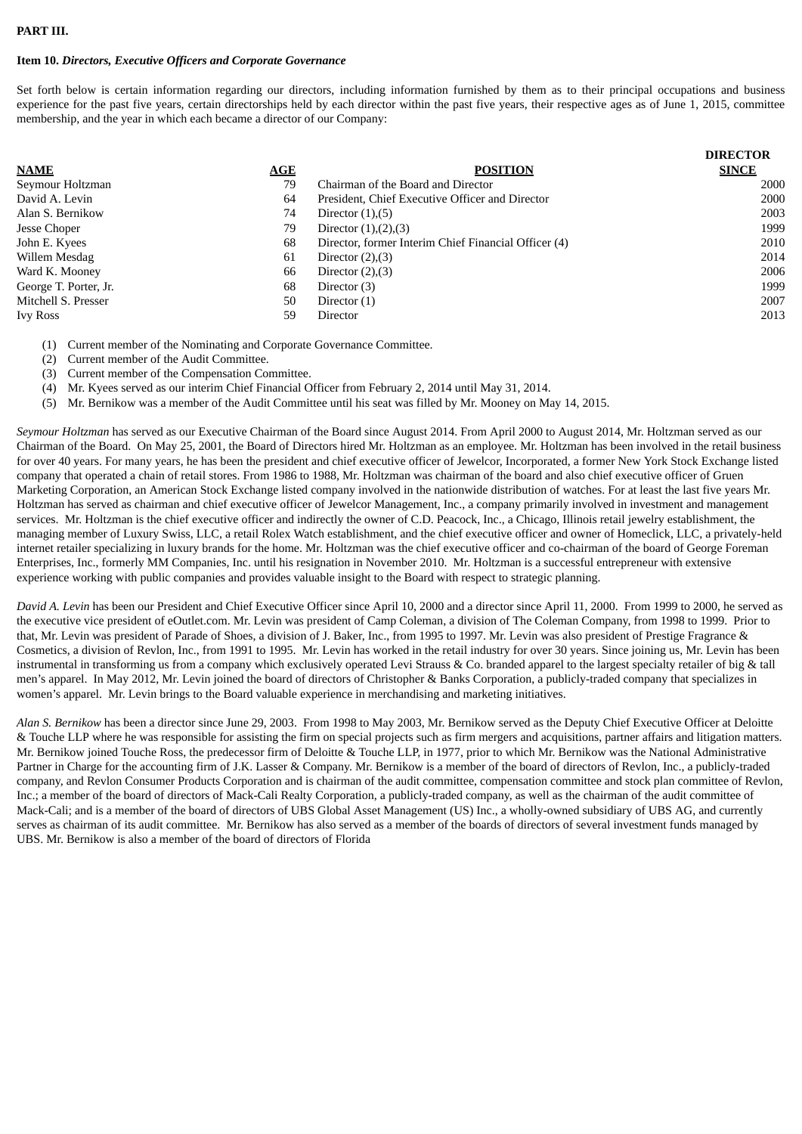## **PART III.**

## **Item 10.** *Directors, Executive Officers and Corporate Governance*

Set forth below is certain information regarding our directors, including information furnished by them as to their principal occupations and business experience for the past five years, certain directorships held by each director within the past five years, their respective ages as of June 1, 2015, committee membership, and the year in which each became a director of our Company:

|                       |     |                                                      | <b>DIRECTOR</b> |
|-----------------------|-----|------------------------------------------------------|-----------------|
| <b>NAME</b>           | AGE | <b>POSITION</b>                                      | <b>SINCE</b>    |
| Seymour Holtzman      | 79  | Chairman of the Board and Director                   | 2000            |
| David A. Levin        | 64  | President, Chief Executive Officer and Director      | 2000            |
| Alan S. Bernikow      | 74  | Director $(1),(5)$                                   | 2003            |
| Jesse Choper          | 79  | Director $(1),(2),(3)$                               | 1999            |
| John E. Kyees         | 68  | Director, former Interim Chief Financial Officer (4) | 2010            |
| Willem Mesdag         | 61  | Director $(2), (3)$                                  | 2014            |
| Ward K. Mooney        | 66  | Director $(2), (3)$                                  | 2006            |
| George T. Porter, Jr. | 68  | Director (3)                                         | 1999            |
| Mitchell S. Presser   | 50  | Director $(1)$                                       | 2007            |
| <b>Ivy Ross</b>       | 59  | Director                                             | 2013            |

(1) Current member of the Nominating and Corporate Governance Committee.

- (2) Current member of the Audit Committee.
- (3) Current member of the Compensation Committee.

(4) Mr. Kyees served as our interim Chief Financial Officer from February 2, 2014 until May 31, 2014.

(5) Mr. Bernikow was a member of the Audit Committee until his seat was filled by Mr. Mooney on May 14, 2015.

*Seymour Holtzman* has served as our Executive Chairman of the Board since August 2014. From April 2000 to August 2014, Mr. Holtzman served as our Chairman of the Board. On May 25, 2001, the Board of Directors hired Mr. Holtzman as an employee. Mr. Holtzman has been involved in the retail business for over 40 years. For many years, he has been the president and chief executive officer of Jewelcor, Incorporated, a former New York Stock Exchange listed company that operated a chain of retail stores. From 1986 to 1988, Mr. Holtzman was chairman of the board and also chief executive officer of Gruen Marketing Corporation, an American Stock Exchange listed company involved in the nationwide distribution of watches. For at least the last five years Mr. Holtzman has served as chairman and chief executive officer of Jewelcor Management, Inc., a company primarily involved in investment and management services. Mr. Holtzman is the chief executive officer and indirectly the owner of C.D. Peacock, Inc., a Chicago, Illinois retail jewelry establishment, the managing member of Luxury Swiss, LLC, a retail Rolex Watch establishment, and the chief executive officer and owner of Homeclick, LLC, a privately-held internet retailer specializing in luxury brands for the home. Mr. Holtzman was the chief executive officer and co-chairman of the board of George Foreman Enterprises, Inc., formerly MM Companies, Inc. until his resignation in November 2010. Mr. Holtzman is a successful entrepreneur with extensive experience working with public companies and provides valuable insight to the Board with respect to strategic planning.

*David A. Levin* has been our President and Chief Executive Officer since April 10, 2000 and a director since April 11, 2000. From 1999 to 2000, he served as the executive vice president of eOutlet.com. Mr. Levin was president of Camp Coleman, a division of The Coleman Company, from 1998 to 1999. Prior to that, Mr. Levin was president of Parade of Shoes, a division of J. Baker, Inc., from 1995 to 1997. Mr. Levin was also president of Prestige Fragrance & Cosmetics, a division of Revlon, Inc., from 1991 to 1995. Mr. Levin has worked in the retail industry for over 30 years. Since joining us, Mr. Levin has been instrumental in transforming us from a company which exclusively operated Levi Strauss & Co. branded apparel to the largest specialty retailer of big & tall men's apparel. In May 2012, Mr. Levin joined the board of directors of Christopher & Banks Corporation, a publicly-traded company that specializes in women's apparel. Mr. Levin brings to the Board valuable experience in merchandising and marketing initiatives.

*Alan S. Bernikow* has been a director since June 29, 2003. From 1998 to May 2003, Mr. Bernikow served as the Deputy Chief Executive Officer at Deloitte & Touche LLP where he was responsible for assisting the firm on special projects such as firm mergers and acquisitions, partner affairs and litigation matters. Mr. Bernikow joined Touche Ross, the predecessor firm of Deloitte & Touche LLP, in 1977, prior to which Mr. Bernikow was the National Administrative Partner in Charge for the accounting firm of J.K. Lasser & Company. Mr. Bernikow is a member of the board of directors of Revlon, Inc., a publicly-traded company, and Revlon Consumer Products Corporation and is chairman of the audit committee, compensation committee and stock plan committee of Revlon, Inc.; a member of the board of directors of Mack-Cali Realty Corporation, a publicly-traded company, as well as the chairman of the audit committee of Mack-Cali; and is a member of the board of directors of UBS Global Asset Management (US) Inc., a wholly-owned subsidiary of UBS AG, and currently serves as chairman of its audit committee. Mr. Bernikow has also served as a member of the boards of directors of several investment funds managed by UBS. Mr. Bernikow is also a member of the board of directors of Florida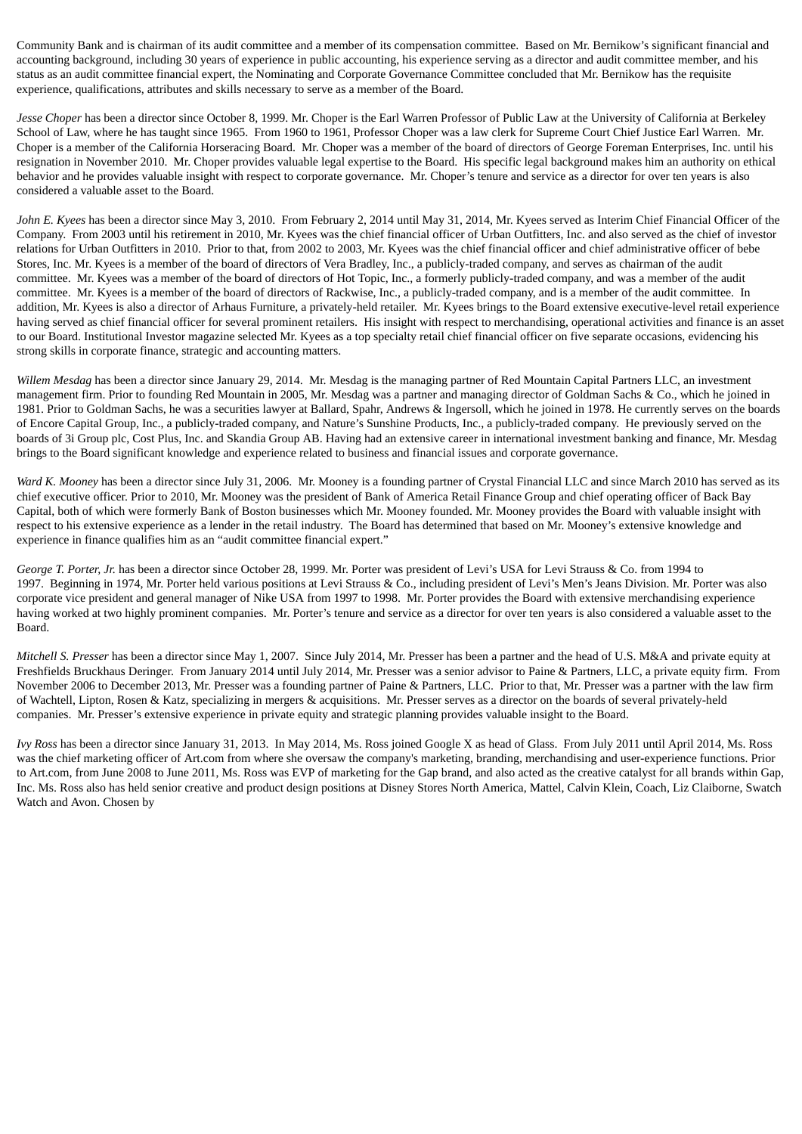Community Bank and is chairman of its audit committee and a member of its compensation committee. Based on Mr. Bernikow's significant financial and accounting background, including 30 years of experience in public accounting, his experience serving as a director and audit committee member, and his status as an audit committee financial expert, the Nominating and Corporate Governance Committee concluded that Mr. Bernikow has the requisite experience, qualifications, attributes and skills necessary to serve as a member of the Board.

*Jesse Choper* has been a director since October 8, 1999. Mr. Choper is the Earl Warren Professor of Public Law at the University of California at Berkeley School of Law, where he has taught since 1965. From 1960 to 1961, Professor Choper was a law clerk for Supreme Court Chief Justice Earl Warren. Mr. Choper is a member of the California Horseracing Board. Mr. Choper was a member of the board of directors of George Foreman Enterprises, Inc. until his resignation in November 2010. Mr. Choper provides valuable legal expertise to the Board. His specific legal background makes him an authority on ethical behavior and he provides valuable insight with respect to corporate governance. Mr. Choper's tenure and service as a director for over ten years is also considered a valuable asset to the Board.

*John E. Kyees* has been a director since May 3, 2010. From February 2, 2014 until May 31, 2014, Mr. Kyees served as Interim Chief Financial Officer of the Company. From 2003 until his retirement in 2010, Mr. Kyees was the chief financial officer of Urban Outfitters, Inc. and also served as the chief of investor relations for Urban Outfitters in 2010. Prior to that, from 2002 to 2003, Mr. Kyees was the chief financial officer and chief administrative officer of bebe Stores, Inc. Mr. Kyees is a member of the board of directors of Vera Bradley, Inc., a publicly-traded company, and serves as chairman of the audit committee. Mr. Kyees was a member of the board of directors of Hot Topic, Inc., a formerly publicly-traded company, and was a member of the audit committee. Mr. Kyees is a member of the board of directors of Rackwise, Inc., a publicly-traded company, and is a member of the audit committee. In addition, Mr. Kyees is also a director of Arhaus Furniture, a privately-held retailer. Mr. Kyees brings to the Board extensive executive-level retail experience having served as chief financial officer for several prominent retailers. His insight with respect to merchandising, operational activities and finance is an asset to our Board. Institutional Investor magazine selected Mr. Kyees as a top specialty retail chief financial officer on five separate occasions, evidencing his strong skills in corporate finance, strategic and accounting matters.

*Willem Mesdag* has been a director since January 29, 2014. Mr. Mesdag is the managing partner of Red Mountain Capital Partners LLC, an investment management firm. Prior to founding Red Mountain in 2005, Mr. Mesdag was a partner and managing director of Goldman Sachs & Co., which he joined in 1981. Prior to Goldman Sachs, he was a securities lawyer at Ballard, Spahr, Andrews & Ingersoll, which he joined in 1978. He currently serves on the boards of Encore Capital Group, Inc., a publicly-traded company, and Nature's Sunshine Products, Inc., a publicly-traded company. He previously served on the boards of 3i Group plc, Cost Plus, Inc. and Skandia Group AB. Having had an extensive career in international investment banking and finance, Mr. Mesdag brings to the Board significant knowledge and experience related to business and financial issues and corporate governance.

*Ward K. Mooney* has been a director since July 31, 2006. Mr. Mooney is a founding partner of Crystal Financial LLC and since March 2010 has served as its chief executive officer. Prior to 2010, Mr. Mooney was the president of Bank of America Retail Finance Group and chief operating officer of Back Bay Capital, both of which were formerly Bank of Boston businesses which Mr. Mooney founded. Mr. Mooney provides the Board with valuable insight with respect to his extensive experience as a lender in the retail industry. The Board has determined that based on Mr. Mooney's extensive knowledge and experience in finance qualifies him as an "audit committee financial expert."

*George T. Porter, Jr.* has been a director since October 28, 1999. Mr. Porter was president of Levi's USA for Levi Strauss & Co. from 1994 to 1997. Beginning in 1974, Mr. Porter held various positions at Levi Strauss & Co., including president of Levi's Men's Jeans Division. Mr. Porter was also corporate vice president and general manager of Nike USA from 1997 to 1998. Mr. Porter provides the Board with extensive merchandising experience having worked at two highly prominent companies. Mr. Porter's tenure and service as a director for over ten years is also considered a valuable asset to the Board.

*Mitchell S. Presser* has been a director since May 1, 2007. Since July 2014, Mr. Presser has been a partner and the head of U.S. M&A and private equity at Freshfields Bruckhaus Deringer. From January 2014 until July 2014, Mr. Presser was a senior advisor to Paine & Partners, LLC, a private equity firm. From November 2006 to December 2013, Mr. Presser was a founding partner of Paine & Partners, LLC. Prior to that, Mr. Presser was a partner with the law firm of Wachtell, Lipton, Rosen & Katz, specializing in mergers & acquisitions. Mr. Presser serves as a director on the boards of several privately-held companies. Mr. Presser's extensive experience in private equity and strategic planning provides valuable insight to the Board.

*Ivy Ross* has been a director since January 31, 2013. In May 2014, Ms. Ross joined Google X as head of Glass. From July 2011 until April 2014, Ms. Ross was the chief marketing officer of Art.com from where she oversaw the company's marketing, branding, merchandising and user-experience functions. Prior to Art.com, from June 2008 to June 2011, Ms. Ross was EVP of marketing for the Gap brand, and also acted as the creative catalyst for all brands within Gap, Inc. Ms. Ross also has held senior creative and product design positions at Disney Stores North America, Mattel, Calvin Klein, Coach, Liz Claiborne, Swatch Watch and Avon. Chosen by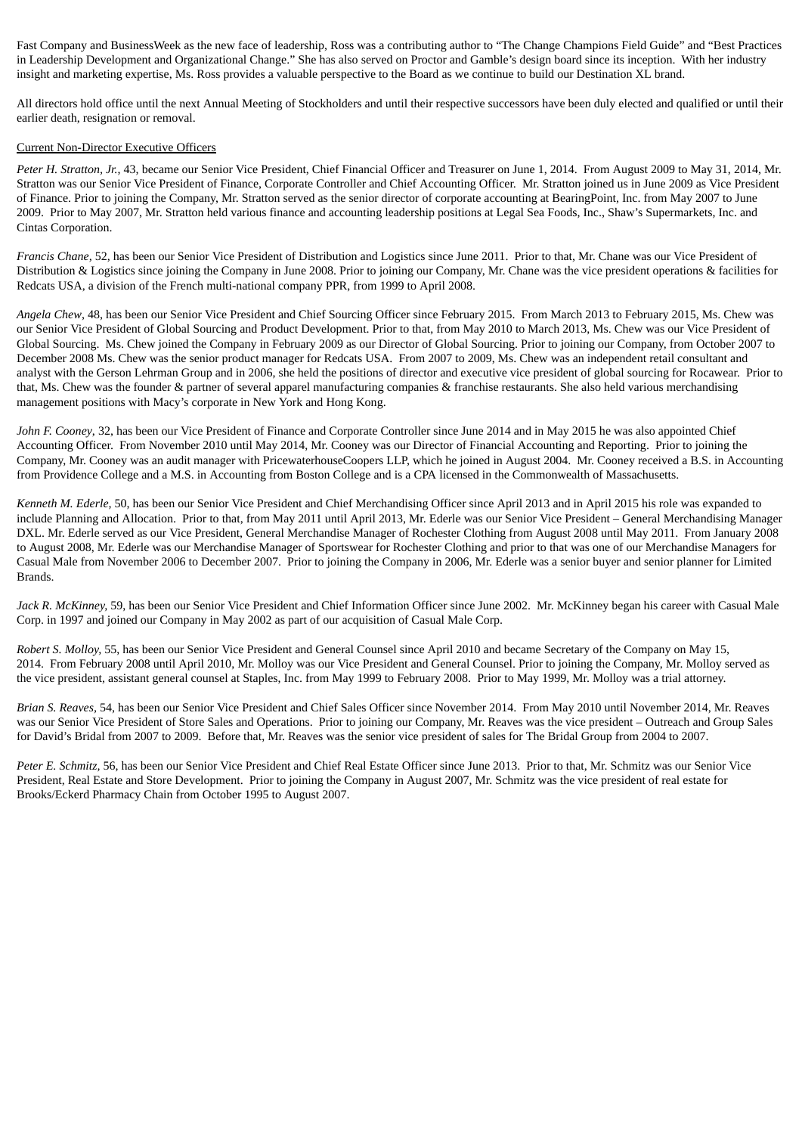Fast Company and BusinessWeek as the new face of leadership, Ross was a contributing author to "The Change Champions Field Guide" and "Best Practices in Leadership Development and Organizational Change." She has also served on Proctor and Gamble's design board since its inception. With her industry insight and marketing expertise, Ms. Ross provides a valuable perspective to the Board as we continue to build our Destination XL brand.

All directors hold office until the next Annual Meeting of Stockholders and until their respective successors have been duly elected and qualified or until their earlier death, resignation or removal.

#### Current Non-Director Executive Officers

*Peter H. Stratton, Jr.*, 43, became our Senior Vice President, Chief Financial Officer and Treasurer on June 1, 2014. From August 2009 to May 31, 2014, Mr. Stratton was our Senior Vice President of Finance, Corporate Controller and Chief Accounting Officer. Mr. Stratton joined us in June 2009 as Vice President of Finance. Prior to joining the Company, Mr. Stratton served as the senior director of corporate accounting at BearingPoint, Inc. from May 2007 to June 2009. Prior to May 2007, Mr. Stratton held various finance and accounting leadership positions at Legal Sea Foods, Inc., Shaw's Supermarkets, Inc. and Cintas Corporation.

*Francis Chane,* 52, has been our Senior Vice President of Distribution and Logistics since June 2011. Prior to that, Mr. Chane was our Vice President of Distribution & Logistics since joining the Company in June 2008. Prior to joining our Company, Mr. Chane was the vice president operations & facilities for Redcats USA, a division of the French multi-national company PPR, from 1999 to April 2008.

*Angela Chew*, 48, has been our Senior Vice President and Chief Sourcing Officer since February 2015. From March 2013 to February 2015, Ms. Chew was our Senior Vice President of Global Sourcing and Product Development. Prior to that, from May 2010 to March 2013, Ms. Chew was our Vice President of Global Sourcing. Ms. Chew joined the Company in February 2009 as our Director of Global Sourcing. Prior to joining our Company, from October 2007 to December 2008 Ms. Chew was the senior product manager for Redcats USA. From 2007 to 2009, Ms. Chew was an independent retail consultant and analyst with the Gerson Lehrman Group and in 2006, she held the positions of director and executive vice president of global sourcing for Rocawear. Prior to that, Ms. Chew was the founder & partner of several apparel manufacturing companies & franchise restaurants. She also held various merchandising management positions with Macy's corporate in New York and Hong Kong.

*John F. Cooney*, 32, has been our Vice President of Finance and Corporate Controller since June 2014 and in May 2015 he was also appointed Chief Accounting Officer. From November 2010 until May 2014, Mr. Cooney was our Director of Financial Accounting and Reporting. Prior to joining the Company, Mr. Cooney was an audit manager with PricewaterhouseCoopers LLP, which he joined in August 2004. Mr. Cooney received a B.S. in Accounting from Providence College and a M.S. in Accounting from Boston College and is a CPA licensed in the Commonwealth of Massachusetts.

*Kenneth M. Ederle,* 50, has been our Senior Vice President and Chief Merchandising Officer since April 2013 and in April 2015 his role was expanded to include Planning and Allocation. Prior to that, from May 2011 until April 2013, Mr. Ederle was our Senior Vice President – General Merchandising Manager DXL. Mr. Ederle served as our Vice President, General Merchandise Manager of Rochester Clothing from August 2008 until May 2011. From January 2008 to August 2008, Mr. Ederle was our Merchandise Manager of Sportswear for Rochester Clothing and prior to that was one of our Merchandise Managers for Casual Male from November 2006 to December 2007. Prior to joining the Company in 2006, Mr. Ederle was a senior buyer and senior planner for Limited Brands.

*Jack R. McKinney,* 59, has been our Senior Vice President and Chief Information Officer since June 2002. Mr. McKinney began his career with Casual Male Corp. in 1997 and joined our Company in May 2002 as part of our acquisition of Casual Male Corp.

*Robert S. Molloy,* 55, has been our Senior Vice President and General Counsel since April 2010 and became Secretary of the Company on May 15, 2014. From February 2008 until April 2010, Mr. Molloy was our Vice President and General Counsel. Prior to joining the Company, Mr. Molloy served as the vice president, assistant general counsel at Staples, Inc. from May 1999 to February 2008. Prior to May 1999, Mr. Molloy was a trial attorney.

*Brian S. Reaves,* 54, has been our Senior Vice President and Chief Sales Officer since November 2014. From May 2010 until November 2014, Mr. Reaves was our Senior Vice President of Store Sales and Operations. Prior to joining our Company, Mr. Reaves was the vice president – Outreach and Group Sales for David's Bridal from 2007 to 2009. Before that, Mr. Reaves was the senior vice president of sales for The Bridal Group from 2004 to 2007.

*Peter E. Schmitz,* 56, has been our Senior Vice President and Chief Real Estate Officer since June 2013. Prior to that, Mr. Schmitz was our Senior Vice President, Real Estate and Store Development. Prior to joining the Company in August 2007, Mr. Schmitz was the vice president of real estate for Brooks/Eckerd Pharmacy Chain from October 1995 to August 2007.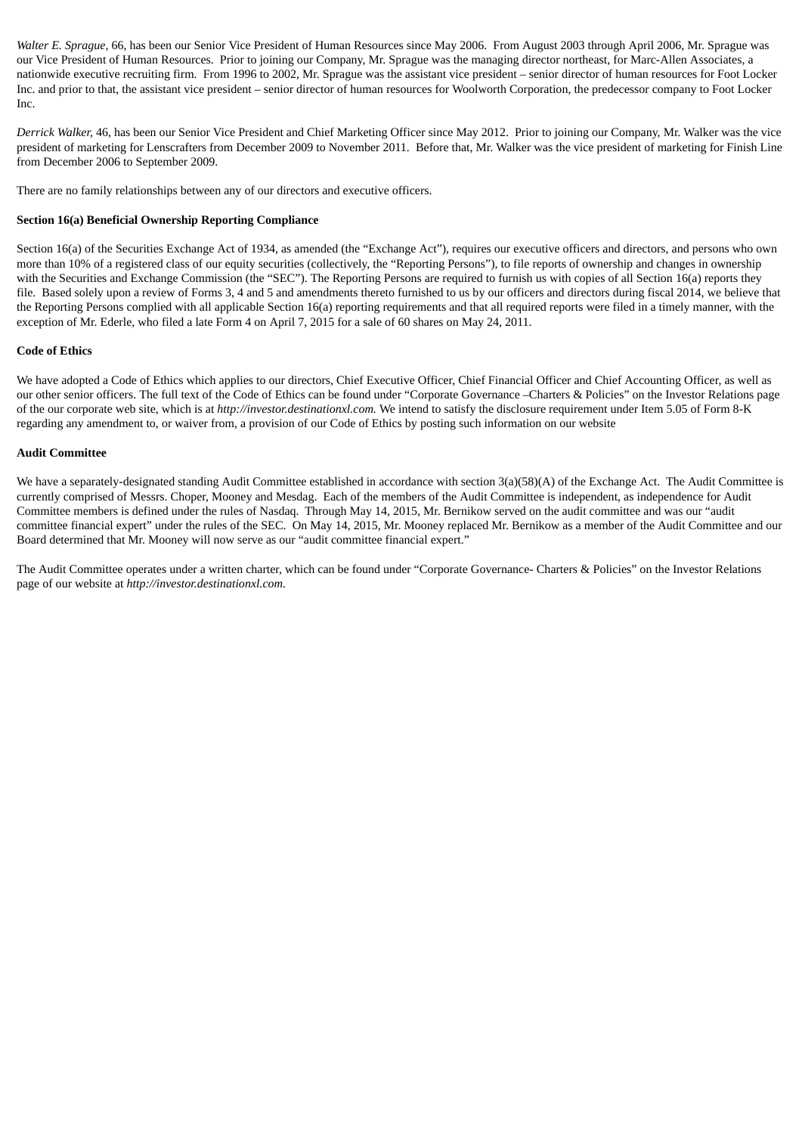*Walter E. Sprague,* 66, has been our Senior Vice President of Human Resources since May 2006. From August 2003 through April 2006, Mr. Sprague was our Vice President of Human Resources. Prior to joining our Company, Mr. Sprague was the managing director northeast, for Marc-Allen Associates, a nationwide executive recruiting firm. From 1996 to 2002, Mr. Sprague was the assistant vice president – senior director of human resources for Foot Locker Inc. and prior to that, the assistant vice president – senior director of human resources for Woolworth Corporation, the predecessor company to Foot Locker Inc.

*Derrick Walker,* 46, has been our Senior Vice President and Chief Marketing Officer since May 2012. Prior to joining our Company, Mr. Walker was the vice president of marketing for Lenscrafters from December 2009 to November 2011. Before that, Mr. Walker was the vice president of marketing for Finish Line from December 2006 to September 2009.

There are no family relationships between any of our directors and executive officers.

## **Section 16(a) Beneficial Ownership Reporting Compliance**

Section 16(a) of the Securities Exchange Act of 1934, as amended (the "Exchange Act"), requires our executive officers and directors, and persons who own more than 10% of a registered class of our equity securities (collectively, the "Reporting Persons"), to file reports of ownership and changes in ownership with the Securities and Exchange Commission (the "SEC"). The Reporting Persons are required to furnish us with copies of all Section 16(a) reports they file. Based solely upon a review of Forms 3, 4 and 5 and amendments thereto furnished to us by our officers and directors during fiscal 2014, we believe that the Reporting Persons complied with all applicable Section 16(a) reporting requirements and that all required reports were filed in a timely manner, with the exception of Mr. Ederle, who filed a late Form 4 on April 7, 2015 for a sale of 60 shares on May 24, 2011.

### **Code of Ethics**

We have adopted a Code of Ethics which applies to our directors, Chief Executive Officer, Chief Financial Officer and Chief Accounting Officer, as well as our other senior officers. The full text of the Code of Ethics can be found under "Corporate Governance –Charters & Policies" on the Investor Relations page of the our corporate web site, which is at *http://investor.destinationxl.com.* We intend to satisfy the disclosure requirement under Item 5.05 of Form 8-K regarding any amendment to, or waiver from, a provision of our Code of Ethics by posting such information on our website

#### **Audit Committee**

We have a separately-designated standing Audit Committee established in accordance with section 3(a)(58)(A) of the Exchange Act. The Audit Committee is currently comprised of Messrs. Choper, Mooney and Mesdag. Each of the members of the Audit Committee is independent, as independence for Audit Committee members is defined under the rules of Nasdaq. Through May 14, 2015, Mr. Bernikow served on the audit committee and was our "audit committee financial expert" under the rules of the SEC. On May 14, 2015, Mr. Mooney replaced Mr. Bernikow as a member of the Audit Committee and our Board determined that Mr. Mooney will now serve as our "audit committee financial expert."

The Audit Committee operates under a written charter, which can be found under "Corporate Governance- Charters & Policies" on the Investor Relations page of our website at *http://investor.destinationxl.com.*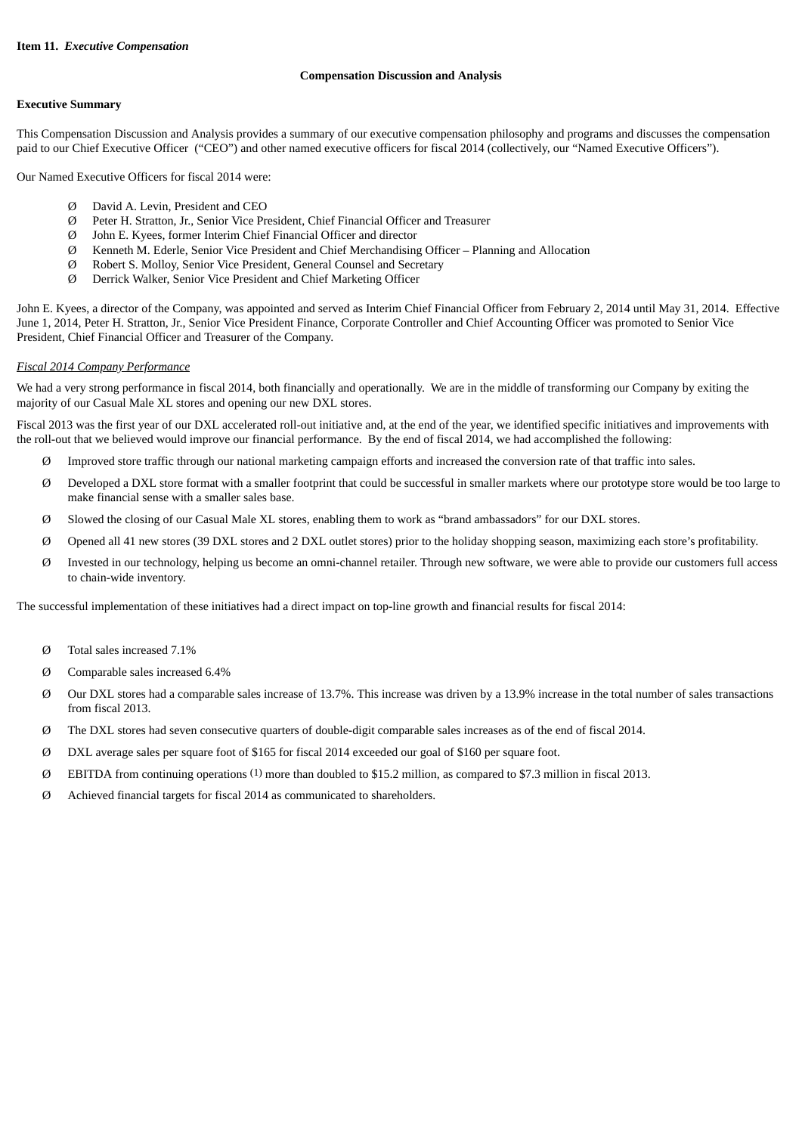#### **Compensation Discussion and Analysis**

#### **Executive Summary**

This Compensation Discussion and Analysis provides a summary of our executive compensation philosophy and programs and discusses the compensation paid to our Chief Executive Officer ("CEO") and other named executive officers for fiscal 2014 (collectively, our "Named Executive Officers").

Our Named Executive Officers for fiscal 2014 were:

- Ø David A. Levin, President and CEO
- Ø Peter H. Stratton, Jr., Senior Vice President, Chief Financial Officer and Treasurer
- Ø John E. Kyees, former Interim Chief Financial Officer and director
- Ø Kenneth M. Ederle, Senior Vice President and Chief Merchandising Officer Planning and Allocation
- Ø Robert S. Molloy, Senior Vice President, General Counsel and Secretary
- Ø Derrick Walker, Senior Vice President and Chief Marketing Officer

John E. Kyees, a director of the Company, was appointed and served as Interim Chief Financial Officer from February 2, 2014 until May 31, 2014. Effective June 1, 2014, Peter H. Stratton, Jr., Senior Vice President Finance, Corporate Controller and Chief Accounting Officer was promoted to Senior Vice President, Chief Financial Officer and Treasurer of the Company.

#### *Fiscal 2014 Company Performance*

We had a very strong performance in fiscal 2014, both financially and operationally. We are in the middle of transforming our Company by exiting the majority of our Casual Male XL stores and opening our new DXL stores.

Fiscal 2013 was the first year of our DXL accelerated roll-out initiative and, at the end of the year, we identified specific initiatives and improvements with the roll-out that we believed would improve our financial performance. By the end of fiscal 2014, we had accomplished the following:

- Ø Improved store traffic through our national marketing campaign efforts and increased the conversion rate of that traffic into sales.
- Ø Developed a DXL store format with a smaller footprint that could be successful in smaller markets where our prototype store would be too large to make financial sense with a smaller sales base.
- Ø Slowed the closing of our Casual Male XL stores, enabling them to work as "brand ambassadors" for our DXL stores.
- Ø Opened all 41 new stores (39 DXL stores and 2 DXL outlet stores) prior to the holiday shopping season, maximizing each store's profitability.
- Ø Invested in our technology, helping us become an omni-channel retailer. Through new software, we were able to provide our customers full access to chain-wide inventory.

The successful implementation of these initiatives had a direct impact on top-line growth and financial results for fiscal 2014:

- Ø Total sales increased 7.1%
- Ø Comparable sales increased 6.4%
- Ø Our DXL stores had a comparable sales increase of 13.7%. This increase was driven by a 13.9% increase in the total number of sales transactions from fiscal 2013.
- Ø The DXL stores had seven consecutive quarters of double-digit comparable sales increases as of the end of fiscal 2014.
- Ø DXL average sales per square foot of \$165 for fiscal 2014 exceeded our goal of \$160 per square foot.
- Ø EBITDA from continuing operations (1) more than doubled to \$15.2 million, as compared to \$7.3 million in fiscal 2013.
- Ø Achieved financial targets for fiscal 2014 as communicated to shareholders.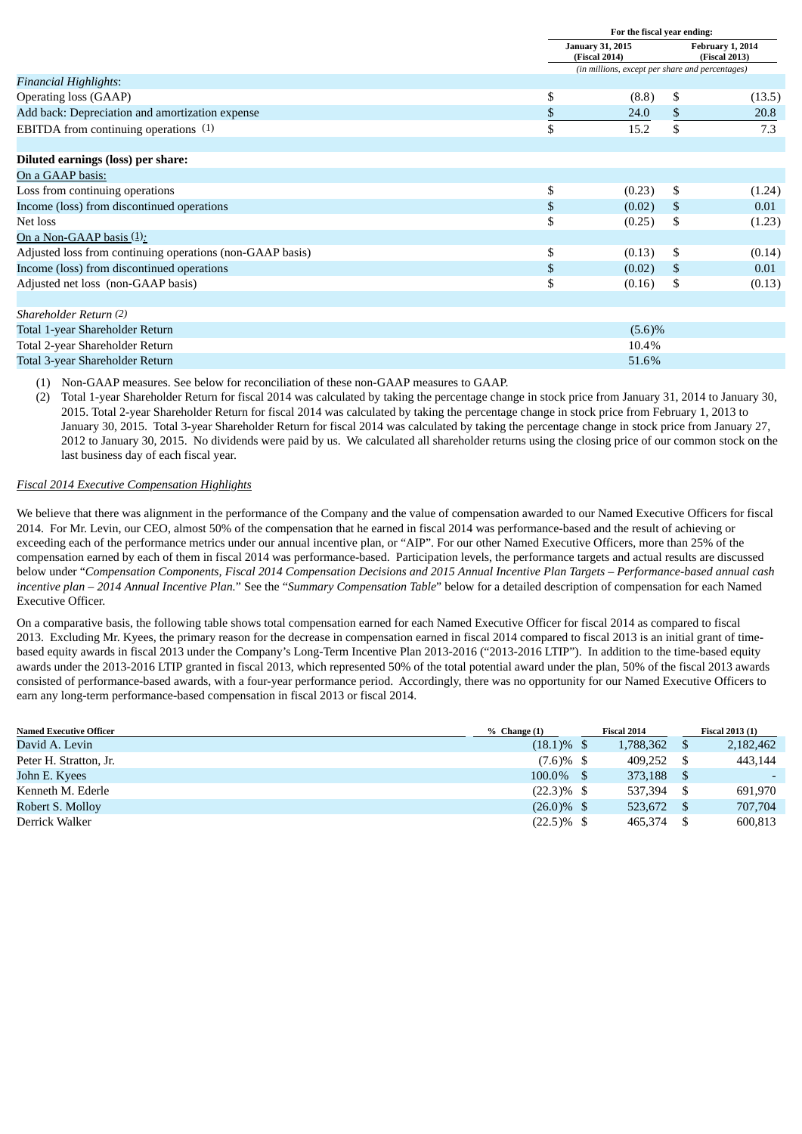|                                                           | For the fiscal year ending:                     |    |                                   |  |  |
|-----------------------------------------------------------|-------------------------------------------------|----|-----------------------------------|--|--|
|                                                           | <b>January 31, 2015</b><br>(Fiscal 2014)        |    | February 1, 2014<br>(Fiscal 2013) |  |  |
|                                                           | (in millions, except per share and percentages) |    |                                   |  |  |
| <b>Financial Highlights:</b>                              |                                                 |    |                                   |  |  |
| Operating loss (GAAP)                                     | \$<br>(8.8)                                     | \$ | (13.5)                            |  |  |
| Add back: Depreciation and amortization expense           | \$<br>24.0                                      | \$ | 20.8                              |  |  |
| EBITDA from continuing operations (1)                     | \$<br>15.2                                      | \$ | 7.3                               |  |  |
| Diluted earnings (loss) per share:                        |                                                 |    |                                   |  |  |
| On a GAAP basis:                                          |                                                 |    |                                   |  |  |
| Loss from continuing operations                           | \$<br>(0.23)                                    | \$ | (1.24)                            |  |  |
| Income (loss) from discontinued operations                | \$<br>(0.02)                                    | \$ | 0.01                              |  |  |
| Net loss                                                  | \$<br>(0.25)                                    | \$ | (1.23)                            |  |  |
| On a Non-GAAP basis (1):                                  |                                                 |    |                                   |  |  |
| Adjusted loss from continuing operations (non-GAAP basis) | \$<br>(0.13)                                    | \$ | (0.14)                            |  |  |
| Income (loss) from discontinued operations                | \$<br>(0.02)                                    | \$ | 0.01                              |  |  |
| Adjusted net loss (non-GAAP basis)                        | \$<br>(0.16)                                    | \$ | (0.13)                            |  |  |
| Shareholder Return (2)                                    |                                                 |    |                                   |  |  |
| Total 1-year Shareholder Return                           | $(5.6)\%$                                       |    |                                   |  |  |
| Total 2-year Shareholder Return                           | 10.4%                                           |    |                                   |  |  |
| Total 3-year Shareholder Return                           | 51.6%                                           |    |                                   |  |  |

(1) Non-GAAP measures. See below for reconciliation of these non-GAAP measures to GAAP.

(2) Total 1-year Shareholder Return for fiscal 2014 was calculated by taking the percentage change in stock price from January 31, 2014 to January 30, 2015. Total 2-year Shareholder Return for fiscal 2014 was calculated by taking the percentage change in stock price from February 1, 2013 to January 30, 2015. Total 3-year Shareholder Return for fiscal 2014 was calculated by taking the percentage change in stock price from January 27, 2012 to January 30, 2015. No dividends were paid by us. We calculated all shareholder returns using the closing price of our common stock on the last business day of each fiscal year.

## *Fiscal 2014 Executive Compensation Highlights*

We believe that there was alignment in the performance of the Company and the value of compensation awarded to our Named Executive Officers for fiscal 2014. For Mr. Levin, our CEO, almost 50% of the compensation that he earned in fiscal 2014 was performance-based and the result of achieving or exceeding each of the performance metrics under our annual incentive plan, or "AIP". For our other Named Executive Officers, more than 25% of the compensation earned by each of them in fiscal 2014 was performance-based. Participation levels, the performance targets and actual results are discussed below under "Compensation Components, Fiscal 2014 Compensation Decisions and 2015 Annual Incentive Plan Targets – Performance-based annual cash *incentive plan – 2014 Annual Incentive Plan.*" See the "*Summary Compensation Table*" below for a detailed description of compensation for each Named Executive Officer.

On a comparative basis, the following table shows total compensation earned for each Named Executive Officer for fiscal 2014 as compared to fiscal 2013. Excluding Mr. Kyees, the primary reason for the decrease in compensation earned in fiscal 2014 compared to fiscal 2013 is an initial grant of timebased equity awards in fiscal 2013 under the Company's Long-Term Incentive Plan 2013-2016 ("2013-2016 LTIP"). In addition to the time-based equity awards under the 2013-2016 LTIP granted in fiscal 2013, which represented 50% of the total potential award under the plan, 50% of the fiscal 2013 awards consisted of performance-based awards, with a four-year performance period. Accordingly, there was no opportunity for our Named Executive Officers to earn any long-term performance-based compensation in fiscal 2013 or fiscal 2014.

| <b>Named Executive Officer</b> | $%$ Change $(1)$ | <b>Fiscal 2014</b> | <b>Fiscal 2013 (1)</b> |  |  |
|--------------------------------|------------------|--------------------|------------------------|--|--|
| David A. Levin                 | $(18.1)\%$ \$    | 1,788,362          | 2,182,462              |  |  |
| Peter H. Stratton, Jr.         | $(7.6)\%$ \$     | 409.252            | 443,144                |  |  |
| John E. Kyees                  | $100.0\%$ \$     | 373,188            |                        |  |  |
| Kenneth M. Ederle              | $(22.3)\%$ \$    | 537,394            | 691,970                |  |  |
| Robert S. Molloy               | $(26.0)\%$ \$    | 523,672            | 707,704                |  |  |
| Derrick Walker                 | $(22.5)\%$ \$    | 465,374            | 600,813                |  |  |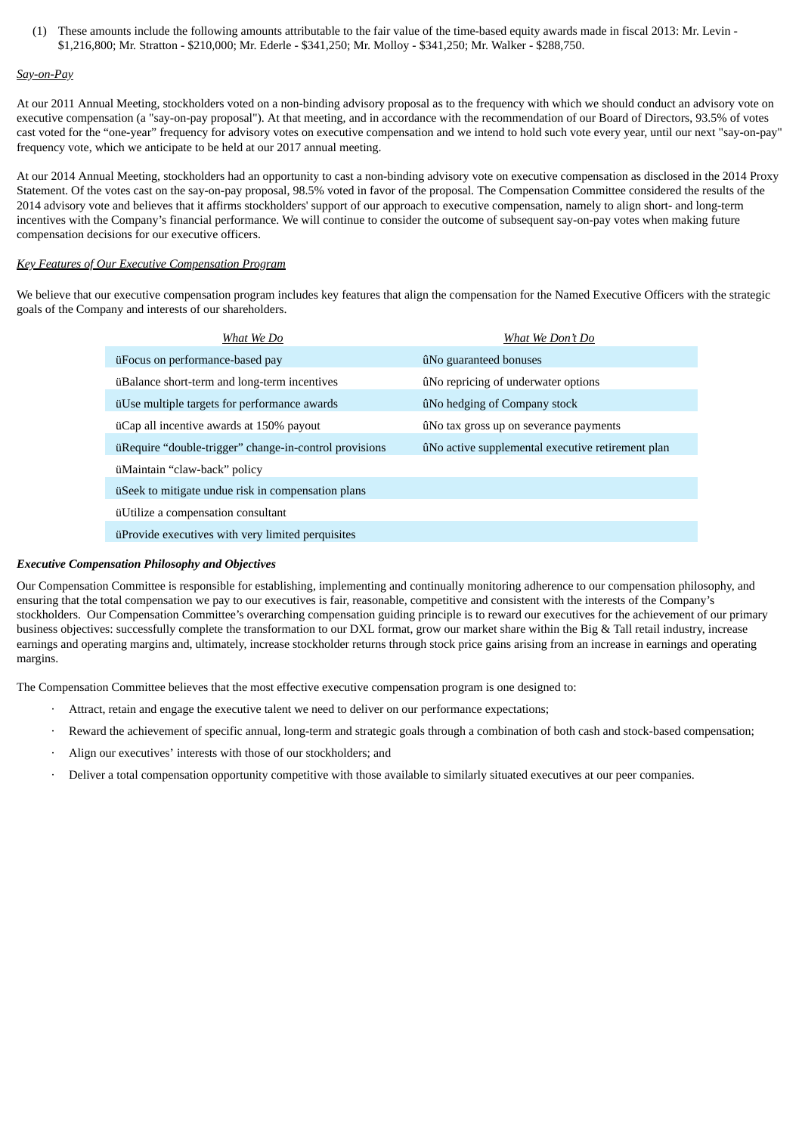(1) These amounts include the following amounts attributable to the fair value of the time-based equity awards made in fiscal 2013: Mr. Levin - \$1,216,800; Mr. Stratton - \$210,000; Mr. Ederle - \$341,250; Mr. Molloy - \$341,250; Mr. Walker - \$288,750.

#### *Say-on-Pay*

At our 2011 Annual Meeting, stockholders voted on a non-binding advisory proposal as to the frequency with which we should conduct an advisory vote on executive compensation (a "say-on-pay proposal"). At that meeting, and in accordance with the recommendation of our Board of Directors, 93.5% of votes cast voted for the "one-year" frequency for advisory votes on executive compensation and we intend to hold such vote every year, until our next "say-on-pay" frequency vote, which we anticipate to be held at our 2017 annual meeting.

At our 2014 Annual Meeting, stockholders had an opportunity to cast a non-binding advisory vote on executive compensation as disclosed in the 2014 Proxy Statement. Of the votes cast on the say-on-pay proposal, 98.5% voted in favor of the proposal. The Compensation Committee considered the results of the 2014 advisory vote and believes that it affirms stockholders' support of our approach to executive compensation, namely to align short- and long-term incentives with the Company's financial performance. We will continue to consider the outcome of subsequent say-on-pay votes when making future compensation decisions for our executive officers.

### *Key Features of Our Executive Compensation Program*

We believe that our executive compensation program includes key features that align the compensation for the Named Executive Officers with the strategic goals of the Company and interests of our shareholders.

| What We Do                                             | What We Don't Do                                  |
|--------------------------------------------------------|---------------------------------------------------|
| üFocus on performance-based pay                        | ûNo guaranteed bonuses                            |
| üBalance short-term and long-term incentives           | ûNo repricing of underwater options               |
| üUse multiple targets for performance awards           | ûNo hedging of Company stock                      |
| uCap all incentive awards at 150% payout               | ûNo tax gross up on severance payments            |
| üRequire "double-trigger" change-in-control provisions | ûNo active supplemental executive retirement plan |
| üMaintain "claw-back" policy                           |                                                   |
| üSeek to mitigate undue risk in compensation plans     |                                                   |
| üUtilize a compensation consultant                     |                                                   |
| uProvide executives with very limited perquisites      |                                                   |

### *Executive Compensation Philosophy and Objectives*

Our Compensation Committee is responsible for establishing, implementing and continually monitoring adherence to our compensation philosophy, and ensuring that the total compensation we pay to our executives is fair, reasonable, competitive and consistent with the interests of the Company's stockholders. Our Compensation Committee's overarching compensation guiding principle is to reward our executives for the achievement of our primary business objectives: successfully complete the transformation to our DXL format, grow our market share within the Big & Tall retail industry, increase earnings and operating margins and, ultimately, increase stockholder returns through stock price gains arising from an increase in earnings and operating margins.

The Compensation Committee believes that the most effective executive compensation program is one designed to:

- · Attract, retain and engage the executive talent we need to deliver on our performance expectations;
- Reward the achievement of specific annual, long-term and strategic goals through a combination of both cash and stock-based compensation;
- Align our executives' interests with those of our stockholders; and
- · Deliver a total compensation opportunity competitive with those available to similarly situated executives at our peer companies.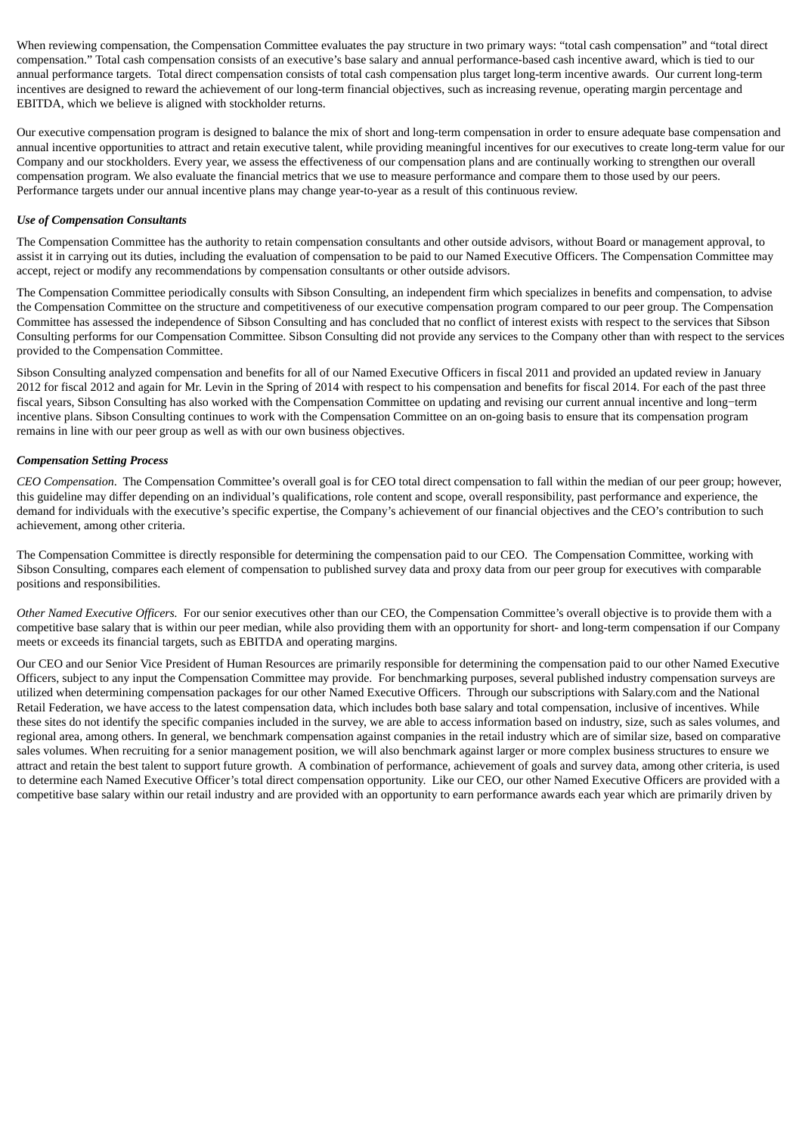When reviewing compensation, the Compensation Committee evaluates the pay structure in two primary ways: "total cash compensation" and "total direct compensation." Total cash compensation consists of an executive's base salary and annual performance-based cash incentive award, which is tied to our annual performance targets. Total direct compensation consists of total cash compensation plus target long-term incentive awards. Our current long-term incentives are designed to reward the achievement of our long-term financial objectives, such as increasing revenue, operating margin percentage and EBITDA, which we believe is aligned with stockholder returns.

Our executive compensation program is designed to balance the mix of short and long-term compensation in order to ensure adequate base compensation and annual incentive opportunities to attract and retain executive talent, while providing meaningful incentives for our executives to create long-term value for our Company and our stockholders. Every year, we assess the effectiveness of our compensation plans and are continually working to strengthen our overall compensation program. We also evaluate the financial metrics that we use to measure performance and compare them to those used by our peers. Performance targets under our annual incentive plans may change year-to-year as a result of this continuous review.

## *Use of Compensation Consultants*

The Compensation Committee has the authority to retain compensation consultants and other outside advisors, without Board or management approval, to assist it in carrying out its duties, including the evaluation of compensation to be paid to our Named Executive Officers. The Compensation Committee may accept, reject or modify any recommendations by compensation consultants or other outside advisors.

The Compensation Committee periodically consults with Sibson Consulting, an independent firm which specializes in benefits and compensation, to advise the Compensation Committee on the structure and competitiveness of our executive compensation program compared to our peer group. The Compensation Committee has assessed the independence of Sibson Consulting and has concluded that no conflict of interest exists with respect to the services that Sibson Consulting performs for our Compensation Committee. Sibson Consulting did not provide any services to the Company other than with respect to the services provided to the Compensation Committee.

Sibson Consulting analyzed compensation and benefits for all of our Named Executive Officers in fiscal 2011 and provided an updated review in January 2012 for fiscal 2012 and again for Mr. Levin in the Spring of 2014 with respect to his compensation and benefits for fiscal 2014. For each of the past three fiscal years, Sibson Consulting has also worked with the Compensation Committee on updating and revising our current annual incentive and long−term incentive plans. Sibson Consulting continues to work with the Compensation Committee on an on-going basis to ensure that its compensation program remains in line with our peer group as well as with our own business objectives.

### *Compensation Setting Process*

*CEO Compensation*. The Compensation Committee's overall goal is for CEO total direct compensation to fall within the median of our peer group; however, this guideline may differ depending on an individual's qualifications, role content and scope, overall responsibility, past performance and experience, the demand for individuals with the executive's specific expertise, the Company's achievement of our financial objectives and the CEO's contribution to such achievement, among other criteria.

The Compensation Committee is directly responsible for determining the compensation paid to our CEO. The Compensation Committee, working with Sibson Consulting, compares each element of compensation to published survey data and proxy data from our peer group for executives with comparable positions and responsibilities.

*Other Named Executive Officers.* For our senior executives other than our CEO, the Compensation Committee's overall objective is to provide them with a competitive base salary that is within our peer median, while also providing them with an opportunity for short- and long-term compensation if our Company meets or exceeds its financial targets, such as EBITDA and operating margins.

Our CEO and our Senior Vice President of Human Resources are primarily responsible for determining the compensation paid to our other Named Executive Officers, subject to any input the Compensation Committee may provide. For benchmarking purposes, several published industry compensation surveys are utilized when determining compensation packages for our other Named Executive Officers. Through our subscriptions with Salary.com and the National Retail Federation, we have access to the latest compensation data, which includes both base salary and total compensation, inclusive of incentives. While these sites do not identify the specific companies included in the survey, we are able to access information based on industry, size, such as sales volumes, and regional area, among others. In general, we benchmark compensation against companies in the retail industry which are of similar size, based on comparative sales volumes. When recruiting for a senior management position, we will also benchmark against larger or more complex business structures to ensure we attract and retain the best talent to support future growth. A combination of performance, achievement of goals and survey data, among other criteria, is used to determine each Named Executive Officer's total direct compensation opportunity. Like our CEO, our other Named Executive Officers are provided with a competitive base salary within our retail industry and are provided with an opportunity to earn performance awards each year which are primarily driven by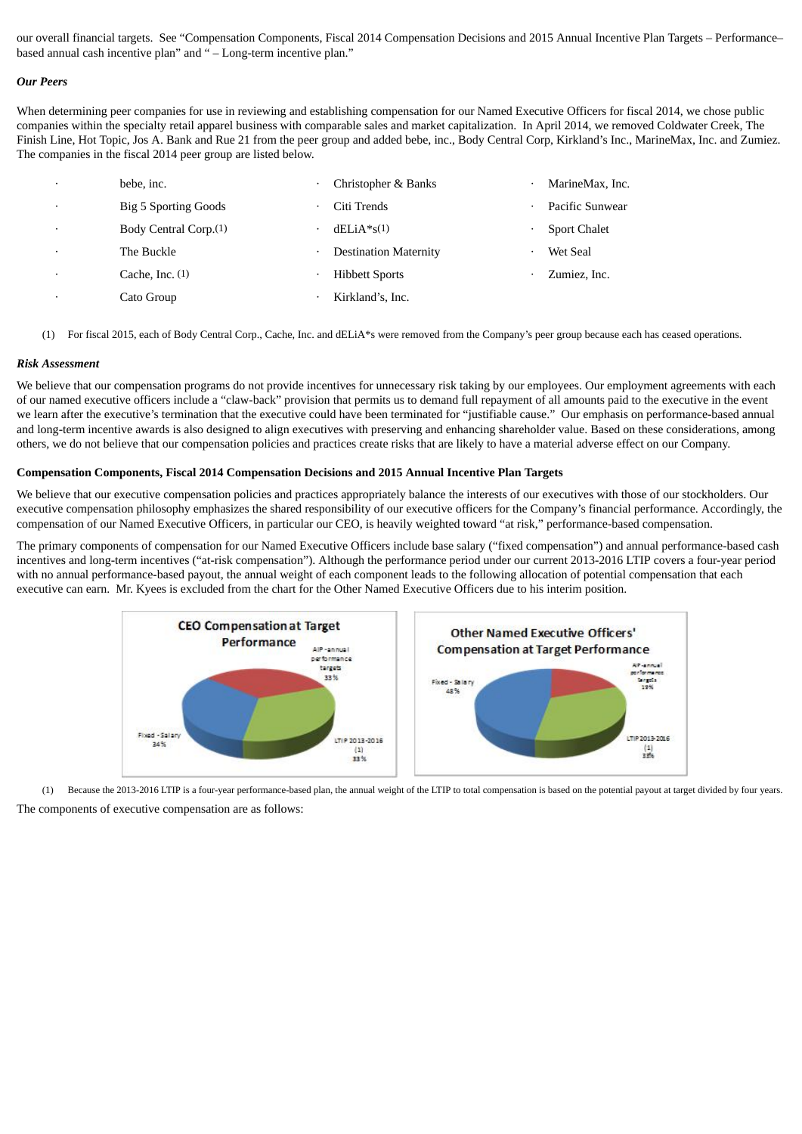our overall financial targets. See "Compensation Components, Fiscal 2014 Compensation Decisions and 2015 Annual Incentive Plan Targets – Performance– based annual cash incentive plan" and " – Long-term incentive plan."

#### *Our Peers*

When determining peer companies for use in reviewing and establishing compensation for our Named Executive Officers for fiscal 2014, we chose public companies within the specialty retail apparel business with comparable sales and market capitalization. In April 2014, we removed Coldwater Creek, The Finish Line, Hot Topic, Jos A. Bank and Rue 21 from the peer group and added bebe, inc., Body Central Corp, Kirkland's Inc., MarineMax, Inc. and Zumiez. The companies in the fiscal 2014 peer group are listed below.

| $\cdot$   | bebe, inc.                        | Christopher & Banks          | ٠ | MarineMax, Inc.     |
|-----------|-----------------------------------|------------------------------|---|---------------------|
| $\cdot$   | <b>Big 5 Sporting Goods</b>       | Citi Trends                  | ٠ | Pacific Sunwear     |
| $\cdot$   | Body Central Corp. <sup>(1)</sup> | $dELiA*s(1)$                 |   | <b>Sport Chalet</b> |
| $\bullet$ | The Buckle                        | <b>Destination Maternity</b> | ٠ | Wet Seal            |
|           | Cache, Inc. $(1)$                 | <b>Hibbett Sports</b>        |   | Zumiez, Inc.        |
| $\cdot$   | Cato Group                        | Kirkland's, Inc.             |   |                     |

(1) For fiscal 2015, each of Body Central Corp., Cache, Inc. and dELiA\*s were removed from the Company's peer group because each has ceased operations.

### *Risk Assessment*

We believe that our compensation programs do not provide incentives for unnecessary risk taking by our employees. Our employment agreements with each of our named executive officers include a "claw-back" provision that permits us to demand full repayment of all amounts paid to the executive in the event we learn after the executive's termination that the executive could have been terminated for "justifiable cause." Our emphasis on performance-based annual and long-term incentive awards is also designed to align executives with preserving and enhancing shareholder value. Based on these considerations, among others, we do not believe that our compensation policies and practices create risks that are likely to have a material adverse effect on our Company.

### **Compensation Components, Fiscal 2014 Compensation Decisions and 2015 Annual Incentive Plan Targets**

We believe that our executive compensation policies and practices appropriately balance the interests of our executives with those of our stockholders. Our executive compensation philosophy emphasizes the shared responsibility of our executive officers for the Company's financial performance. Accordingly, the compensation of our Named Executive Officers, in particular our CEO, is heavily weighted toward "at risk," performance-based compensation.

The primary components of compensation for our Named Executive Officers include base salary ("fixed compensation") and annual performance-based cash incentives and long-term incentives ("at-risk compensation"). Although the performance period under our current 2013-2016 LTIP covers a four-year period with no annual performance-based payout, the annual weight of each component leads to the following allocation of potential compensation that each executive can earn. Mr. Kyees is excluded from the chart for the Other Named Executive Officers due to his interim position.





The components of executive compensation are as follows: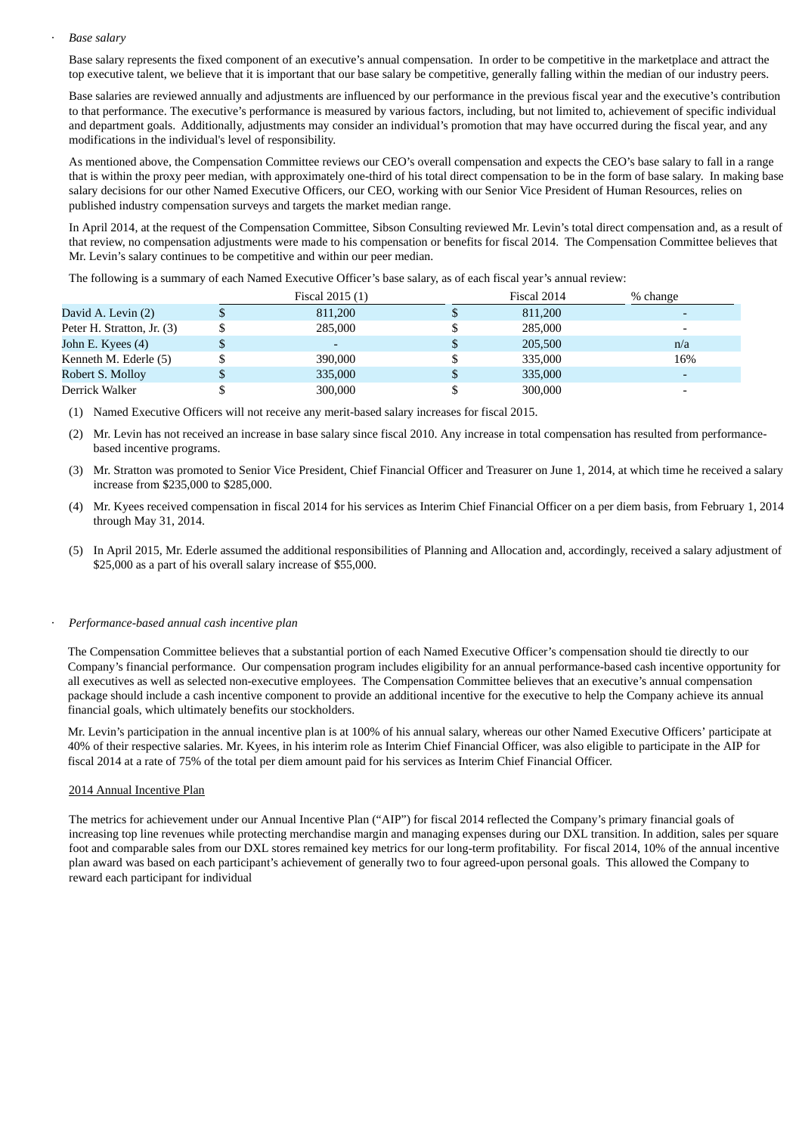#### · *Base salary*

Base salary represents the fixed component of an executive's annual compensation. In order to be competitive in the marketplace and attract the top executive talent, we believe that it is important that our base salary be competitive, generally falling within the median of our industry peers.

Base salaries are reviewed annually and adjustments are influenced by our performance in the previous fiscal year and the executive's contribution to that performance. The executive's performance is measured by various factors, including, but not limited to, achievement of specific individual and department goals. Additionally, adjustments may consider an individual's promotion that may have occurred during the fiscal year, and any modifications in the individual's level of responsibility.

As mentioned above, the Compensation Committee reviews our CEO's overall compensation and expects the CEO's base salary to fall in a range that is within the proxy peer median, with approximately one-third of his total direct compensation to be in the form of base salary. In making base salary decisions for our other Named Executive Officers, our CEO, working with our Senior Vice President of Human Resources, relies on published industry compensation surveys and targets the market median range.

In April 2014, at the request of the Compensation Committee, Sibson Consulting reviewed Mr. Levin's total direct compensation and, as a result of that review, no compensation adjustments were made to his compensation or benefits for fiscal 2014. The Compensation Committee believes that Mr. Levin's salary continues to be competitive and within our peer median.

The following is a summary of each Named Executive Officer's base salary, as of each fiscal year's annual review:

|                            | Fiscal 2015 (1)          | Fiscal 2014 | % change |
|----------------------------|--------------------------|-------------|----------|
| David A. Levin (2)         | 811,200                  | 811,200     |          |
| Peter H. Stratton, Jr. (3) | 285,000                  | 285,000     |          |
| John E. Kyees (4)          | $\overline{\phantom{0}}$ | 205,500     | n/a      |
| Kenneth M. Ederle (5)      | 390,000                  | 335,000     | 16%      |
| Robert S. Molloy           | 335,000                  | 335,000     |          |
| Derrick Walker             | 300,000                  | 300,000     |          |

(1) Named Executive Officers will not receive any merit-based salary increases for fiscal 2015.

- (2) Mr. Levin has not received an increase in base salary since fiscal 2010. Any increase in total compensation has resulted from performancebased incentive programs.
- (3) Mr. Stratton was promoted to Senior Vice President, Chief Financial Officer and Treasurer on June 1, 2014, at which time he received a salary increase from \$235,000 to \$285,000.
- (4) Mr. Kyees received compensation in fiscal 2014 for his services as Interim Chief Financial Officer on a per diem basis, from February 1, 2014 through May 31, 2014.
- (5) In April 2015, Mr. Ederle assumed the additional responsibilities of Planning and Allocation and, accordingly, received a salary adjustment of \$25,000 as a part of his overall salary increase of \$55,000.

#### · *Performance-based annual cash incentive plan*

The Compensation Committee believes that a substantial portion of each Named Executive Officer's compensation should tie directly to our Company's financial performance. Our compensation program includes eligibility for an annual performance-based cash incentive opportunity for all executives as well as selected non-executive employees. The Compensation Committee believes that an executive's annual compensation package should include a cash incentive component to provide an additional incentive for the executive to help the Company achieve its annual financial goals, which ultimately benefits our stockholders.

Mr. Levin's participation in the annual incentive plan is at 100% of his annual salary, whereas our other Named Executive Officers' participate at 40% of their respective salaries. Mr. Kyees, in his interim role as Interim Chief Financial Officer, was also eligible to participate in the AIP for fiscal 2014 at a rate of 75% of the total per diem amount paid for his services as Interim Chief Financial Officer.

#### 2014 Annual Incentive Plan

The metrics for achievement under our Annual Incentive Plan ("AIP") for fiscal 2014 reflected the Company's primary financial goals of increasing top line revenues while protecting merchandise margin and managing expenses during our DXL transition. In addition, sales per square foot and comparable sales from our DXL stores remained key metrics for our long-term profitability. For fiscal 2014, 10% of the annual incentive plan award was based on each participant's achievement of generally two to four agreed-upon personal goals. This allowed the Company to reward each participant for individual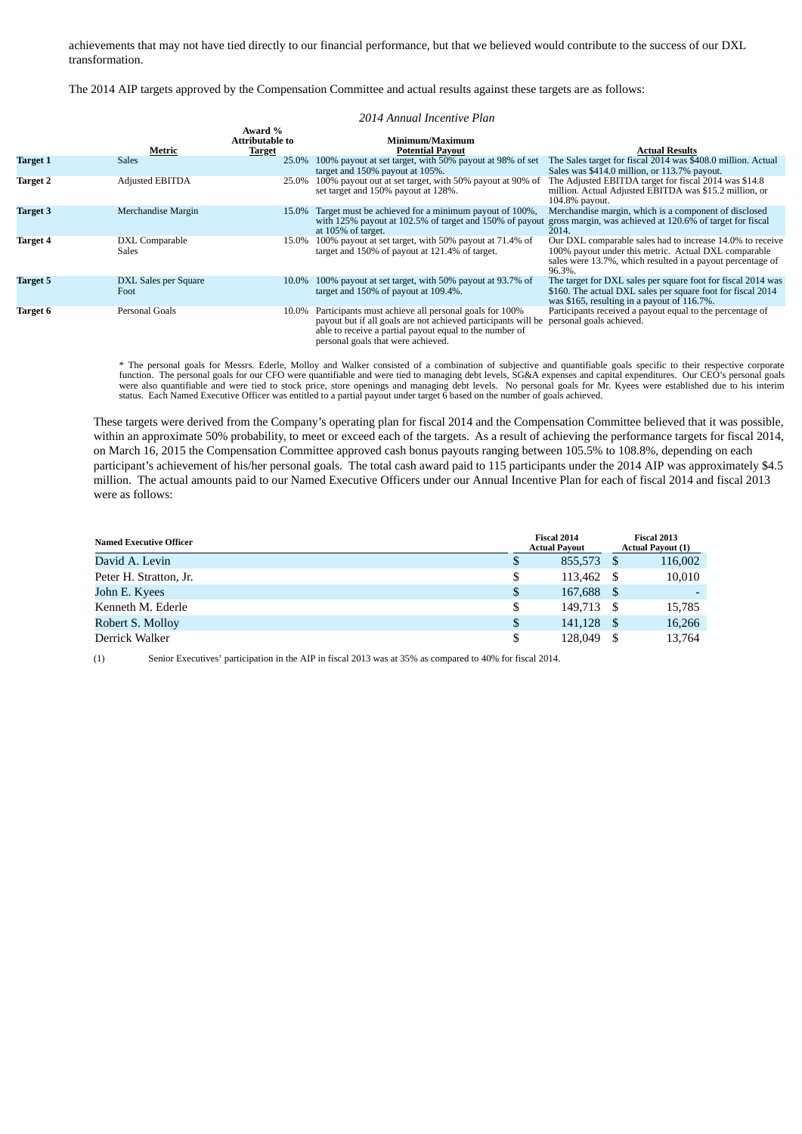achievements that may not have tied directly to our financial performance, but that we believed would contribute to the success of our DXL transformation.

The 2014 AIP targets approved by the Compensation Committee and actual results against these targets are as follows:

#### *2014 Annual Incentive Plan*

|                 | Metric                       | Award %<br><b>Attributable to</b> | Minimum/Maximum<br><b>Potential Payout</b>                                                                                                                                                                                    | Actual Results                                                                                                                                                                            |
|-----------------|------------------------------|-----------------------------------|-------------------------------------------------------------------------------------------------------------------------------------------------------------------------------------------------------------------------------|-------------------------------------------------------------------------------------------------------------------------------------------------------------------------------------------|
| <b>Target 1</b> | Sales                        | <b>Target</b><br>25.0%            | 100% payout at set target, with 50% payout at 98% of set<br>target and 150% payout at 105%.                                                                                                                                   | The Sales target for fiscal 2014 was \$408.0 million. Actual<br>Sales was \$414.0 million, or 113.7% payout.                                                                              |
| Target 2        | <b>Adjusted EBITDA</b>       |                                   | 25.0% 100% payout out at set target, with 50% payout at 90% of<br>set target and 150% payout at 128%.                                                                                                                         | The Adjusted EBITDA target for fiscal 2014 was \$14.8<br>million. Actual Adjusted EBITDA was \$15.2 million, or<br>104.8% payout.                                                         |
| <b>Target 3</b> | Merchandise Margin           |                                   | 15.0% Target must be achieved for a minimum payout of 100%,<br>with 125% payout at 102.5% of target and 150% of payout<br>at 105% of target.                                                                                  | Merchandise margin, which is a component of disclosed<br>gross margin, was achieved at 120.6% of target for fiscal<br>2014.                                                               |
| <b>Target 4</b> | DXL Comparable<br>Sales      | 15.0%                             | 100% payout at set target, with 50% payout at 71.4% of<br>target and 150% of payout at 121.4% of target.                                                                                                                      | Our DXL comparable sales had to increase 14.0% to receive<br>100% payout under this metric. Actual DXL comparable<br>sales were 13.7%, which resulted in a payout percentage of<br>96.3%. |
| <b>Target 5</b> | DXL Sales per Square<br>Foot | 10.0%                             | 100% payout at set target, with 50% payout at 93.7% of<br>target and 150% of payout at 109.4%.                                                                                                                                | The target for DXL sales per square foot for fiscal 2014 was<br>\$160. The actual DXL sales per square foot for fiscal 2014<br>was \$165, resulting in a payout of 116.7%.                |
| <b>Target 6</b> | Personal Goals               |                                   | 10.0% Participants must achieve all personal goals for 100%<br>payout but if all goals are not achieved participants will be<br>able to receive a partial payout equal to the number of<br>personal goals that were achieved. | Participants received a payout equal to the percentage of<br>personal goals achieved.                                                                                                     |

\* The personal goals for Messrs. Ederle, Molloy and Walker consisted of a combination of subjective and quantifiable goals specific to their respective corporate function. The personal goals for our CFO were quantifiable a

These targets were derived from the Company's operating plan for fiscal 2014 and the Compensation Committee believed that it was possible, within an approximate 50% probability, to meet or exceed each of the targets. As a result of achieving the performance targets for fiscal 2014, on March 16, 2015 the Compensation Committee approved cash bonus payouts ranging between 105.5% to 108.8%, depending on each participant's achievement of his/her personal goals. The total cash award paid to 115 participants under the 2014 AIP was approximately \$4.5 million. The actual amounts paid to our Named Executive Officers under our Annual Incentive Plan for each of fiscal 2014 and fiscal 2013 were as follows:

| <b>Named Executive Officer</b> |    | Fiscal 2014<br><b>Actual Payout</b> |      | Fiscal 2013<br><b>Actual Payout (1)</b> |
|--------------------------------|----|-------------------------------------|------|-----------------------------------------|
| David A. Levin                 | S  | 855,573                             | - \$ | 116,002                                 |
| Peter H. Stratton, Jr.         | \$ | 113.462                             |      | 10,010                                  |
| John E. Kyees                  | \$ | 167,688                             | - \$ |                                         |
| Kenneth M. Ederle              | \$ | 149.713                             | - \$ | 15,785                                  |
| Robert S. Molloy               | \$ | 141.128                             | - \$ | 16,266                                  |
| Derrick Walker                 | \$ | 128,049                             |      | 13,764                                  |

(1) Senior Executives' participation in the AIP in fiscal 2013 was at 35% as compared to 40% for fiscal 2014.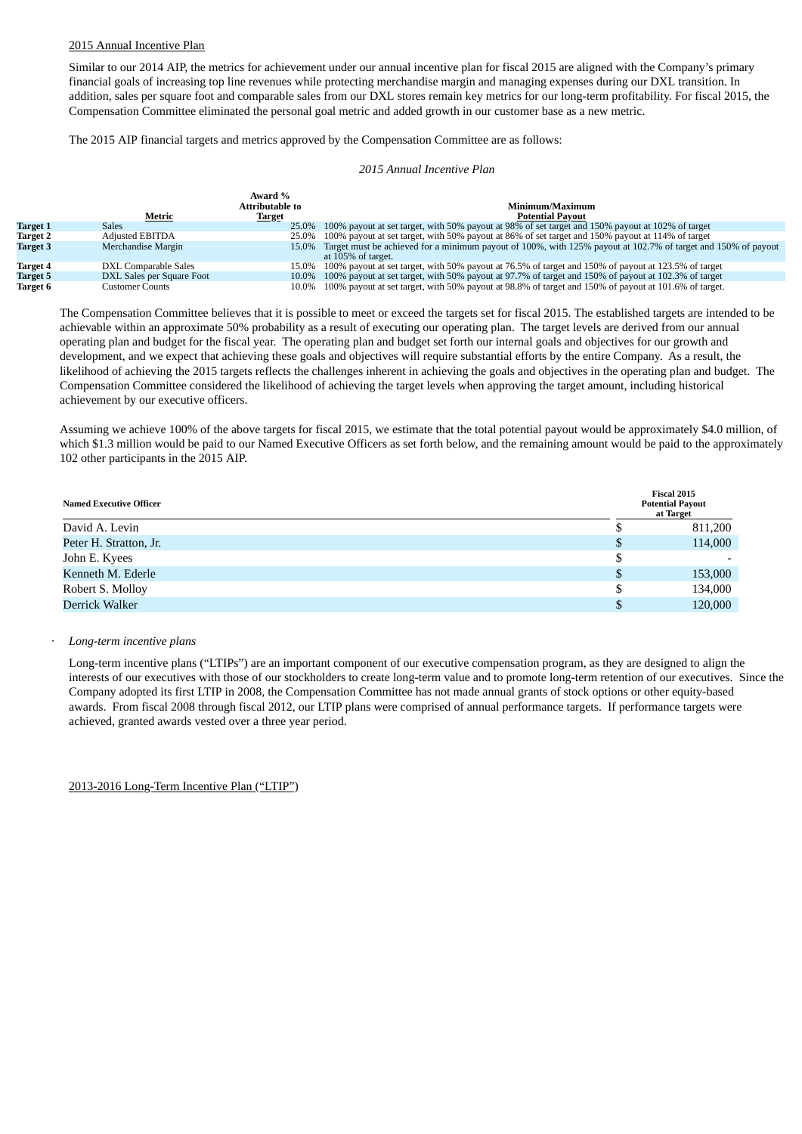#### 2015 Annual Incentive Plan

Similar to our 2014 AIP, the metrics for achievement under our annual incentive plan for fiscal 2015 are aligned with the Company's primary financial goals of increasing top line revenues while protecting merchandise margin and managing expenses during our DXL transition. In addition, sales per square foot and comparable sales from our DXL stores remain key metrics for our long-term profitability. For fiscal 2015, the Compensation Committee eliminated the personal goal metric and added growth in our customer base as a new metric.

The 2015 AIP financial targets and metrics approved by the Compensation Committee are as follows:

#### *2015 Annual Incentive Plan*

|                 | Metric                    | Award %<br>Attributable to<br><b>Target</b> | Minimum/Maximum<br><b>Potential Pavout</b>                                                                                                |
|-----------------|---------------------------|---------------------------------------------|-------------------------------------------------------------------------------------------------------------------------------------------|
| <b>Target 1</b> | <b>Sales</b>              |                                             | 25.0% 100% payout at set target, with 50% payout at 98% of set target and 150% payout at 102% of target                                   |
| Target 2        | <b>Adjusted EBITDA</b>    |                                             | 25.0% 100% payout at set target, with 50% payout at 86% of set target and 150% payout at 114% of target                                   |
| Target 3        | Merchandise Margin        |                                             | 15.0% Target must be achieved for a minimum payout of 100%, with 125% payout at 102.7% of target and 150% of payout<br>at 105% of target. |
| Target 4        | DXL Comparable Sales      |                                             | 15.0% 100% payout at set target, with 50% payout at 76.5% of target and 150% of payout at 123.5% of target                                |
| Target 5        | DXL Sales per Square Foot |                                             | 10.0% 100% payout at set target, with 50% payout at 97.7% of target and 150% of payout at 102.3% of target                                |
| Target 6        | Customer Counts           |                                             | 10.0% 100% payout at set target, with 50% payout at 98.8% of target and 150% of payout at 101.6% of target.                               |

The Compensation Committee believes that it is possible to meet or exceed the targets set for fiscal 2015. The established targets are intended to be achievable within an approximate 50% probability as a result of executing our operating plan. The target levels are derived from our annual operating plan and budget for the fiscal year. The operating plan and budget set forth our internal goals and objectives for our growth and development, and we expect that achieving these goals and objectives will require substantial efforts by the entire Company. As a result, the likelihood of achieving the 2015 targets reflects the challenges inherent in achieving the goals and objectives in the operating plan and budget. The Compensation Committee considered the likelihood of achieving the target levels when approving the target amount, including historical achievement by our executive officers.

Assuming we achieve 100% of the above targets for fiscal 2015, we estimate that the total potential payout would be approximately \$4.0 million, of which \$1.3 million would be paid to our Named Executive Officers as set forth below, and the remaining amount would be paid to the approximately 102 other participants in the 2015 AIP.

| <b>Named Executive Officer</b> |    | Fiscal 2015<br><b>Potential Payout</b><br>at Target |  |  |
|--------------------------------|----|-----------------------------------------------------|--|--|
| David A. Levin                 | ۰F | 811,200                                             |  |  |
| Peter H. Stratton, Jr.         | S  | 114,000                                             |  |  |
| John E. Kyees                  | \$ |                                                     |  |  |
| Kenneth M. Ederle              | S  | 153,000                                             |  |  |
| Robert S. Molloy               | \$ | 134,000                                             |  |  |
| Derrick Walker                 | S  | 120,000                                             |  |  |

#### · *Long-term incentive plans*

Long-term incentive plans ("LTIPs") are an important component of our executive compensation program, as they are designed to align the interests of our executives with those of our stockholders to create long-term value and to promote long-term retention of our executives. Since the Company adopted its first LTIP in 2008, the Compensation Committee has not made annual grants of stock options or other equity-based awards. From fiscal 2008 through fiscal 2012, our LTIP plans were comprised of annual performance targets. If performance targets were achieved, granted awards vested over a three year period.

2013-2016 Long-Term Incentive Plan ("LTIP")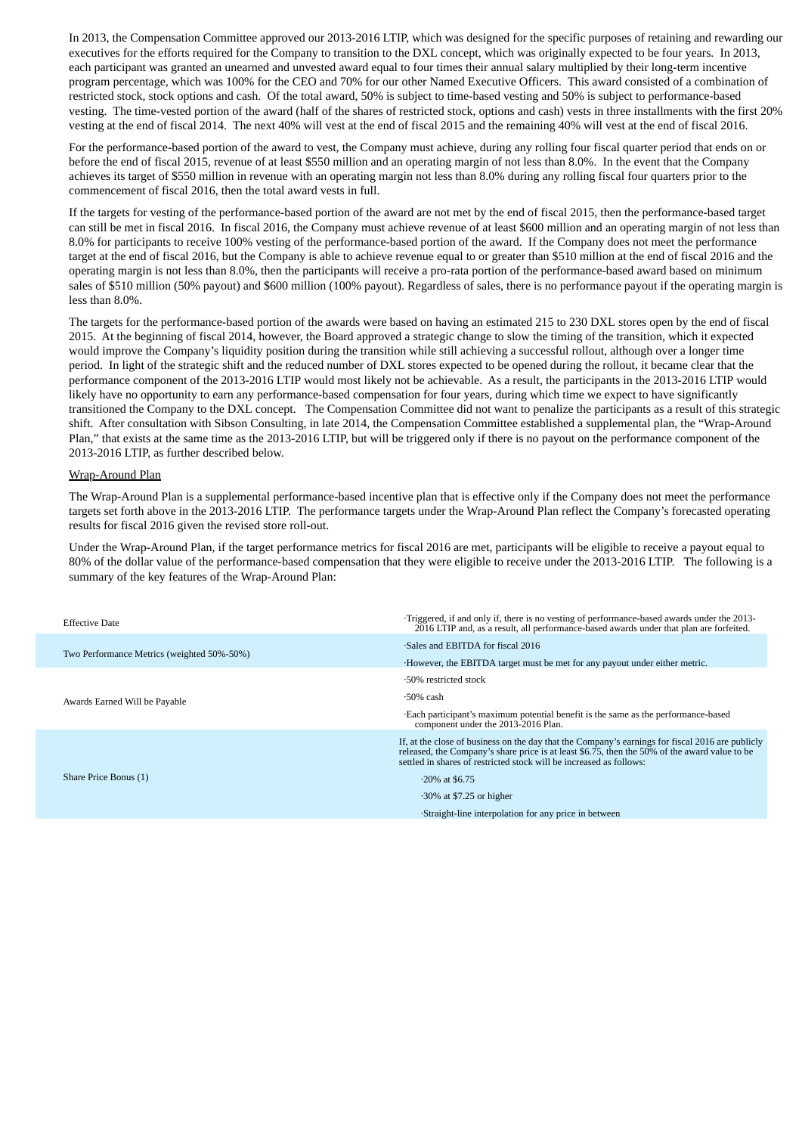In 2013, the Compensation Committee approved our 2013-2016 LTIP, which was designed for the specific purposes of retaining and rewarding our executives for the efforts required for the Company to transition to the DXL concept, which was originally expected to be four years. In 2013, each participant was granted an unearned and unvested award equal to four times their annual salary multiplied by their long-term incentive program percentage, which was 100% for the CEO and 70% for our other Named Executive Officers. This award consisted of a combination of restricted stock, stock options and cash. Of the total award, 50% is subject to time-based vesting and 50% is subject to performance-based vesting. The time-vested portion of the award (half of the shares of restricted stock, options and cash) vests in three installments with the first 20% vesting at the end of fiscal 2014. The next 40% will vest at the end of fiscal 2015 and the remaining 40% will vest at the end of fiscal 2016.

For the performance-based portion of the award to vest, the Company must achieve, during any rolling four fiscal quarter period that ends on or before the end of fiscal 2015, revenue of at least \$550 million and an operating margin of not less than 8.0%. In the event that the Company achieves its target of \$550 million in revenue with an operating margin not less than 8.0% during any rolling fiscal four quarters prior to the commencement of fiscal 2016, then the total award vests in full.

If the targets for vesting of the performance-based portion of the award are not met by the end of fiscal 2015, then the performance-based target can still be met in fiscal 2016. In fiscal 2016, the Company must achieve revenue of at least \$600 million and an operating margin of not less than 8.0% for participants to receive 100% vesting of the performance-based portion of the award. If the Company does not meet the performance target at the end of fiscal 2016, but the Company is able to achieve revenue equal to or greater than \$510 million at the end of fiscal 2016 and the operating margin is not less than 8.0%, then the participants will receive a pro-rata portion of the performance-based award based on minimum sales of \$510 million (50% payout) and \$600 million (100% payout). Regardless of sales, there is no performance payout if the operating margin is less than 8.0%.

The targets for the performance-based portion of the awards were based on having an estimated 215 to 230 DXL stores open by the end of fiscal 2015. At the beginning of fiscal 2014, however, the Board approved a strategic change to slow the timing of the transition, which it expected would improve the Company's liquidity position during the transition while still achieving a successful rollout, although over a longer time period. In light of the strategic shift and the reduced number of DXL stores expected to be opened during the rollout, it became clear that the performance component of the 2013-2016 LTIP would most likely not be achievable. As a result, the participants in the 2013-2016 LTIP would likely have no opportunity to earn any performance-based compensation for four years, during which time we expect to have significantly transitioned the Company to the DXL concept. The Compensation Committee did not want to penalize the participants as a result of this strategic shift. After consultation with Sibson Consulting, in late 2014, the Compensation Committee established a supplemental plan, the "Wrap-Around Plan," that exists at the same time as the 2013-2016 LTIP, but will be triggered only if there is no payout on the performance component of the 2013-2016 LTIP, as further described below.

#### Wrap-Around Plan

The Wrap-Around Plan is a supplemental performance-based incentive plan that is effective only if the Company does not meet the performance targets set forth above in the 2013-2016 LTIP. The performance targets under the Wrap-Around Plan reflect the Company's forecasted operating results for fiscal 2016 given the revised store roll-out.

Under the Wrap-Around Plan, if the target performance metrics for fiscal 2016 are met, participants will be eligible to receive a payout equal to 80% of the dollar value of the performance-based compensation that they were eligible to receive under the 2013-2016 LTIP. The following is a summary of the key features of the Wrap-Around Plan:

| <b>Effective Date</b>                      | Triggered, if and only if, there is no vesting of performance-based awards under the 2013-<br>2016 LTIP and, as a result, all performance-based awards under that plan are forfeited.                                                                                    |
|--------------------------------------------|--------------------------------------------------------------------------------------------------------------------------------------------------------------------------------------------------------------------------------------------------------------------------|
|                                            | Sales and EBITDA for fiscal 2016                                                                                                                                                                                                                                         |
| Two Performance Metrics (weighted 50%-50%) | However, the EBITDA target must be met for any payout under either metric.                                                                                                                                                                                               |
|                                            | $\cdot$ 50% restricted stock                                                                                                                                                                                                                                             |
| Awards Earned Will be Payable              | $\cdot$ 50% cash                                                                                                                                                                                                                                                         |
|                                            | Each participant's maximum potential benefit is the same as the performance-based<br>component under the 2013-2016 Plan.                                                                                                                                                 |
|                                            | If, at the close of business on the day that the Company's earnings for fiscal 2016 are publicly<br>released, the Company's share price is at least \$6.75, then the 50% of the award value to be<br>settled in shares of restricted stock will be increased as follows: |
| Share Price Bonus (1)                      | $\cdot$ 20% at \$6.75                                                                                                                                                                                                                                                    |
|                                            | $\cdot$ 30% at \$7.25 or higher                                                                                                                                                                                                                                          |
|                                            | Straight-line interpolation for any price in between                                                                                                                                                                                                                     |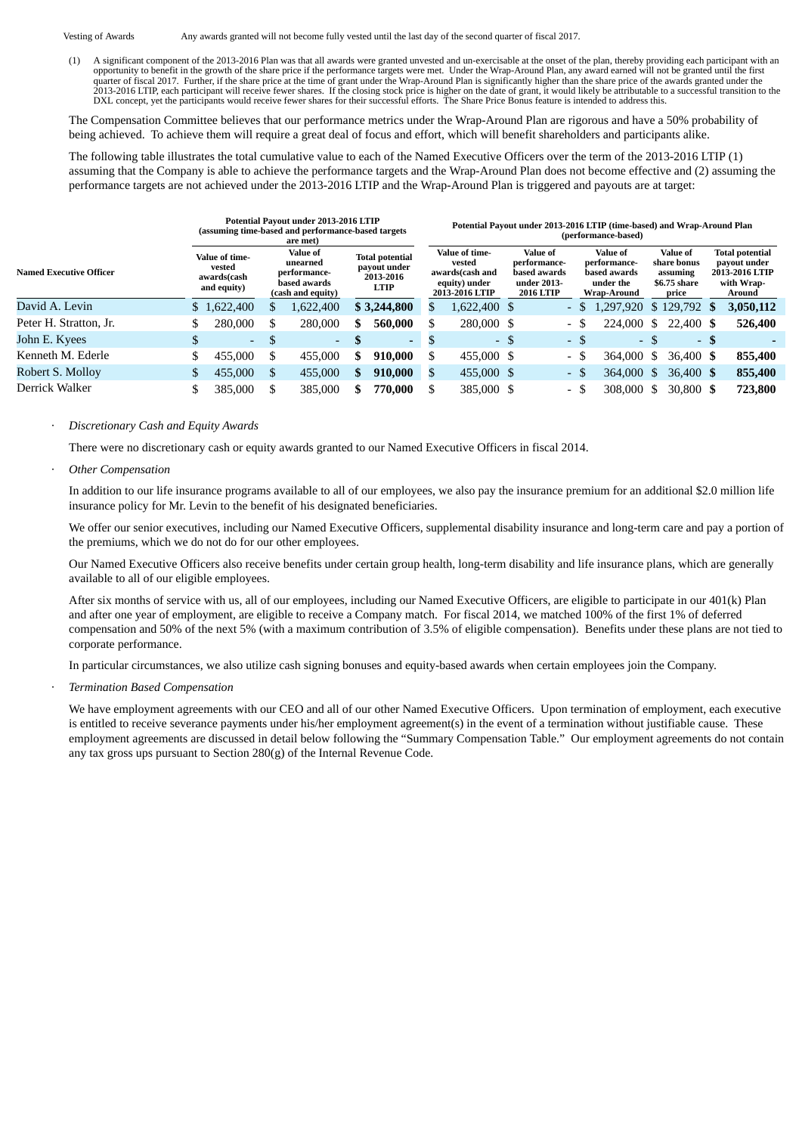Vesting of Awards Any awards granted will not become fully vested until the last day of the second quarter of fiscal 2017.

(1) A significant component of the 2013-2016 Plan was that all awards were granted unvested and un-exercisable at the onset of the plan, thereby providing each participant with an opportunity to benefit in the growth of the share price if the performance targets were met. Under the Wrap-Around Plan, any award earned will not be granted until the first<br>quarter of fiscal 2017. Further, if the share pr DXL concept, yet the participants would receive fewer shares for their successful efforts. The Share Price Bonus feature is intended to address this.

The Compensation Committee believes that our performance metrics under the Wrap-Around Plan are rigorous and have a 50% probability of being achieved. To achieve them will require a great deal of focus and effort, which will benefit shareholders and participants alike.

The following table illustrates the total cumulative value to each of the Named Executive Officers over the term of the 2013-2016 LTIP (1) assuming that the Company is able to achieve the performance targets and the Wrap-Around Plan does not become effective and (2) assuming the performance targets are not achieved under the 2013-2016 LTIP and the Wrap-Around Plan is triggered and payouts are at target:

|                                | Potential Payout under 2013-2016 LTIP<br>(assuming time-based and performance-based targets<br>are met) |                                                        |    |                                                                                  |                                                                    |                          |                                                                                | Potential Payout under 2013-2016 LTIP (time-based) and Wrap-Around Plan<br>(performance-based) |                                                                             |  |                          |  |                                                                      |      |                                                              |      |                                                                                  |  |  |
|--------------------------------|---------------------------------------------------------------------------------------------------------|--------------------------------------------------------|----|----------------------------------------------------------------------------------|--------------------------------------------------------------------|--------------------------|--------------------------------------------------------------------------------|------------------------------------------------------------------------------------------------|-----------------------------------------------------------------------------|--|--------------------------|--|----------------------------------------------------------------------|------|--------------------------------------------------------------|------|----------------------------------------------------------------------------------|--|--|
| <b>Named Executive Officer</b> |                                                                                                         | Value of time-<br>vested<br>awards(cash<br>and equity) |    | <b>Value of</b><br>unearned<br>performance-<br>based awards<br>(cash and equity) | <b>Total potential</b><br>payout under<br>2013-2016<br><b>LTIP</b> |                          | Value of time-<br>vested<br>awards(cash and<br>equity) under<br>2013-2016 LTIP |                                                                                                | Value of<br>performance-<br>based awards<br>under 2013-<br><b>2016 LTIP</b> |  |                          |  | Value of<br>performance-<br>based awards<br>under the<br>Wrap-Around |      | Value of<br>share bonus<br>assuming<br>\$6.75 share<br>price |      | <b>Total potential</b><br>payout under<br>2013-2016 LTIP<br>with Wrap-<br>Around |  |  |
| David A. Levin                 |                                                                                                         | \$1,622,400                                            | S  | .622,400                                                                         |                                                                    | \$3,244,800              | S                                                                              | 1,622,400 \$                                                                                   |                                                                             |  | - \$                     |  | 1,297,920                                                            |      | \$129,792                                                    |      | 3,050,112                                                                        |  |  |
| Peter H. Stratton, Jr.         |                                                                                                         | 280,000                                                | S  | 280,000                                                                          | \$                                                                 | 560,000                  |                                                                                | 280,000 \$                                                                                     |                                                                             |  | $\overline{\phantom{0}}$ |  | 224,000                                                              | S.   | 22,400 \$                                                    |      | 526,400                                                                          |  |  |
| John E. Kyees                  | \$                                                                                                      | $\overline{a}$                                         | S  | $\sim$                                                                           | -S                                                                 | $\overline{\phantom{a}}$ | D                                                                              |                                                                                                | - \$                                                                        |  | - \$                     |  |                                                                      | - \$ |                                                              | - \$ |                                                                                  |  |  |
| Kenneth M. Ederle              |                                                                                                         | 455,000                                                | S  | 455,000                                                                          | \$                                                                 | 910,000                  |                                                                                | 455,000 \$                                                                                     |                                                                             |  | - \$                     |  | 364,000                                                              | S    | 36,400 \$                                                    |      | 855,400                                                                          |  |  |
| Robert S. Molloy               | \$                                                                                                      | 455,000                                                | \$ | 455,000                                                                          | \$                                                                 | 910,000                  | S                                                                              | 455,000 \$                                                                                     |                                                                             |  | - \$                     |  | 364,000                                                              | \$.  | 36,400 \$                                                    |      | 855,400                                                                          |  |  |
| Derrick Walker                 |                                                                                                         | 385,000                                                |    | 385,000                                                                          | \$.                                                                | 770,000                  |                                                                                | 385,000 \$                                                                                     |                                                                             |  | - 5                      |  | 308,000                                                              | -S   | 30,800 \$                                                    |      | 723,800                                                                          |  |  |

### · *Discretionary Cash and Equity Awards*

There were no discretionary cash or equity awards granted to our Named Executive Officers in fiscal 2014.

### · *Other Compensation*

In addition to our life insurance programs available to all of our employees, we also pay the insurance premium for an additional \$2.0 million life insurance policy for Mr. Levin to the benefit of his designated beneficiaries.

We offer our senior executives, including our Named Executive Officers, supplemental disability insurance and long-term care and pay a portion of the premiums, which we do not do for our other employees.

Our Named Executive Officers also receive benefits under certain group health, long-term disability and life insurance plans, which are generally available to all of our eligible employees.

After six months of service with us, all of our employees, including our Named Executive Officers, are eligible to participate in our 401(k) Plan and after one year of employment, are eligible to receive a Company match. For fiscal 2014, we matched 100% of the first 1% of deferred compensation and 50% of the next 5% (with a maximum contribution of 3.5% of eligible compensation). Benefits under these plans are not tied to corporate performance.

In particular circumstances, we also utilize cash signing bonuses and equity-based awards when certain employees join the Company.

· *Termination Based Compensation*

We have employment agreements with our CEO and all of our other Named Executive Officers. Upon termination of employment, each executive is entitled to receive severance payments under his/her employment agreement(s) in the event of a termination without justifiable cause. These employment agreements are discussed in detail below following the "Summary Compensation Table." Our employment agreements do not contain any tax gross ups pursuant to Section 280(g) of the Internal Revenue Code.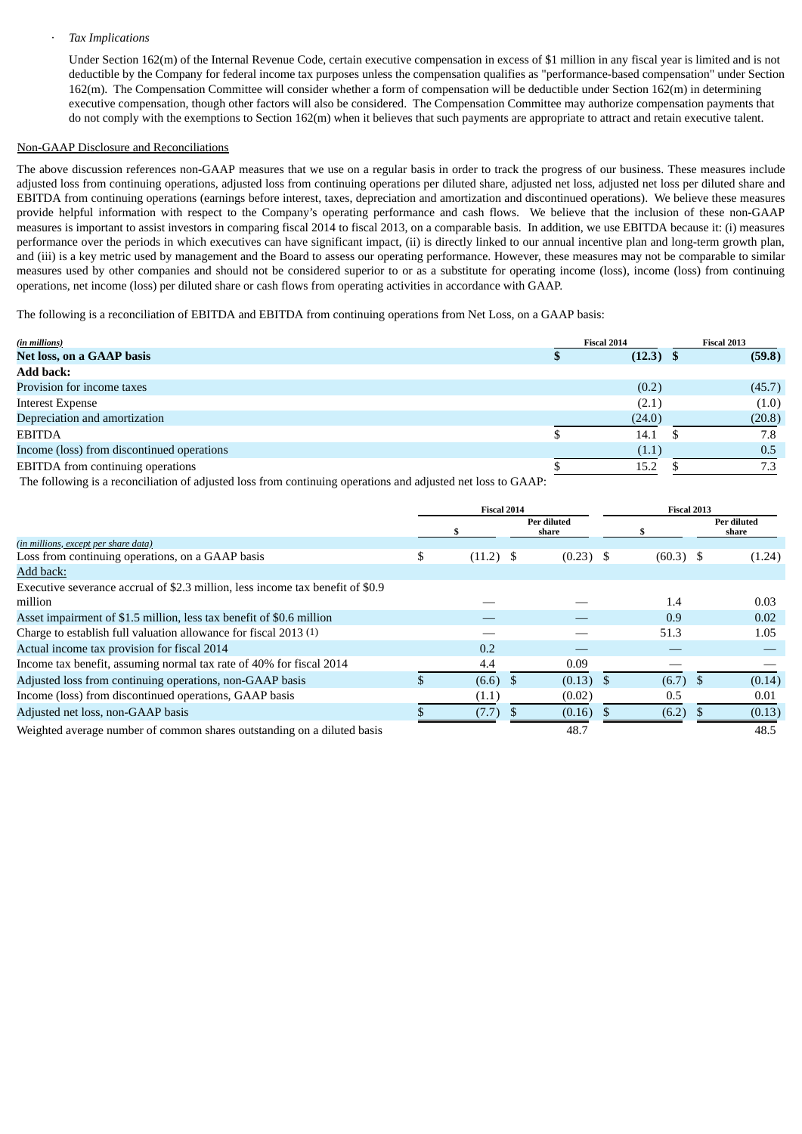#### · *Tax Implications*

Under Section 162(m) of the Internal Revenue Code, certain executive compensation in excess of \$1 million in any fiscal year is limited and is not deductible by the Company for federal income tax purposes unless the compensation qualifies as "performance-based compensation" under Section 162(m). The Compensation Committee will consider whether a form of compensation will be deductible under Section 162(m) in determining executive compensation, though other factors will also be considered. The Compensation Committee may authorize compensation payments that do not comply with the exemptions to Section 162(m) when it believes that such payments are appropriate to attract and retain executive talent.

#### Non-GAAP Disclosure and Reconciliations

The above discussion references non-GAAP measures that we use on a regular basis in order to track the progress of our business. These measures include adjusted loss from continuing operations, adjusted loss from continuing operations per diluted share, adjusted net loss, adjusted net loss per diluted share and EBITDA from continuing operations (earnings before interest, taxes, depreciation and amortization and discontinued operations). We believe these measures provide helpful information with respect to the Company's operating performance and cash flows. We believe that the inclusion of these non-GAAP measures is important to assist investors in comparing fiscal 2014 to fiscal 2013, on a comparable basis. In addition, we use EBITDA because it: (i) measures performance over the periods in which executives can have significant impact, (ii) is directly linked to our annual incentive plan and long-term growth plan, and (iii) is a key metric used by management and the Board to assess our operating performance. However, these measures may not be comparable to similar measures used by other companies and should not be considered superior to or as a substitute for operating income (loss), income (loss) from continuing operations, net income (loss) per diluted share or cash flows from operating activities in accordance with GAAP.

The following is a reconciliation of EBITDA and EBITDA from continuing operations from Net Loss, on a GAAP basis:

| (in millions)                              | Fiscal 2014 |        |  | Fiscal 2013 |  |  |
|--------------------------------------------|-------------|--------|--|-------------|--|--|
| Net loss, on a GAAP basis                  |             | (12.3) |  | (59.8)      |  |  |
| <b>Add back:</b>                           |             |        |  |             |  |  |
| Provision for income taxes                 |             | (0.2)  |  | (45.7)      |  |  |
| <b>Interest Expense</b>                    |             | (2.1)  |  | (1.0)       |  |  |
| Depreciation and amortization              |             | (24.0) |  | (20.8)      |  |  |
| <b>EBITDA</b>                              |             | 14.1   |  | 7.8         |  |  |
| Income (loss) from discontinued operations |             | (1.1)  |  | 0.5         |  |  |
| EBITDA from continuing operations          |             | 15.2   |  |             |  |  |

The following is a reconciliation of adjusted loss from continuing operations and adjusted net loss to GAAP:

|                                                                                | <b>Fiscal 2014</b> |             |  | Fiscal 2013          |             |  |                      |
|--------------------------------------------------------------------------------|--------------------|-------------|--|----------------------|-------------|--|----------------------|
|                                                                                |                    |             |  | Per diluted<br>share |             |  | Per diluted<br>share |
| (in millions, except per share data)                                           |                    |             |  |                      |             |  |                      |
| Loss from continuing operations, on a GAAP basis                               | \$                 | $(11.2)$ \$ |  | $(0.23)$ \$          | $(60.3)$ \$ |  | (1.24)               |
| Add back:                                                                      |                    |             |  |                      |             |  |                      |
| Executive severance accrual of \$2.3 million, less income tax benefit of \$0.9 |                    |             |  |                      |             |  |                      |
| million                                                                        |                    |             |  |                      | 1.4         |  | 0.03                 |
| Asset impairment of \$1.5 million, less tax benefit of \$0.6 million           |                    |             |  |                      | 0.9         |  | 0.02                 |
| Charge to establish full valuation allowance for fiscal 2013 (1)               |                    |             |  |                      | 51.3        |  | 1.05                 |
| Actual income tax provision for fiscal 2014                                    |                    | 0.2         |  |                      |             |  |                      |
| Income tax benefit, assuming normal tax rate of 40% for fiscal 2014            |                    | 4.4         |  | 0.09                 |             |  |                      |
| Adjusted loss from continuing operations, non-GAAP basis                       |                    | $(6.6)$ \$  |  | $(0.13)$ \$          | $(6.7)$ \$  |  | (0.14)               |
| Income (loss) from discontinued operations, GAAP basis                         |                    | (1.1)       |  | (0.02)               | 0.5         |  | 0.01                 |
| Adjusted net loss, non-GAAP basis                                              |                    | (7.7)       |  | (0.16)               | (6.2)       |  | (0.13)               |
| Weighted average number of common shares outstanding on a diluted basis        |                    |             |  | 48.7                 |             |  | 48.5                 |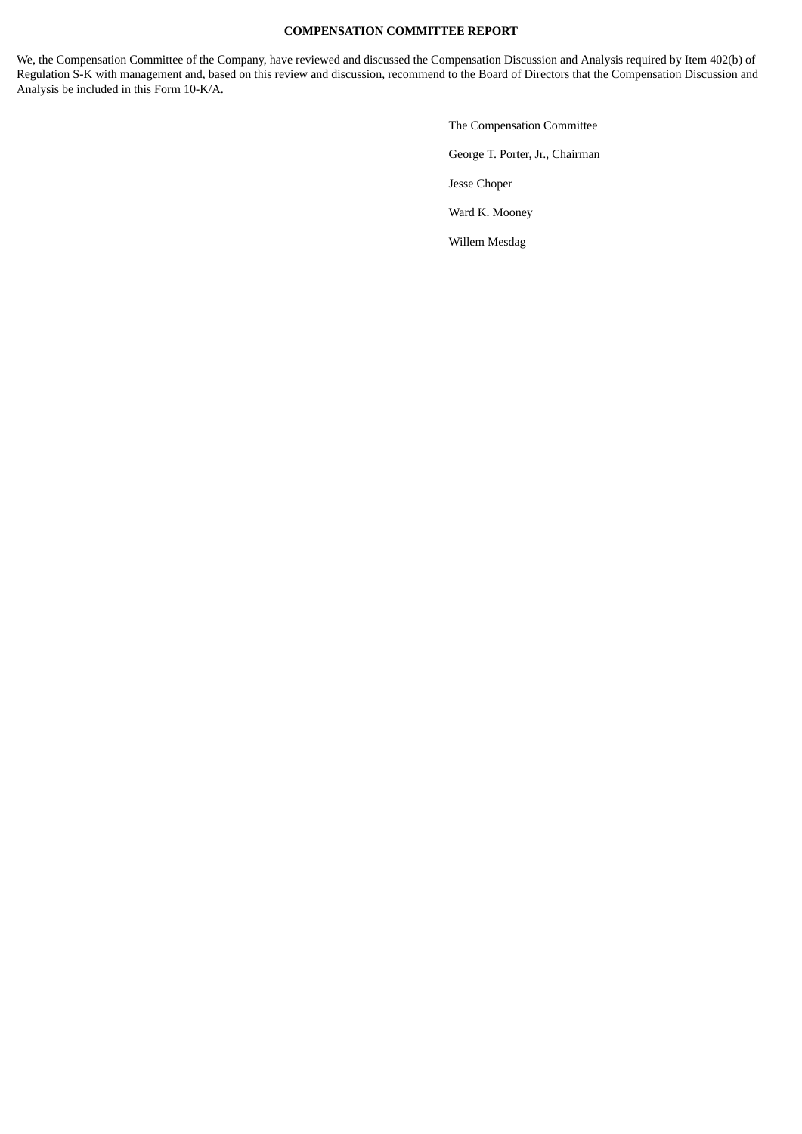## **COMPENSATION COMMITTEE REPORT**

We, the Compensation Committee of the Company, have reviewed and discussed the Compensation Discussion and Analysis required by Item 402(b) of Regulation S-K with management and, based on this review and discussion, recommend to the Board of Directors that the Compensation Discussion and Analysis be included in this Form 10-K/A.

> The Compensation Committee George T. Porter, Jr., Chairman Jesse Choper Ward K. Mooney Willem Mesdag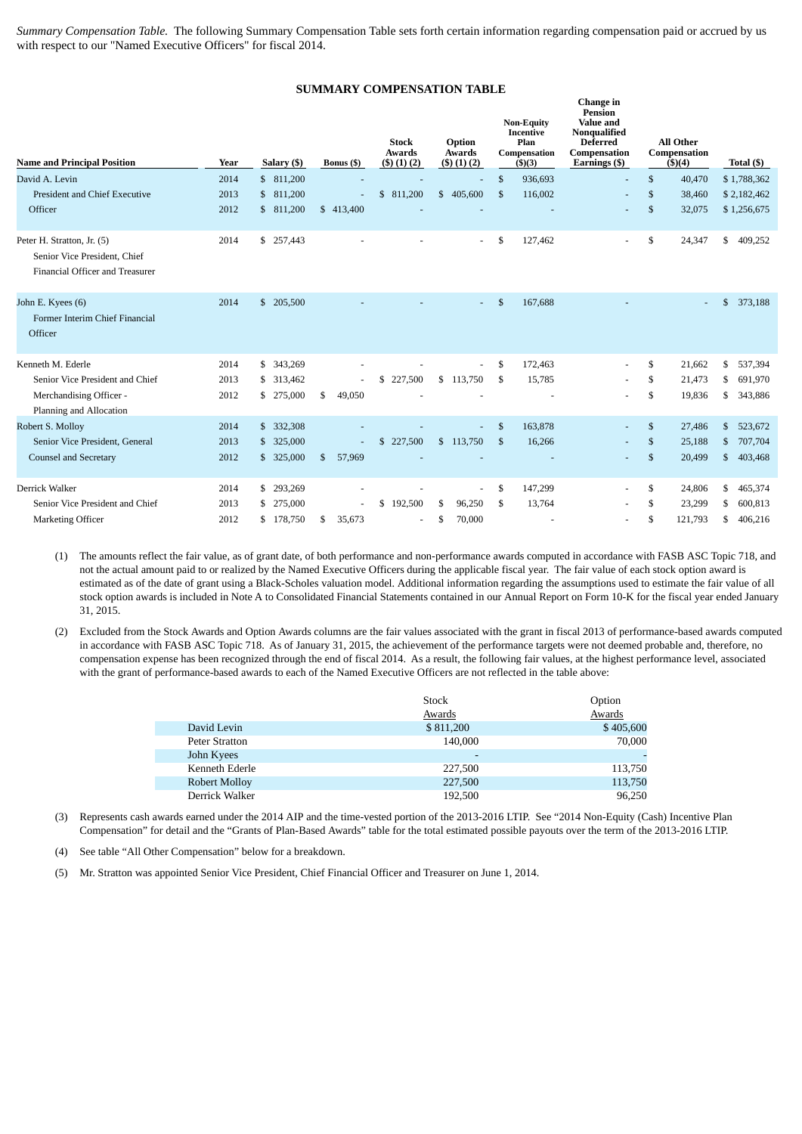*Summary Compensation Table.* The following Summary Compensation Table sets forth certain information regarding compensation paid or accrued by us with respect to our "Named Executive Officers" for fiscal 2014.

#### **SUMMARY COMPENSATION TABLE**

| <b>Name and Principal Position</b>                                                            | Year | Salary (\$)             | Bonus (\$)   | <b>Stock</b><br><b>Awards</b><br>$($ \$) $(1)$ $(2)$ | Option<br>Awards<br>$($ \$) $(1)$ $(2)$ |                | <b>Non-Equity</b><br><b>Incentive</b><br>Plan<br>Compensation<br>( \$)(3) | Change in<br><b>Pension</b><br><b>Value and</b><br>Nonqualified<br><b>Deferred</b><br>Compensation<br>Earnings (\$) | <b>All Other</b><br>Compensation<br>\$)(4) | Total $($ )   |
|-----------------------------------------------------------------------------------------------|------|-------------------------|--------------|------------------------------------------------------|-----------------------------------------|----------------|---------------------------------------------------------------------------|---------------------------------------------------------------------------------------------------------------------|--------------------------------------------|---------------|
| David A. Levin                                                                                | 2014 | \$ 811,200              |              |                                                      |                                         | \$             | 936,693                                                                   | $\overline{\phantom{a}}$                                                                                            | \$<br>40,470                               | \$1,788,362   |
| <b>President and Chief Executive</b>                                                          | 2013 | \$ 811,200              |              | \$ 811,200                                           | \$405,600                               | $\mathfrak{F}$ | 116,002                                                                   |                                                                                                                     | \$<br>38,460                               | \$2,182,462   |
| Officer                                                                                       | 2012 | 811,200<br>$\mathbb{S}$ | \$413,400    |                                                      |                                         |                |                                                                           |                                                                                                                     | \$<br>32,075                               | \$1,256,675   |
| Peter H. Stratton, Jr. (5)<br>Senior Vice President, Chief<br>Financial Officer and Treasurer | 2014 | \$ 257,443              |              |                                                      | $\overline{\phantom{0}}$                | \$             | 127,462                                                                   | ٠                                                                                                                   | \$<br>24,347                               | 409,252<br>\$ |
| John E. Kyees (6)<br>Former Interim Chief Financial<br>Officer                                | 2014 | \$ 205,500              |              |                                                      |                                         | \$             | 167,688                                                                   |                                                                                                                     |                                            | \$<br>373,188 |
| Kenneth M. Ederle                                                                             | 2014 | 343,269<br>\$           |              |                                                      |                                         | \$             | 172,463                                                                   |                                                                                                                     | \$<br>21,662                               | \$<br>537,394 |
| Senior Vice President and Chief                                                               | 2013 | 313,462<br>\$           |              | \$227,500                                            | \$113,750                               | -S             | 15,785                                                                    |                                                                                                                     | \$<br>21,473                               | 691,970<br>\$ |
| Merchandising Officer -<br>Planning and Allocation                                            | 2012 | 275,000<br>\$           | \$<br>49,050 |                                                      |                                         |                |                                                                           |                                                                                                                     | \$<br>19,836                               | 343,886<br>\$ |
| Robert S. Mollov                                                                              | 2014 | 332,308<br>$\mathbb{S}$ |              |                                                      |                                         | $\mathcal{S}$  | 163,878                                                                   |                                                                                                                     | \$<br>27,486                               | \$<br>523,672 |
| Senior Vice President, General                                                                | 2013 | 325,000<br>\$           |              | \$227,500                                            | \$113,750                               | -\$            | 16,266                                                                    |                                                                                                                     | \$<br>25,188                               | 707,704<br>\$ |
| <b>Counsel and Secretary</b>                                                                  | 2012 | \$325,000               | 57,969<br>\$ |                                                      |                                         |                |                                                                           | ٠                                                                                                                   | \$<br>20,499                               | 403,468<br>\$ |
| Derrick Walker                                                                                | 2014 | 293,269<br>\$           |              |                                                      |                                         | \$             | 147,299                                                                   |                                                                                                                     | \$<br>24,806                               | \$<br>465,374 |
| Senior Vice President and Chief                                                               | 2013 | 275,000<br>\$.          | L.           | \$<br>192,500                                        | \$<br>96,250                            | -S             | 13,764                                                                    | ۰                                                                                                                   | \$<br>23,299                               | 600,813<br>\$ |
| Marketing Officer                                                                             | 2012 | \$178,750               | \$<br>35,673 |                                                      | \$<br>70,000                            |                |                                                                           | ۰                                                                                                                   | \$<br>121,793                              | 406,216<br>\$ |

(1) The amounts reflect the fair value, as of grant date, of both performance and non-performance awards computed in accordance with FASB ASC Topic 718, and not the actual amount paid to or realized by the Named Executive Officers during the applicable fiscal year. The fair value of each stock option award is estimated as of the date of grant using a Black-Scholes valuation model. Additional information regarding the assumptions used to estimate the fair value of all stock option awards is included in Note A to Consolidated Financial Statements contained in our Annual Report on Form 10-K for the fiscal year ended January 31, 2015.

(2) Excluded from the Stock Awards and Option Awards columns are the fair values associated with the grant in fiscal 2013 of performance-based awards computed in accordance with FASB ASC Topic 718. As of January 31, 2015, the achievement of the performance targets were not deemed probable and, therefore, no compensation expense has been recognized through the end of fiscal 2014. As a result, the following fair values, at the highest performance level, associated with the grant of performance-based awards to each of the Named Executive Officers are not reflected in the table above:

|                       | <b>Stock</b>             | Option        |
|-----------------------|--------------------------|---------------|
|                       | Awards                   | <b>Awards</b> |
| David Levin           | \$811,200                | \$405,600     |
| <b>Peter Stratton</b> | 140,000                  | 70,000        |
| John Kyees            | $\overline{\phantom{0}}$ |               |
| Kenneth Ederle        | 227,500                  | 113,750       |
| Robert Mollov         | 227,500                  | 113,750       |
| Derrick Walker        | 192,500                  | 96.250        |

(3) Represents cash awards earned under the 2014 AIP and the time-vested portion of the 2013-2016 LTIP. See "2014 Non-Equity (Cash) Incentive Plan Compensation" for detail and the "Grants of Plan-Based Awards" table for the total estimated possible payouts over the term of the 2013-2016 LTIP.

(4) See table "All Other Compensation" below for a breakdown.

(5) Mr. Stratton was appointed Senior Vice President, Chief Financial Officer and Treasurer on June 1, 2014.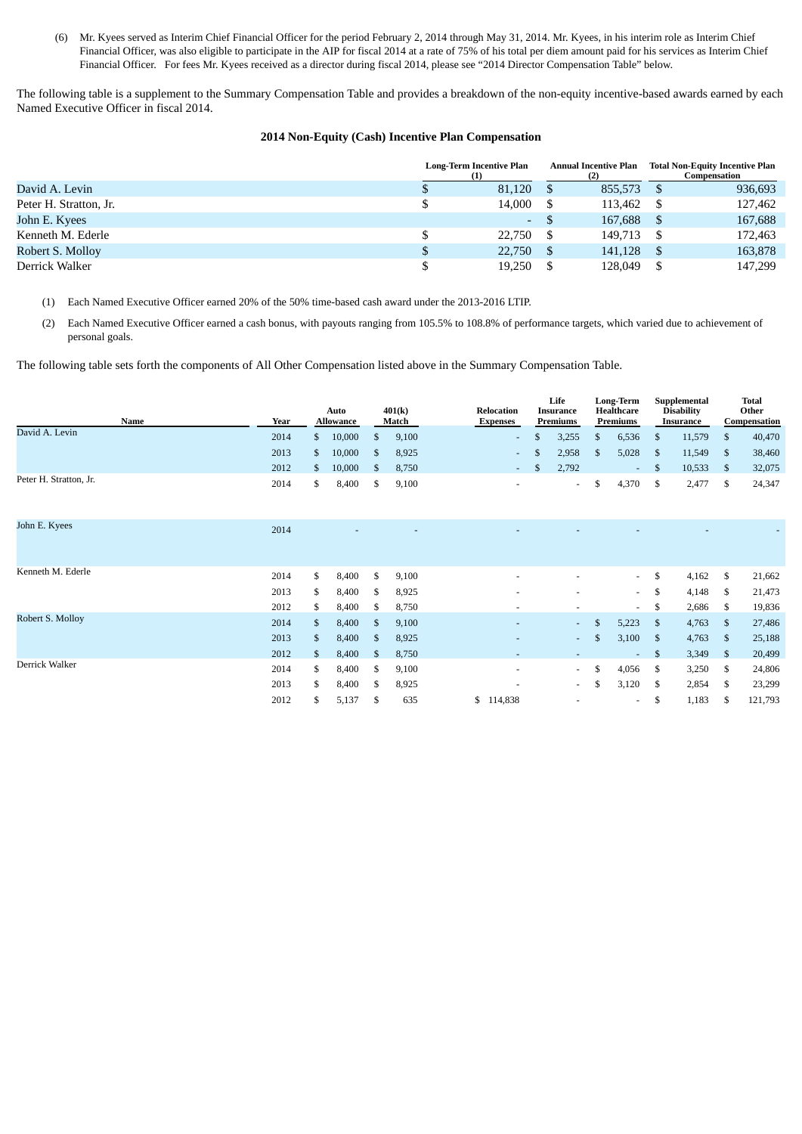(6) Mr. Kyees served as Interim Chief Financial Officer for the period February 2, 2014 through May 31, 2014. Mr. Kyees, in his interim role as Interim Chief Financial Officer, was also eligible to participate in the AIP for fiscal 2014 at a rate of 75% of his total per diem amount paid for his services as Interim Chief Financial Officer. For fees Mr. Kyees received as a director during fiscal 2014, please see "2014 Director Compensation Table" below.

The following table is a supplement to the Summary Compensation Table and provides a breakdown of the non-equity incentive-based awards earned by each Named Executive Officer in fiscal 2014.

## **2014 Non-Equity (Cash) Incentive Plan Compensation**

|                        | <b>Long-Term Incentive Plan</b> |        | Annual Incentive Plan |         | <b>Total Non-Equity Incentive Plan</b><br>Compensation |
|------------------------|---------------------------------|--------|-----------------------|---------|--------------------------------------------------------|
| David A. Levin         |                                 | 81.120 |                       | 855,573 | 936,693                                                |
| Peter H. Stratton, Jr. |                                 | 14,000 |                       | 113,462 | 127,462                                                |
| John E. Kyees          |                                 | G.     | $\mathbb{S}$          | 167,688 | 167,688                                                |
| Kenneth M. Ederle      |                                 | 22.750 |                       | 149,713 | 172,463                                                |
| Robert S. Molloy       |                                 | 22,750 |                       | 141,128 | 163,878                                                |
| Derrick Walker         |                                 | 19,250 |                       | 128,049 | 147,299                                                |

(1) Each Named Executive Officer earned 20% of the 50% time-based cash award under the 2013-2016 LTIP.

(2) Each Named Executive Officer earned a cash bonus, with payouts ranging from 105.5% to 108.8% of performance targets, which varied due to achievement of personal goals.

The following table sets forth the components of All Other Compensation listed above in the Summary Compensation Table.

| Name                   | Year | Auto<br><b>Allowance</b> |              | 401(k)<br>Match | Relocation<br><b>Expenses</b> | Life<br><b>Insurance</b><br>Premiums |    | <b>Long-Term</b><br>Healthcare<br>Premiums | Supplemental<br><b>Disability</b><br><b>Insurance</b> |               | <b>Total</b><br>Other<br>Compensation |
|------------------------|------|--------------------------|--------------|-----------------|-------------------------------|--------------------------------------|----|--------------------------------------------|-------------------------------------------------------|---------------|---------------------------------------|
| David A. Levin         | 2014 | \$<br>10,000             | \$           | 9,100           | ÷.                            | \$<br>3,255                          | S. | 6,536                                      | \$<br>11,579                                          | \$            | 40,470                                |
|                        | 2013 | \$<br>10,000             | \$           | 8,925           | ÷                             | \$<br>2,958                          | S. | 5,028                                      | \$<br>11,549                                          | <sup>\$</sup> | 38,460                                |
|                        | 2012 | \$<br>10,000             | $\mathbb{S}$ | 8,750           | $\sim$                        | \$<br>2,792                          |    | $\overline{\phantom{a}}$                   | \$<br>10,533                                          | \$            | 32,075                                |
| Peter H. Stratton, Jr. | 2014 | \$<br>8,400              | \$           | 9,100           | ٠                             | $\sim$                               | \$ | 4,370                                      | \$<br>2,477                                           | \$            | 24,347                                |
| John E. Kyees          | 2014 |                          |              |                 |                               |                                      |    |                                            |                                                       |               |                                       |
| Kenneth M. Ederle      | 2014 | \$<br>8,400              | \$           | 9,100           |                               |                                      |    | $\sim$                                     | \$<br>4,162                                           | \$            | 21,662                                |
|                        | 2013 | \$<br>8,400              | \$           | 8,925           |                               |                                      |    | $\sim$                                     | \$<br>4,148                                           | \$            | 21,473                                |
|                        | 2012 | \$<br>8,400              | \$           | 8,750           |                               | $\overline{\phantom{a}}$             |    | $\sim$                                     | \$<br>2,686                                           | \$            | 19,836                                |
| Robert S. Molloy       | 2014 | \$<br>8,400              | \$.          | 9,100           |                               | $\sim$                               | \$ | 5,223                                      | \$<br>4,763                                           | \$            | 27,486                                |
|                        | 2013 | \$<br>8,400              | \$           | 8,925           | ٠                             | $\sim 100$                           | \$ | 3,100                                      | \$<br>4,763                                           | \$            | 25,188                                |
|                        | 2012 | \$<br>8,400              | \$           | 8,750           |                               |                                      |    | $\overline{\phantom{a}}$                   | \$<br>3,349                                           | \$            | 20,499                                |
| Derrick Walker         | 2014 | \$<br>8,400              | \$.          | 9,100           | ۰                             | $\sim$                               | \$ | 4,056                                      | \$<br>3,250                                           | S             | 24,806                                |
|                        | 2013 | \$<br>8,400              | \$           | 8,925           |                               | $\sim$                               | S  | 3,120                                      | \$<br>2,854                                           | S             | 23,299                                |
|                        | 2012 | \$<br>5,137              | \$           | 635             | \$114,838                     |                                      |    | $\overline{\phantom{a}}$                   | \$<br>1,183                                           | \$            | 121,793                               |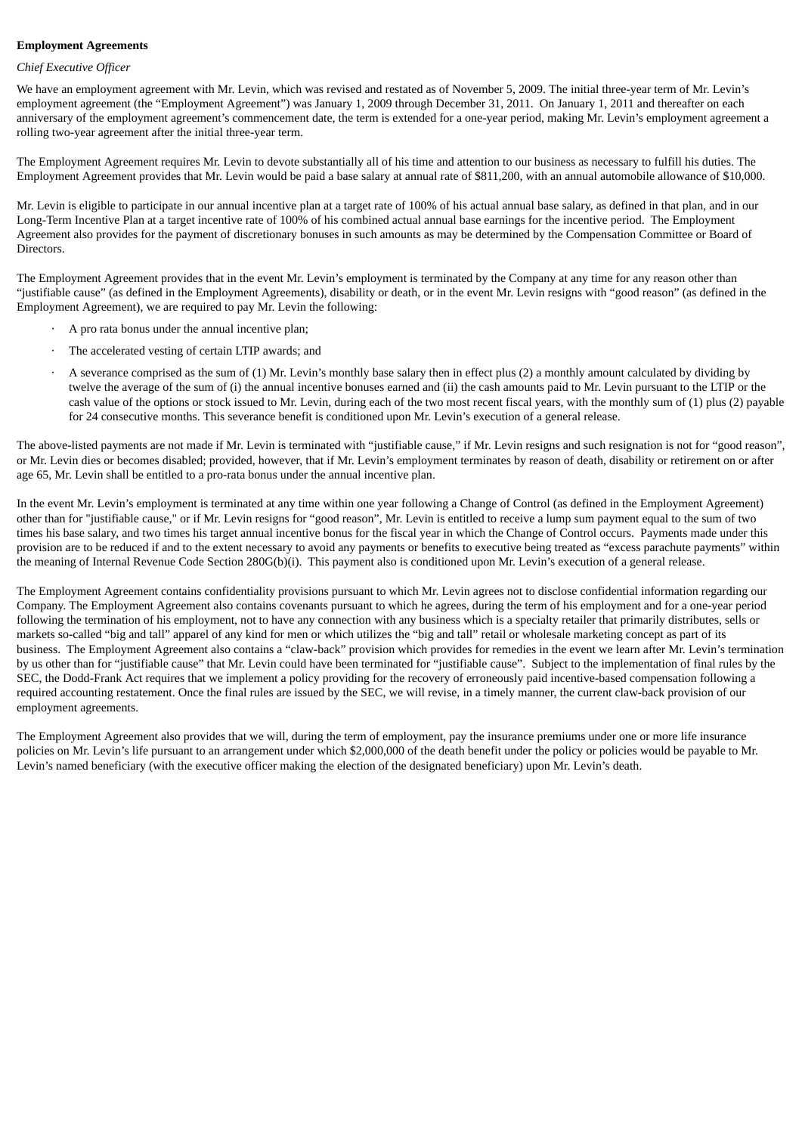### **Employment Agreements**

### *Chief Executive Officer*

We have an employment agreement with Mr. Levin, which was revised and restated as of November 5, 2009. The initial three-year term of Mr. Levin's employment agreement (the "Employment Agreement") was January 1, 2009 through December 31, 2011. On January 1, 2011 and thereafter on each anniversary of the employment agreement's commencement date, the term is extended for a one-year period, making Mr. Levin's employment agreement a rolling two-year agreement after the initial three-year term.

The Employment Agreement requires Mr. Levin to devote substantially all of his time and attention to our business as necessary to fulfill his duties. The Employment Agreement provides that Mr. Levin would be paid a base salary at annual rate of \$811,200, with an annual automobile allowance of \$10,000.

Mr. Levin is eligible to participate in our annual incentive plan at a target rate of 100% of his actual annual base salary, as defined in that plan, and in our Long-Term Incentive Plan at a target incentive rate of 100% of his combined actual annual base earnings for the incentive period. The Employment Agreement also provides for the payment of discretionary bonuses in such amounts as may be determined by the Compensation Committee or Board of Directors.

The Employment Agreement provides that in the event Mr. Levin's employment is terminated by the Company at any time for any reason other than "justifiable cause" (as defined in the Employment Agreements), disability or death, or in the event Mr. Levin resigns with "good reason" (as defined in the Employment Agreement), we are required to pay Mr. Levin the following:

- · A pro rata bonus under the annual incentive plan;
- The accelerated vesting of certain LTIP awards; and
- · A severance comprised as the sum of (1) Mr. Levin's monthly base salary then in effect plus (2) a monthly amount calculated by dividing by twelve the average of the sum of (i) the annual incentive bonuses earned and (ii) the cash amounts paid to Mr. Levin pursuant to the LTIP or the cash value of the options or stock issued to Mr. Levin, during each of the two most recent fiscal years, with the monthly sum of (1) plus (2) payable for 24 consecutive months. This severance benefit is conditioned upon Mr. Levin's execution of a general release.

The above-listed payments are not made if Mr. Levin is terminated with "justifiable cause," if Mr. Levin resigns and such resignation is not for "good reason", or Mr. Levin dies or becomes disabled; provided, however, that if Mr. Levin's employment terminates by reason of death, disability or retirement on or after age 65, Mr. Levin shall be entitled to a pro-rata bonus under the annual incentive plan.

In the event Mr. Levin's employment is terminated at any time within one year following a Change of Control (as defined in the Employment Agreement) other than for "justifiable cause," or if Mr. Levin resigns for "good reason", Mr. Levin is entitled to receive a lump sum payment equal to the sum of two times his base salary, and two times his target annual incentive bonus for the fiscal year in which the Change of Control occurs. Payments made under this provision are to be reduced if and to the extent necessary to avoid any payments or benefits to executive being treated as "excess parachute payments" within the meaning of Internal Revenue Code Section 280G(b)(i). This payment also is conditioned upon Mr. Levin's execution of a general release.

The Employment Agreement contains confidentiality provisions pursuant to which Mr. Levin agrees not to disclose confidential information regarding our Company. The Employment Agreement also contains covenants pursuant to which he agrees, during the term of his employment and for a one-year period following the termination of his employment, not to have any connection with any business which is a specialty retailer that primarily distributes, sells or markets so-called "big and tall" apparel of any kind for men or which utilizes the "big and tall" retail or wholesale marketing concept as part of its business. The Employment Agreement also contains a "claw-back" provision which provides for remedies in the event we learn after Mr. Levin's termination by us other than for "justifiable cause" that Mr. Levin could have been terminated for "justifiable cause". Subject to the implementation of final rules by the SEC, the Dodd-Frank Act requires that we implement a policy providing for the recovery of erroneously paid incentive-based compensation following a required accounting restatement. Once the final rules are issued by the SEC, we will revise, in a timely manner, the current claw-back provision of our employment agreements.

The Employment Agreement also provides that we will, during the term of employment, pay the insurance premiums under one or more life insurance policies on Mr. Levin's life pursuant to an arrangement under which \$2,000,000 of the death benefit under the policy or policies would be payable to Mr. Levin's named beneficiary (with the executive officer making the election of the designated beneficiary) upon Mr. Levin's death.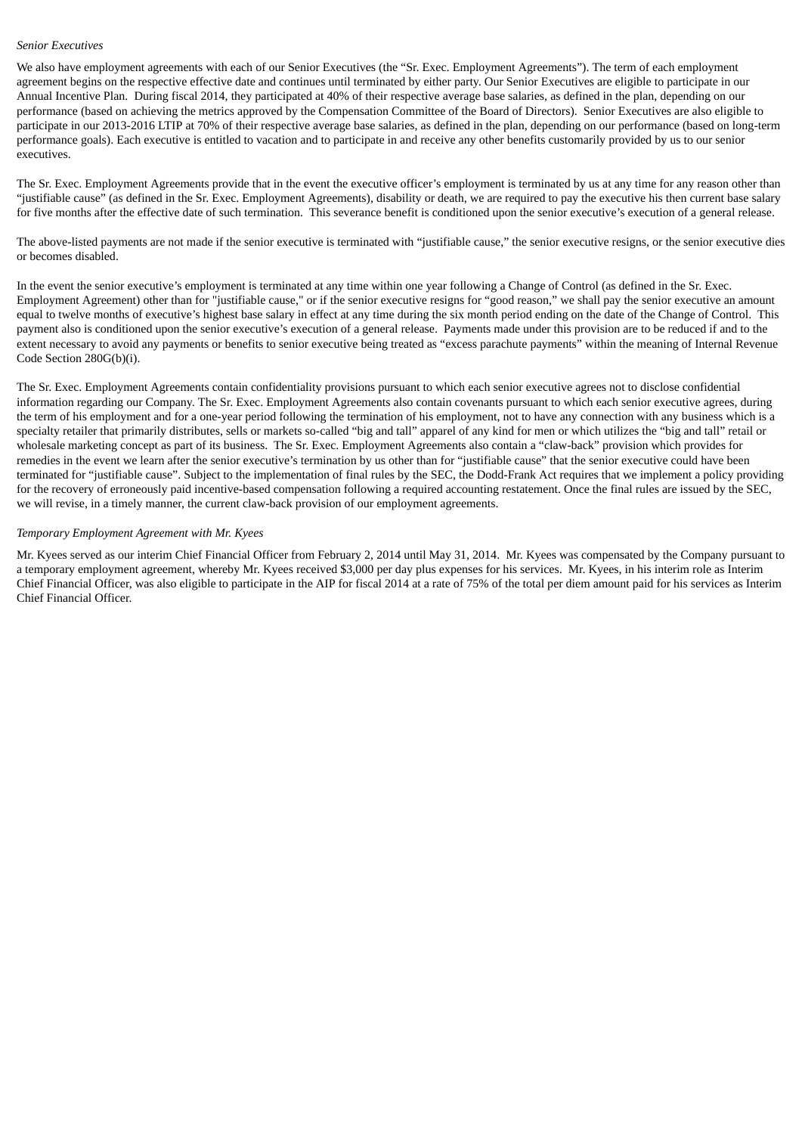#### *Senior Executives*

We also have employment agreements with each of our Senior Executives (the "Sr. Exec. Employment Agreements"). The term of each employment agreement begins on the respective effective date and continues until terminated by either party. Our Senior Executives are eligible to participate in our Annual Incentive Plan. During fiscal 2014, they participated at 40% of their respective average base salaries, as defined in the plan, depending on our performance (based on achieving the metrics approved by the Compensation Committee of the Board of Directors). Senior Executives are also eligible to participate in our 2013-2016 LTIP at 70% of their respective average base salaries, as defined in the plan, depending on our performance (based on long-term performance goals). Each executive is entitled to vacation and to participate in and receive any other benefits customarily provided by us to our senior executives.

The Sr. Exec. Employment Agreements provide that in the event the executive officer's employment is terminated by us at any time for any reason other than "justifiable cause" (as defined in the Sr. Exec. Employment Agreements), disability or death, we are required to pay the executive his then current base salary for five months after the effective date of such termination. This severance benefit is conditioned upon the senior executive's execution of a general release.

The above-listed payments are not made if the senior executive is terminated with "justifiable cause," the senior executive resigns, or the senior executive dies or becomes disabled.

In the event the senior executive's employment is terminated at any time within one year following a Change of Control (as defined in the Sr. Exec. Employment Agreement) other than for "justifiable cause," or if the senior executive resigns for "good reason," we shall pay the senior executive an amount equal to twelve months of executive's highest base salary in effect at any time during the six month period ending on the date of the Change of Control. This payment also is conditioned upon the senior executive's execution of a general release. Payments made under this provision are to be reduced if and to the extent necessary to avoid any payments or benefits to senior executive being treated as "excess parachute payments" within the meaning of Internal Revenue Code Section 280G(b)(i).

The Sr. Exec. Employment Agreements contain confidentiality provisions pursuant to which each senior executive agrees not to disclose confidential information regarding our Company. The Sr. Exec. Employment Agreements also contain covenants pursuant to which each senior executive agrees, during the term of his employment and for a one-year period following the termination of his employment, not to have any connection with any business which is a specialty retailer that primarily distributes, sells or markets so-called "big and tall" apparel of any kind for men or which utilizes the "big and tall" retail or wholesale marketing concept as part of its business. The Sr. Exec. Employment Agreements also contain a "claw-back" provision which provides for remedies in the event we learn after the senior executive's termination by us other than for "justifiable cause" that the senior executive could have been terminated for "justifiable cause". Subject to the implementation of final rules by the SEC, the Dodd-Frank Act requires that we implement a policy providing for the recovery of erroneously paid incentive-based compensation following a required accounting restatement. Once the final rules are issued by the SEC, we will revise, in a timely manner, the current claw-back provision of our employment agreements.

#### *Temporary Employment Agreement with Mr. Kyees*

Mr. Kyees served as our interim Chief Financial Officer from February 2, 2014 until May 31, 2014. Mr. Kyees was compensated by the Company pursuant to a temporary employment agreement, whereby Mr. Kyees received \$3,000 per day plus expenses for his services. Mr. Kyees, in his interim role as Interim Chief Financial Officer, was also eligible to participate in the AIP for fiscal 2014 at a rate of 75% of the total per diem amount paid for his services as Interim Chief Financial Officer.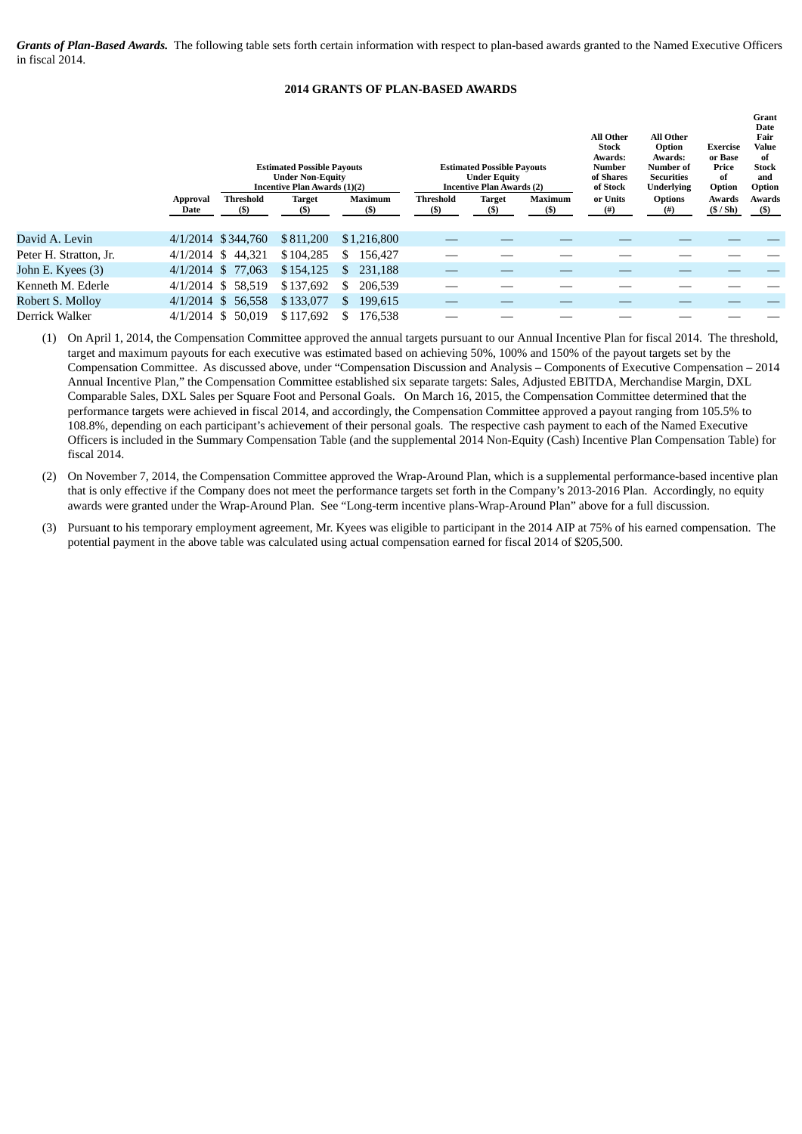*Grants of Plan-Based Awards.* The following table sets forth certain information with respect to plan-based awards granted to the Named Executive Officers in fiscal 2014.

### **2014 GRANTS OF PLAN-BASED AWARDS**

**Grant**

|                        |                  |                    | <b>Estimated Possible Payouts</b><br><b>Under Non-Equity</b><br>Incentive Plan Awards (1)(2) |                          |                    | <b>Estimated Possible Payouts</b><br><b>Under Equity</b><br><b>Incentive Plan Awards (2)</b> |                        | All Other<br><b>Stock</b><br>Awards:<br>Number<br>of Shares<br>of Stock | All Other<br>Option<br>Awards:<br>Number of<br>Securities<br><b>Underlying</b> | <b>Exercise</b><br>or Base<br>Price<br>of<br>Option | <b>Date</b><br>Fair<br>Value<br>of<br>Stock<br>and<br>Option |
|------------------------|------------------|--------------------|----------------------------------------------------------------------------------------------|--------------------------|--------------------|----------------------------------------------------------------------------------------------|------------------------|-------------------------------------------------------------------------|--------------------------------------------------------------------------------|-----------------------------------------------------|--------------------------------------------------------------|
|                        | Approval<br>Date | Threshold<br>$(s)$ | <b>Target</b><br>$(5)$                                                                       | <b>Maximum</b><br>$($ \$ | Threshold<br>$($)$ | <b>Target</b><br>$($)$                                                                       | <b>Maximum</b><br>(\$) | or Units<br>$^{(#)}$                                                    | <b>Options</b><br>$^{(#)}$                                                     | Awards<br>(S/Sh)                                    | Awards<br>$(\$)$                                             |
| David A. Levin         |                  | 4/1/2014 \$344,760 | \$811,200                                                                                    | \$1,216,800              |                    |                                                                                              |                        |                                                                         |                                                                                |                                                     |                                                              |
| Peter H. Stratton, Jr. |                  | 4/1/2014 \$44,321  | \$104,285                                                                                    | 156,427<br>S.            |                    |                                                                                              |                        |                                                                         |                                                                                |                                                     |                                                              |
| John E. Kyees (3)      |                  | 4/1/2014 \$ 77,063 | \$154,125                                                                                    | 231.188<br>\$            |                    |                                                                                              |                        |                                                                         |                                                                                |                                                     |                                                              |
| Kenneth M. Ederle      |                  | 4/1/2014 \$58.519  | \$137,692                                                                                    | \$<br>206.539            |                    |                                                                                              |                        |                                                                         |                                                                                |                                                     |                                                              |
| Robert S. Molloy       |                  | 4/1/2014 \$ 56,558 | \$133,077                                                                                    | 199,615<br>$\mathbb{S}$  |                    |                                                                                              |                        |                                                                         |                                                                                |                                                     |                                                              |
| Derrick Walker         | $4/1/2014$ \$    | 50,019             | \$117.692                                                                                    | 176.538                  |                    |                                                                                              |                        |                                                                         |                                                                                |                                                     |                                                              |

(1) On April 1, 2014, the Compensation Committee approved the annual targets pursuant to our Annual Incentive Plan for fiscal 2014. The threshold, target and maximum payouts for each executive was estimated based on achieving 50%, 100% and 150% of the payout targets set by the Compensation Committee. As discussed above, under "Compensation Discussion and Analysis – Components of Executive Compensation – 2014 Annual Incentive Plan," the Compensation Committee established six separate targets: Sales, Adjusted EBITDA, Merchandise Margin, DXL Comparable Sales, DXL Sales per Square Foot and Personal Goals. On March 16, 2015, the Compensation Committee determined that the performance targets were achieved in fiscal 2014, and accordingly, the Compensation Committee approved a payout ranging from 105.5% to 108.8%, depending on each participant's achievement of their personal goals. The respective cash payment to each of the Named Executive Officers is included in the Summary Compensation Table (and the supplemental 2014 Non-Equity (Cash) Incentive Plan Compensation Table) for fiscal 2014.

- (2) On November 7, 2014, the Compensation Committee approved the Wrap-Around Plan, which is a supplemental performance-based incentive plan that is only effective if the Company does not meet the performance targets set forth in the Company's 2013-2016 Plan. Accordingly, no equity awards were granted under the Wrap-Around Plan. See "Long-term incentive plans-Wrap-Around Plan" above for a full discussion.
- (3) Pursuant to his temporary employment agreement, Mr. Kyees was eligible to participant in the 2014 AIP at 75% of his earned compensation. The potential payment in the above table was calculated using actual compensation earned for fiscal 2014 of \$205,500.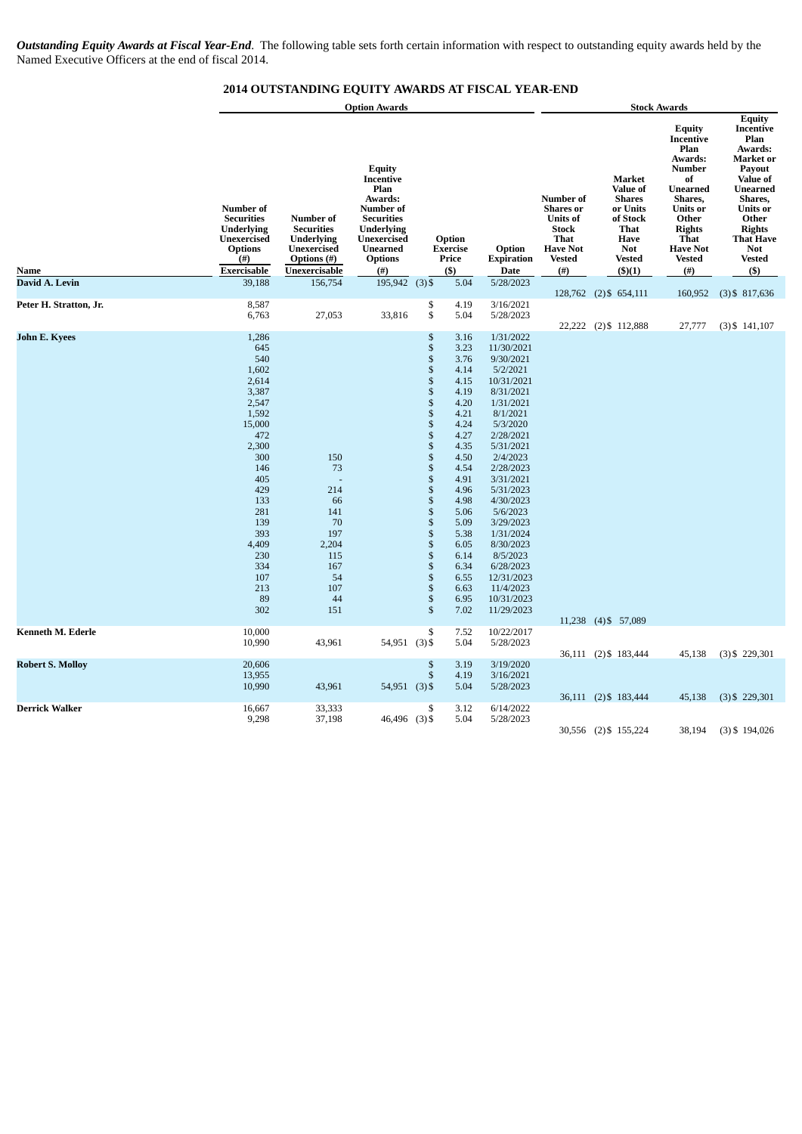*Outstanding Equity Awards at Fiscal Year-End*. The following table sets forth certain information with respect to outstanding equity awards held by the Named Executive Officers at the end of fiscal 2014.

## **2014 OUTSTANDING EQUITY AWARDS AT FISCAL YEAR-END**

|                                                     |                                                                                                                                                                                                      |                                                                                                           | <b>Option Awards</b>                                                                                                                                             |                                                                                                                                                                                                                                                                         |                                                                                                                                                                                                              |                                                                                                                                                                                                                                                                                                                                               | <b>Stock Awards</b>                                                                                                                  |                                                                                                                                           |                                                                                                                                                                                                   |                                                                                                                                                                                                                    |  |
|-----------------------------------------------------|------------------------------------------------------------------------------------------------------------------------------------------------------------------------------------------------------|-----------------------------------------------------------------------------------------------------------|------------------------------------------------------------------------------------------------------------------------------------------------------------------|-------------------------------------------------------------------------------------------------------------------------------------------------------------------------------------------------------------------------------------------------------------------------|--------------------------------------------------------------------------------------------------------------------------------------------------------------------------------------------------------------|-----------------------------------------------------------------------------------------------------------------------------------------------------------------------------------------------------------------------------------------------------------------------------------------------------------------------------------------------|--------------------------------------------------------------------------------------------------------------------------------------|-------------------------------------------------------------------------------------------------------------------------------------------|---------------------------------------------------------------------------------------------------------------------------------------------------------------------------------------------------|--------------------------------------------------------------------------------------------------------------------------------------------------------------------------------------------------------------------|--|
| Name                                                | Number of<br><b>Securities</b><br><b>Underlying</b><br><b>Unexercised</b><br><b>Options</b><br>$^{(#)}$<br>Exercisable                                                                               | Number of<br><b>Securities</b><br><b>Underlying</b><br>Unexercised<br><b>Options</b> (#)<br>Unexercisable | <b>Equity</b><br>Incentive<br>Plan<br>Awards:<br><b>Number</b> of<br><b>Securities</b><br><b>Underlying</b><br>Unexercised<br><b>Unearned</b><br>Options<br>(# ) |                                                                                                                                                                                                                                                                         | Option<br><b>Exercise</b><br>Price<br>$($ \$                                                                                                                                                                 | Option<br><b>Expiration</b><br>Date                                                                                                                                                                                                                                                                                                           | <b>Number</b> of<br><b>Shares</b> or<br><b>Units of</b><br><b>Stock</b><br><b>That</b><br><b>Have Not</b><br><b>Vested</b><br>$($ #) | Market<br>Value of<br><b>Shares</b><br>or Units<br>of Stock<br><b>That</b><br><b>Have</b><br><b>Not</b><br><b>Vested</b><br>$($ \$ $)(1)$ | <b>Equity</b><br>Incentive<br>Plan<br>Awards:<br>Number<br>of<br><b>Unearned</b><br>Shares,<br>Units or<br>Other<br><b>Rights</b><br><b>That</b><br><b>Have Not</b><br><b>Vested</b><br>$($ # $)$ | <b>Equity</b><br>Incentive<br>Plan<br>Awards:<br>Market or<br>Payout<br>Value of<br><b>Unearned</b><br>Shares,<br><b>Units</b> or<br>Other<br><b>Rights</b><br><b>That Have</b><br>Not<br><b>Vested</b><br>$($ \$) |  |
| David A. Levin                                      | 39,188                                                                                                                                                                                               | 156,754                                                                                                   | 195,942                                                                                                                                                          | $(3)$ \$                                                                                                                                                                                                                                                                | 5.04                                                                                                                                                                                                         | 5/28/2023                                                                                                                                                                                                                                                                                                                                     |                                                                                                                                      |                                                                                                                                           |                                                                                                                                                                                                   |                                                                                                                                                                                                                    |  |
| Peter H. Stratton, Jr.                              | 8,587<br>6,763                                                                                                                                                                                       | 27,053                                                                                                    | 33,816                                                                                                                                                           | \$<br>\$                                                                                                                                                                                                                                                                | 4.19<br>5.04                                                                                                                                                                                                 | 3/16/2021<br>5/28/2023                                                                                                                                                                                                                                                                                                                        |                                                                                                                                      | 128,762 (2) \$654,111<br>22,222 (2) \$112,888                                                                                             | 160,952<br>27,777                                                                                                                                                                                 | $(3)$ \$ 817,636<br>$(3)$ \$ 141,107                                                                                                                                                                               |  |
| <b>John E. Kyees</b>                                | 1,286<br>645<br>540<br>1,602<br>2,614<br>3,387<br>2,547<br>1,592<br>15,000<br>472<br>2,300<br>300<br>146<br>405<br>429<br>133<br>281<br>139<br>393<br>4,409<br>230<br>334<br>107<br>213<br>89<br>302 | 150<br>73<br>214<br>66<br>141<br>70<br>197<br>2,204<br>115<br>167<br>54<br>107<br>44<br>151               |                                                                                                                                                                  | \$<br>$\mathbb{S}$<br>$\mathbb S$<br>\$<br>\$<br>\$<br>$\overline{\mathbb{S}}$<br>\$<br>\$<br>\$<br>\$<br>$\mathbb{S}$<br>$\frac{1}{3}$<br>$\mathbb S$<br>\$<br>\$<br>$\mathbb S$<br>$\mathbb S$<br>$\mathbb{S}$<br>\$<br>\$<br>\$<br>$\mathbb{S}$<br>$\mathbb S$<br>\$ | 3.16<br>3.23<br>3.76<br>4.14<br>4.15<br>4.19<br>4.20<br>4.21<br>4.24<br>4.27<br>4.35<br>4.50<br>4.54<br>4.91<br>4.96<br>4.98<br>5.06<br>5.09<br>5.38<br>6.05<br>6.14<br>6.34<br>6.55<br>6.63<br>6.95<br>7.02 | 1/31/2022<br>11/30/2021<br>9/30/2021<br>5/2/2021<br>10/31/2021<br>8/31/2021<br>1/31/2021<br>8/1/2021<br>5/3/2020<br>2/28/2021<br>5/31/2021<br>2/4/2023<br>2/28/2023<br>3/31/2021<br>5/31/2023<br>4/30/2023<br>5/6/2023<br>3/29/2023<br>1/31/2024<br>8/30/2023<br>8/5/2023<br>6/28/2023<br>12/31/2023<br>11/4/2023<br>10/31/2023<br>11/29/2023 |                                                                                                                                      | 11,238 (4) \$ 57,089                                                                                                                      |                                                                                                                                                                                                   |                                                                                                                                                                                                                    |  |
| <b>Kenneth M. Ederle</b><br><b>Robert S. Molloy</b> | 10,000<br>10,990<br>20,606                                                                                                                                                                           | 43,961                                                                                                    | $54,951$ (3) \$                                                                                                                                                  | \$<br>$\mathbb{S}$                                                                                                                                                                                                                                                      | 7.52<br>5.04<br>3.19                                                                                                                                                                                         | 10/22/2017<br>5/28/2023<br>3/19/2020                                                                                                                                                                                                                                                                                                          |                                                                                                                                      | 36,111 (2) \$183,444                                                                                                                      | 45,138                                                                                                                                                                                            | $(3)$ \$ 229,301                                                                                                                                                                                                   |  |
|                                                     | 13,955<br>10,990                                                                                                                                                                                     | 43,961                                                                                                    | 54,951 (3) \$                                                                                                                                                    | $\mathbb{S}$                                                                                                                                                                                                                                                            | 4.19<br>5.04                                                                                                                                                                                                 | 3/16/2021<br>5/28/2023                                                                                                                                                                                                                                                                                                                        |                                                                                                                                      | 36,111 (2) \$183,444                                                                                                                      | 45,138                                                                                                                                                                                            | $(3)$ \$ 229,301                                                                                                                                                                                                   |  |
| <b>Derrick Walker</b>                               | 16,667<br>9,298                                                                                                                                                                                      | 33,333<br>37,198                                                                                          | 46,496 (3) \$                                                                                                                                                    | \$                                                                                                                                                                                                                                                                      | 3.12<br>5.04                                                                                                                                                                                                 | 6/14/2022<br>5/28/2023                                                                                                                                                                                                                                                                                                                        |                                                                                                                                      | 30,556 (2) \$155,224                                                                                                                      | 38,194                                                                                                                                                                                            | $(3)$ \$ 194,026                                                                                                                                                                                                   |  |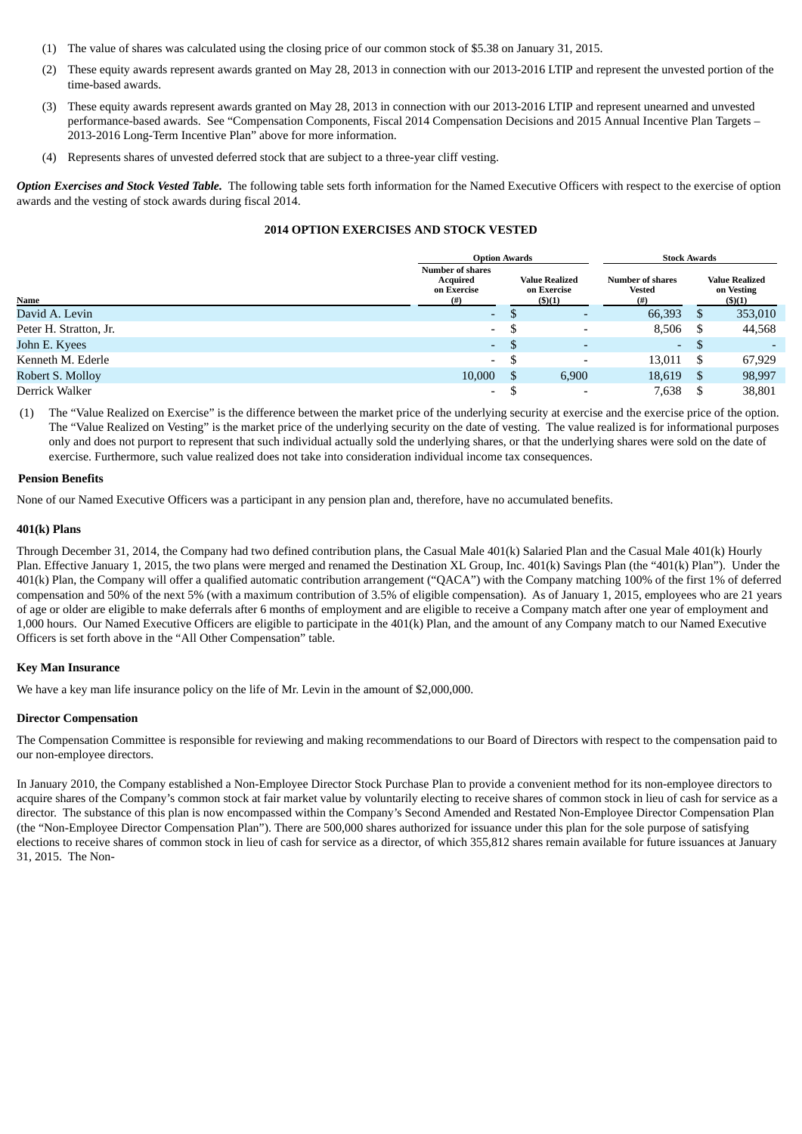- (1) The value of shares was calculated using the closing price of our common stock of \$5.38 on January 31, 2015.
- (2) These equity awards represent awards granted on May 28, 2013 in connection with our 2013-2016 LTIP and represent the unvested portion of the time-based awards.
- (3) These equity awards represent awards granted on May 28, 2013 in connection with our 2013-2016 LTIP and represent unearned and unvested performance-based awards. See "Compensation Components, Fiscal 2014 Compensation Decisions and 2015 Annual Incentive Plan Targets – 2013-2016 Long-Term Incentive Plan" above for more information.
- (4) Represents shares of unvested deferred stock that are subject to a three-year cliff vesting.

*Option Exercises and Stock Vested Table.* The following table sets forth information for the Named Executive Officers with respect to the exercise of option awards and the vesting of stock awards during fiscal 2014.

## **2014 OPTION EXERCISES AND STOCK VESTED**

|                        | <b>Option Awards</b>                                           |    |                                                       | <b>Stock Awards</b>                      |      |                                               |  |  |
|------------------------|----------------------------------------------------------------|----|-------------------------------------------------------|------------------------------------------|------|-----------------------------------------------|--|--|
| Name                   | <b>Number of shares</b><br>Acquired<br>on Exercise<br>$^{(#)}$ |    | <b>Value Realized</b><br>on Exercise<br>$($ \$ $)(1)$ | Number of shares<br><b>Vested</b><br>(#) |      | <b>Value Realized</b><br>on Vesting<br>(5)(1) |  |  |
| David A. Levin         | ٠                                                              |    | $\overline{\phantom{a}}$                              | 66,393                                   | S    | 353,010                                       |  |  |
| Peter H. Stratton, Jr. | $\overline{\phantom{a}}$                                       | ⊅  | $\overline{\phantom{a}}$                              | 8,506                                    | - \$ | 44,568                                        |  |  |
| John E. Kyees          | $\overline{\phantom{a}}$                                       | S  | $\overline{\phantom{0}}$                              | $\sim$                                   | -\$  |                                               |  |  |
| Kenneth M. Ederle      | $\overline{\phantom{a}}$                                       | ъ  | $\overline{\phantom{a}}$                              | 13,011                                   | - \$ | 67,929                                        |  |  |
| Robert S. Molloy       | 10,000                                                         | -S | 6,900                                                 | 18,619                                   | - \$ | 98,997                                        |  |  |
| Derrick Walker         | $\overline{\phantom{a}}$                                       |    | $\overline{\phantom{a}}$                              | 7,638                                    |      | 38,801                                        |  |  |

(1) The "Value Realized on Exercise" is the difference between the market price of the underlying security at exercise and the exercise price of the option. The "Value Realized on Vesting" is the market price of the underlying security on the date of vesting. The value realized is for informational purposes only and does not purport to represent that such individual actually sold the underlying shares, or that the underlying shares were sold on the date of exercise. Furthermore, such value realized does not take into consideration individual income tax consequences.

## **Pension Benefits**

None of our Named Executive Officers was a participant in any pension plan and, therefore, have no accumulated benefits.

### **401(k) Plans**

Through December 31, 2014, the Company had two defined contribution plans, the Casual Male 401(k) Salaried Plan and the Casual Male 401(k) Hourly Plan. Effective January 1, 2015, the two plans were merged and renamed the Destination XL Group, Inc. 401(k) Savings Plan (the "401(k) Plan"). Under the 401(k) Plan, the Company will offer a qualified automatic contribution arrangement ("QACA") with the Company matching 100% of the first 1% of deferred compensation and 50% of the next 5% (with a maximum contribution of 3.5% of eligible compensation). As of January 1, 2015, employees who are 21 years of age or older are eligible to make deferrals after 6 months of employment and are eligible to receive a Company match after one year of employment and 1,000 hours. Our Named Executive Officers are eligible to participate in the 401(k) Plan, and the amount of any Company match to our Named Executive Officers is set forth above in the "All Other Compensation" table.

### **Key Man Insurance**

We have a key man life insurance policy on the life of Mr. Levin in the amount of \$2,000,000.

### **Director Compensation**

The Compensation Committee is responsible for reviewing and making recommendations to our Board of Directors with respect to the compensation paid to our non-employee directors.

In January 2010, the Company established a Non-Employee Director Stock Purchase Plan to provide a convenient method for its non-employee directors to acquire shares of the Company's common stock at fair market value by voluntarily electing to receive shares of common stock in lieu of cash for service as a director. The substance of this plan is now encompassed within the Company's Second Amended and Restated Non-Employee Director Compensation Plan (the "Non-Employee Director Compensation Plan"). There are 500,000 shares authorized for issuance under this plan for the sole purpose of satisfying elections to receive shares of common stock in lieu of cash for service as a director, of which 355,812 shares remain available for future issuances at January 31, 2015. The Non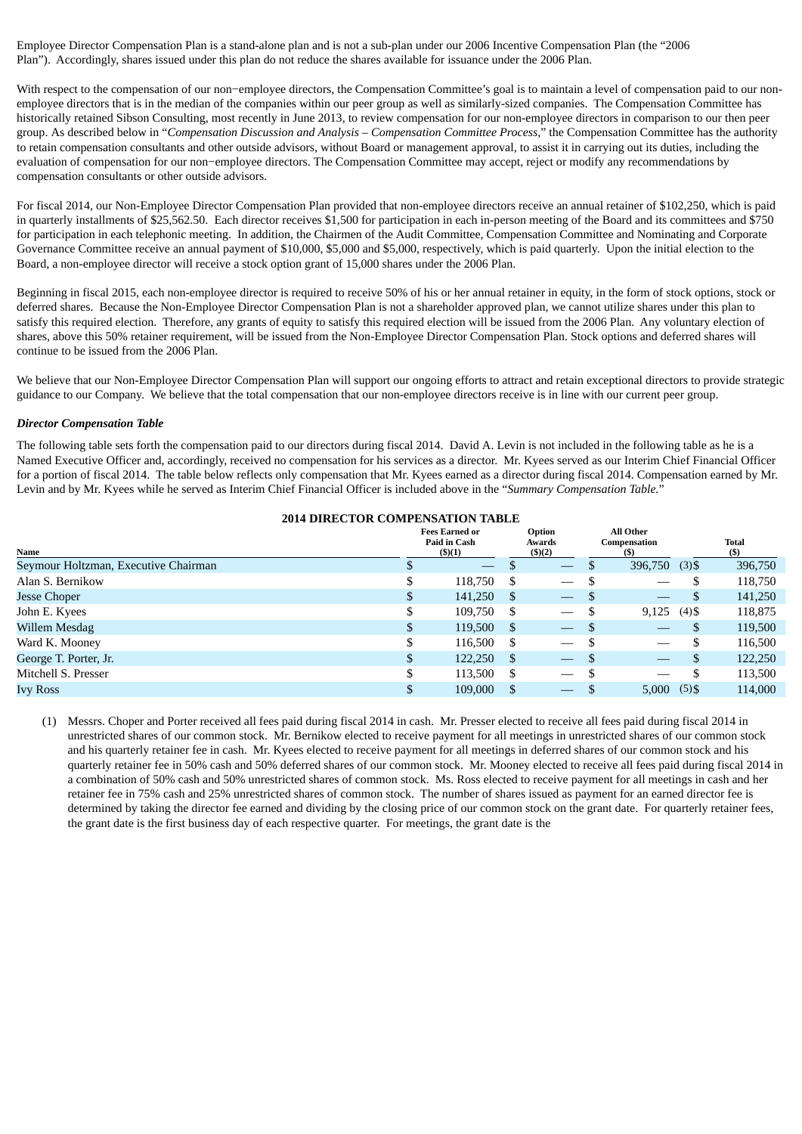Employee Director Compensation Plan is a stand-alone plan and is not a sub-plan under our 2006 Incentive Compensation Plan (the "2006 Plan"). Accordingly, shares issued under this plan do not reduce the shares available for issuance under the 2006 Plan.

With respect to the compensation of our non−employee directors, the Compensation Committee's goal is to maintain a level of compensation paid to our nonemployee directors that is in the median of the companies within our peer group as well as similarly-sized companies. The Compensation Committee has historically retained Sibson Consulting, most recently in June 2013, to review compensation for our non-employee directors in comparison to our then peer group. As described below in "*Compensation Discussion and Analysis – Compensation Committee Process,*" the Compensation Committee has the authority to retain compensation consultants and other outside advisors, without Board or management approval, to assist it in carrying out its duties, including the evaluation of compensation for our non−employee directors. The Compensation Committee may accept, reject or modify any recommendations by compensation consultants or other outside advisors.

For fiscal 2014, our Non-Employee Director Compensation Plan provided that non-employee directors receive an annual retainer of \$102,250, which is paid in quarterly installments of \$25,562.50. Each director receives \$1,500 for participation in each in-person meeting of the Board and its committees and \$750 for participation in each telephonic meeting. In addition, the Chairmen of the Audit Committee, Compensation Committee and Nominating and Corporate Governance Committee receive an annual payment of \$10,000, \$5,000 and \$5,000, respectively, which is paid quarterly. Upon the initial election to the Board, a non-employee director will receive a stock option grant of 15,000 shares under the 2006 Plan.

Beginning in fiscal 2015, each non-employee director is required to receive 50% of his or her annual retainer in equity, in the form of stock options, stock or deferred shares. Because the Non-Employee Director Compensation Plan is not a shareholder approved plan, we cannot utilize shares under this plan to satisfy this required election. Therefore, any grants of equity to satisfy this required election will be issued from the 2006 Plan. Any voluntary election of shares, above this 50% retainer requirement, will be issued from the Non-Employee Director Compensation Plan. Stock options and deferred shares will continue to be issued from the 2006 Plan.

We believe that our Non-Employee Director Compensation Plan will support our ongoing efforts to attract and retain exceptional directors to provide strategic guidance to our Company. We believe that the total compensation that our non-employee directors receive is in line with our current peer group.

### *Director Compensation Table*

The following table sets forth the compensation paid to our directors during fiscal 2014. David A. Levin is not included in the following table as he is a Named Executive Officer and, accordingly, received no compensation for his services as a director. Mr. Kyees served as our Interim Chief Financial Officer for a portion of fiscal 2014. The table below reflects only compensation that Mr. Kyees earned as a director during fiscal 2014. Compensation earned by Mr. Levin and by Mr. Kyees while he served as Interim Chief Financial Officer is included above in the "*Summary Compensation Table.*"

| <b>2014 DIRECTOR COMPENSATION TABLE</b> |    |                                                 |               |                                 |   |                                  |          |                     |
|-----------------------------------------|----|-------------------------------------------------|---------------|---------------------------------|---|----------------------------------|----------|---------------------|
| Name                                    |    | <b>Fees Earned or</b><br>Paid in Cash<br>(5)(1) |               | Option<br>Awards<br>(5)(2)      |   | All Other<br>Compensation<br>(S) |          | <b>Total</b><br>(5) |
| Seymour Holtzman, Executive Chairman    |    |                                                 |               |                                 |   | 396,750                          | $(3)$ \$ | 396,750             |
| Alan S. Bernikow                        | \$ | 118,750                                         | S             |                                 | S |                                  |          | 118,750             |
| <b>Jesse Choper</b>                     | \$ | 141,250                                         | -S            | $\overbrace{\phantom{13333}}$   |   |                                  | S        | 141,250             |
| John E. Kyees                           |    | 109.750                                         | S             | $\overline{\phantom{0}}$        |   | 9,125                            | $(4)$ \$ | 118,875             |
| Willem Mesdag                           | \$ | 119,500                                         | <sup>\$</sup> | $\hspace{0.1mm}-\hspace{0.1mm}$ |   |                                  | J        | 119,500             |
| Ward K. Mooney                          | \$ | 116,500                                         | S             | $\overline{\phantom{0}}$        |   |                                  |          | 116,500             |
| George T. Porter, Jr.                   | \$ | 122,250                                         | -S            | $\overline{\phantom{0}}$        | S |                                  |          | 122,250             |
| Mitchell S. Presser                     | \$ | 113,500                                         | -S            |                                 |   |                                  |          | 113,500             |
| <b>Ivy Ross</b>                         |    | 109,000                                         |               | $\overline{\phantom{0}}$        |   | 5,000                            | $(5)$ \$ | 114,000             |

(1) Messrs. Choper and Porter received all fees paid during fiscal 2014 in cash. Mr. Presser elected to receive all fees paid during fiscal 2014 in unrestricted shares of our common stock. Mr. Bernikow elected to receive payment for all meetings in unrestricted shares of our common stock and his quarterly retainer fee in cash. Mr. Kyees elected to receive payment for all meetings in deferred shares of our common stock and his quarterly retainer fee in 50% cash and 50% deferred shares of our common stock. Mr. Mooney elected to receive all fees paid during fiscal 2014 in a combination of 50% cash and 50% unrestricted shares of common stock. Ms. Ross elected to receive payment for all meetings in cash and her retainer fee in 75% cash and 25% unrestricted shares of common stock. The number of shares issued as payment for an earned director fee is determined by taking the director fee earned and dividing by the closing price of our common stock on the grant date. For quarterly retainer fees, the grant date is the first business day of each respective quarter. For meetings, the grant date is the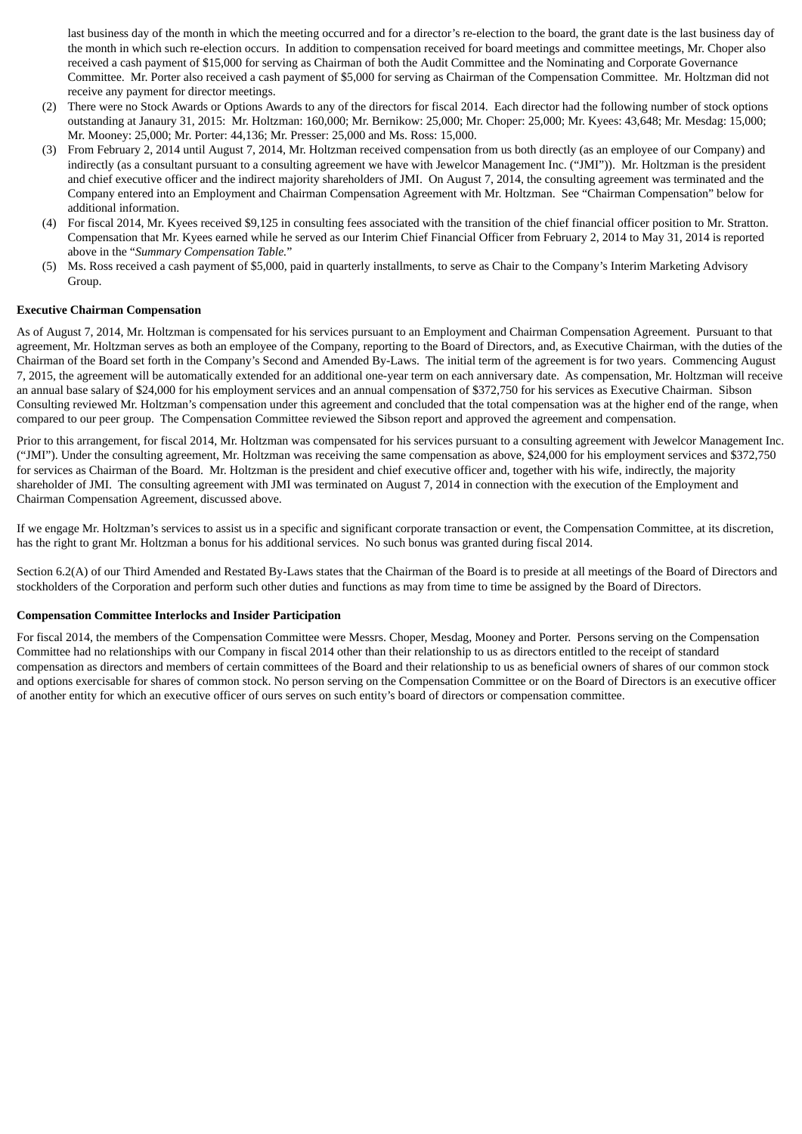last business day of the month in which the meeting occurred and for a director's re-election to the board, the grant date is the last business day of the month in which such re-election occurs. In addition to compensation received for board meetings and committee meetings, Mr. Choper also received a cash payment of \$15,000 for serving as Chairman of both the Audit Committee and the Nominating and Corporate Governance Committee. Mr. Porter also received a cash payment of \$5,000 for serving as Chairman of the Compensation Committee. Mr. Holtzman did not receive any payment for director meetings.

- (2) There were no Stock Awards or Options Awards to any of the directors for fiscal 2014. Each director had the following number of stock options outstanding at Janaury 31, 2015: Mr. Holtzman: 160,000; Mr. Bernikow: 25,000; Mr. Choper: 25,000; Mr. Kyees: 43,648; Mr. Mesdag: 15,000; Mr. Mooney: 25,000; Mr. Porter: 44,136; Mr. Presser: 25,000 and Ms. Ross: 15,000.
- (3) From February 2, 2014 until August 7, 2014, Mr. Holtzman received compensation from us both directly (as an employee of our Company) and indirectly (as a consultant pursuant to a consulting agreement we have with Jewelcor Management Inc. ("JMI")). Mr. Holtzman is the president and chief executive officer and the indirect majority shareholders of JMI. On August 7, 2014, the consulting agreement was terminated and the Company entered into an Employment and Chairman Compensation Agreement with Mr. Holtzman. See "Chairman Compensation" below for additional information.
- (4) For fiscal 2014, Mr. Kyees received \$9,125 in consulting fees associated with the transition of the chief financial officer position to Mr. Stratton. Compensation that Mr. Kyees earned while he served as our Interim Chief Financial Officer from February 2, 2014 to May 31, 2014 is reported above in the "*Summary Compensation Table.*"
- (5) Ms. Ross received a cash payment of \$5,000, paid in quarterly installments, to serve as Chair to the Company's Interim Marketing Advisory Group.

### **Executive Chairman Compensation**

As of August 7, 2014, Mr. Holtzman is compensated for his services pursuant to an Employment and Chairman Compensation Agreement. Pursuant to that agreement, Mr. Holtzman serves as both an employee of the Company, reporting to the Board of Directors, and, as Executive Chairman, with the duties of the Chairman of the Board set forth in the Company's Second and Amended By-Laws. The initial term of the agreement is for two years. Commencing August 7, 2015, the agreement will be automatically extended for an additional one-year term on each anniversary date. As compensation, Mr. Holtzman will receive an annual base salary of \$24,000 for his employment services and an annual compensation of \$372,750 for his services as Executive Chairman. Sibson Consulting reviewed Mr. Holtzman's compensation under this agreement and concluded that the total compensation was at the higher end of the range, when compared to our peer group. The Compensation Committee reviewed the Sibson report and approved the agreement and compensation.

Prior to this arrangement, for fiscal 2014, Mr. Holtzman was compensated for his services pursuant to a consulting agreement with Jewelcor Management Inc. ("JMI"). Under the consulting agreement, Mr. Holtzman was receiving the same compensation as above, \$24,000 for his employment services and \$372,750 for services as Chairman of the Board. Mr. Holtzman is the president and chief executive officer and, together with his wife, indirectly, the majority shareholder of JMI. The consulting agreement with JMI was terminated on August 7, 2014 in connection with the execution of the Employment and Chairman Compensation Agreement, discussed above.

If we engage Mr. Holtzman's services to assist us in a specific and significant corporate transaction or event, the Compensation Committee, at its discretion, has the right to grant Mr. Holtzman a bonus for his additional services. No such bonus was granted during fiscal 2014.

Section 6.2(A) of our Third Amended and Restated By-Laws states that the Chairman of the Board is to preside at all meetings of the Board of Directors and stockholders of the Corporation and perform such other duties and functions as may from time to time be assigned by the Board of Directors.

### **Compensation Committee Interlocks and Insider Participation**

For fiscal 2014, the members of the Compensation Committee were Messrs. Choper, Mesdag, Mooney and Porter. Persons serving on the Compensation Committee had no relationships with our Company in fiscal 2014 other than their relationship to us as directors entitled to the receipt of standard compensation as directors and members of certain committees of the Board and their relationship to us as beneficial owners of shares of our common stock and options exercisable for shares of common stock. No person serving on the Compensation Committee or on the Board of Directors is an executive officer of another entity for which an executive officer of ours serves on such entity's board of directors or compensation committee.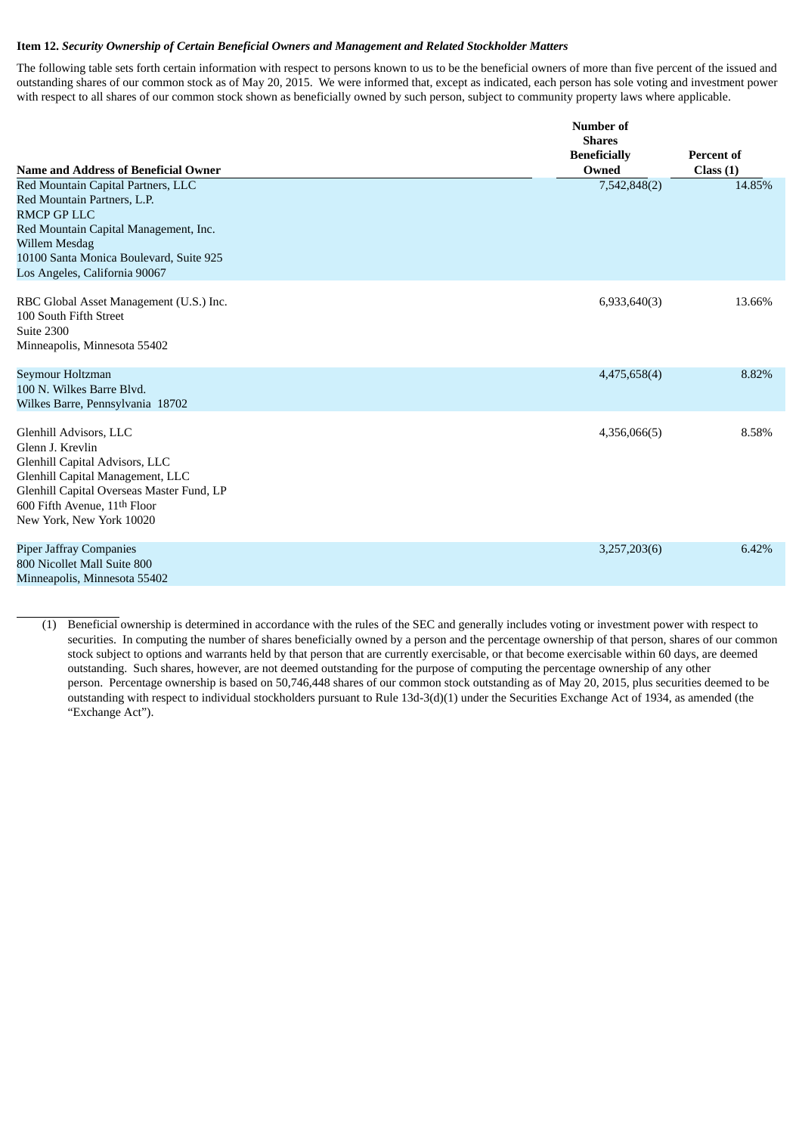#### **Item 12.** *Security Ownership of Certain Beneficial Owners and Management and Related Stockholder Matters*

The following table sets forth certain information with respect to persons known to us to be the beneficial owners of more than five percent of the issued and outstanding shares of our common stock as of May 20, 2015. We were informed that, except as indicated, each person has sole voting and investment power with respect to all shares of our common stock shown as beneficially owned by such person, subject to community property laws where applicable.

|                                                                                                                                                                                                                               | Number of<br><b>Shares</b>   |                               |
|-------------------------------------------------------------------------------------------------------------------------------------------------------------------------------------------------------------------------------|------------------------------|-------------------------------|
| <b>Name and Address of Beneficial Owner</b>                                                                                                                                                                                   | <b>Beneficially</b><br>Owned | <b>Percent of</b><br>Class(1) |
| Red Mountain Capital Partners, LLC<br>Red Mountain Partners, L.P.<br><b>RMCP GP LLC</b><br>Red Mountain Capital Management, Inc.<br>Willem Mesdag<br>10100 Santa Monica Boulevard, Suite 925<br>Los Angeles, California 90067 | 7,542,848(2)                 | 14.85%                        |
| RBC Global Asset Management (U.S.) Inc.<br>100 South Fifth Street<br>Suite 2300<br>Minneapolis, Minnesota 55402                                                                                                               | 6,933,640(3)                 | 13.66%                        |
| Seymour Holtzman<br>100 N. Wilkes Barre Blyd.<br>Wilkes Barre, Pennsylvania 18702                                                                                                                                             | 4,475,658(4)                 | 8.82%                         |
| Glenhill Advisors, LLC<br>Glenn J. Krevlin<br>Glenhill Capital Advisors, LLC<br>Glenhill Capital Management, LLC<br>Glenhill Capital Overseas Master Fund, LP<br>600 Fifth Avenue, 11th Floor<br>New York, New York 10020     | 4,356,066(5)                 | 8.58%                         |
| <b>Piper Jaffray Companies</b><br>800 Nicollet Mall Suite 800<br>Minneapolis, Minnesota 55402                                                                                                                                 | 3,257,203(6)                 | 6.42%                         |

(1) Beneficial ownership is determined in accordance with the rules of the SEC and generally includes voting or investment power with respect to securities. In computing the number of shares beneficially owned by a person and the percentage ownership of that person, shares of our common stock subject to options and warrants held by that person that are currently exercisable, or that become exercisable within 60 days, are deemed outstanding. Such shares, however, are not deemed outstanding for the purpose of computing the percentage ownership of any other person. Percentage ownership is based on 50,746,448 shares of our common stock outstanding as of May 20, 2015, plus securities deemed to be outstanding with respect to individual stockholders pursuant to Rule 13d-3(d)(1) under the Securities Exchange Act of 1934, as amended (the "Exchange Act").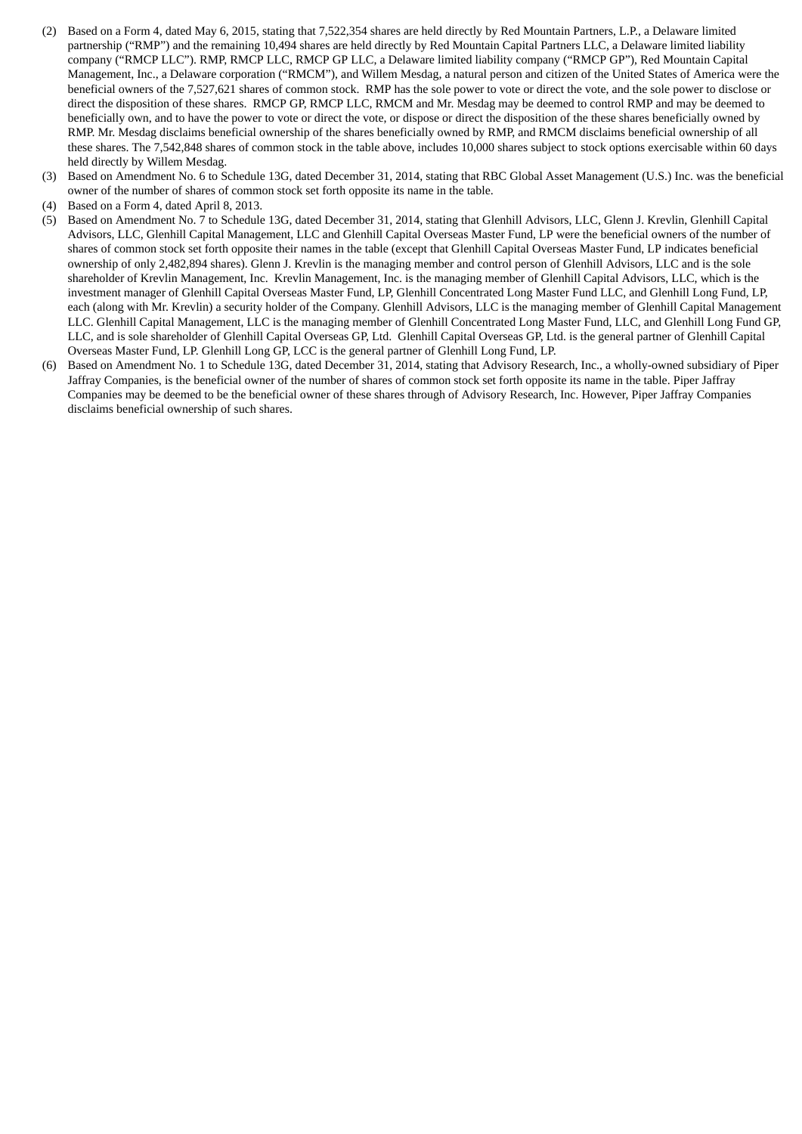- (2) Based on a Form 4, dated May 6, 2015, stating that 7,522,354 shares are held directly by Red Mountain Partners, L.P., a Delaware limited partnership ("RMP") and the remaining 10,494 shares are held directly by Red Mountain Capital Partners LLC, a Delaware limited liability company ("RMCP LLC"). RMP, RMCP LLC, RMCP GP LLC, a Delaware limited liability company ("RMCP GP"), Red Mountain Capital Management, Inc., a Delaware corporation ("RMCM"), and Willem Mesdag, a natural person and citizen of the United States of America were the beneficial owners of the 7,527,621 shares of common stock. RMP has the sole power to vote or direct the vote, and the sole power to disclose or direct the disposition of these shares. RMCP GP, RMCP LLC, RMCM and Mr. Mesdag may be deemed to control RMP and may be deemed to beneficially own, and to have the power to vote or direct the vote, or dispose or direct the disposition of the these shares beneficially owned by RMP. Mr. Mesdag disclaims beneficial ownership of the shares beneficially owned by RMP, and RMCM disclaims beneficial ownership of all these shares. The 7,542,848 shares of common stock in the table above, includes 10,000 shares subject to stock options exercisable within 60 days held directly by Willem Mesdag.
- (3) Based on Amendment No. 6 to Schedule 13G, dated December 31, 2014, stating that RBC Global Asset Management (U.S.) Inc. was the beneficial owner of the number of shares of common stock set forth opposite its name in the table.
- (4) Based on a Form 4, dated April 8, 2013.
- (5) Based on Amendment No. 7 to Schedule 13G, dated December 31, 2014, stating that Glenhill Advisors, LLC, Glenn J. Krevlin, Glenhill Capital Advisors, LLC, Glenhill Capital Management, LLC and Glenhill Capital Overseas Master Fund, LP were the beneficial owners of the number of shares of common stock set forth opposite their names in the table (except that Glenhill Capital Overseas Master Fund, LP indicates beneficial ownership of only 2,482,894 shares). Glenn J. Krevlin is the managing member and control person of Glenhill Advisors, LLC and is the sole shareholder of Krevlin Management, Inc. Krevlin Management, Inc. is the managing member of Glenhill Capital Advisors, LLC, which is the investment manager of Glenhill Capital Overseas Master Fund, LP, Glenhill Concentrated Long Master Fund LLC, and Glenhill Long Fund, LP, each (along with Mr. Krevlin) a security holder of the Company. Glenhill Advisors, LLC is the managing member of Glenhill Capital Management LLC. Glenhill Capital Management, LLC is the managing member of Glenhill Concentrated Long Master Fund, LLC, and Glenhill Long Fund GP, LLC, and is sole shareholder of Glenhill Capital Overseas GP, Ltd. Glenhill Capital Overseas GP, Ltd. is the general partner of Glenhill Capital Overseas Master Fund, LP. Glenhill Long GP, LCC is the general partner of Glenhill Long Fund, LP.
- (6) Based on Amendment No. 1 to Schedule 13G, dated December 31, 2014, stating that Advisory Research, Inc., a wholly-owned subsidiary of Piper Jaffray Companies, is the beneficial owner of the number of shares of common stock set forth opposite its name in the table. Piper Jaffray Companies may be deemed to be the beneficial owner of these shares through of Advisory Research, Inc. However, Piper Jaffray Companies disclaims beneficial ownership of such shares.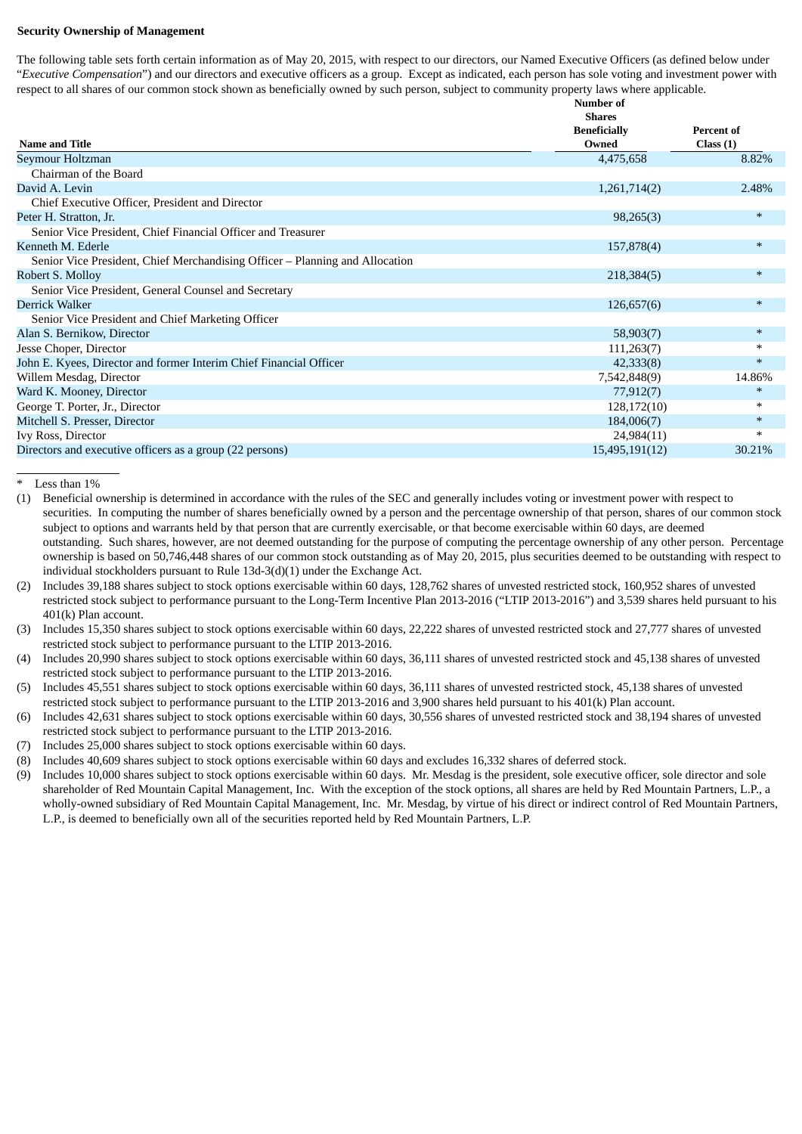### **Security Ownership of Management**

The following table sets forth certain information as of May 20, 2015, with respect to our directors, our Named Executive Officers (as defined below under "*Executive Compensation*") and our directors and executive officers as a group. Except as indicated, each person has sole voting and investment power with respect to all shares of our common stock shown as beneficially owned by such person, subject to community property laws where applicable.

|                                                                              | Number of                                     |                               |
|------------------------------------------------------------------------------|-----------------------------------------------|-------------------------------|
| <b>Name and Title</b>                                                        | <b>Shares</b><br><b>Beneficially</b><br>Owned | <b>Percent of</b><br>Class(1) |
| Seymour Holtzman                                                             | 4,475,658                                     | 8.82%                         |
| Chairman of the Board                                                        |                                               |                               |
| David A. Levin                                                               | 1,261,714(2)                                  | 2.48%                         |
| Chief Executive Officer, President and Director                              |                                               |                               |
| Peter H. Stratton, Jr.                                                       | 98,265(3)                                     | $\ast$                        |
| Senior Vice President, Chief Financial Officer and Treasurer                 |                                               |                               |
| Kenneth M. Ederle                                                            | 157,878(4)                                    | $\ast$                        |
| Senior Vice President, Chief Merchandising Officer – Planning and Allocation |                                               |                               |
| Robert S. Molloy                                                             | 218,384(5)                                    | $\ast$                        |
| Senior Vice President, General Counsel and Secretary                         |                                               |                               |
| <b>Derrick Walker</b>                                                        | 126,657(6)                                    | $\ast$                        |
| Senior Vice President and Chief Marketing Officer                            |                                               |                               |
| Alan S. Bernikow, Director                                                   | 58,903(7)                                     | $\ast$                        |
| Jesse Choper, Director                                                       | 111,263(7)                                    | $\ast$                        |
| John E. Kyees, Director and former Interim Chief Financial Officer           | 42,333(8)                                     | $\ast$                        |
| Willem Mesdag, Director                                                      | 7,542,848(9)                                  | 14.86%                        |
| Ward K. Mooney, Director                                                     | 77,912(7)                                     | $\ast$                        |
| George T. Porter, Jr., Director                                              | 128,172(10)                                   | $\ast$                        |
| Mitchell S. Presser, Director                                                | 184,006(7)                                    | $\ast$                        |
| Ivy Ross, Director                                                           | 24,984(11)                                    | $\ast$                        |
| Directors and executive officers as a group (22 persons)                     | 15,495,191(12)                                | 30.21%                        |

\* Less than 1%

(1) Beneficial ownership is determined in accordance with the rules of the SEC and generally includes voting or investment power with respect to securities. In computing the number of shares beneficially owned by a person and the percentage ownership of that person, shares of our common stock subject to options and warrants held by that person that are currently exercisable, or that become exercisable within 60 days, are deemed outstanding. Such shares, however, are not deemed outstanding for the purpose of computing the percentage ownership of any other person. Percentage ownership is based on 50,746,448 shares of our common stock outstanding as of May 20, 2015, plus securities deemed to be outstanding with respect to individual stockholders pursuant to Rule 13d-3(d)(1) under the Exchange Act.

- (2) Includes 39,188 shares subject to stock options exercisable within 60 days, 128,762 shares of unvested restricted stock, 160,952 shares of unvested restricted stock subject to performance pursuant to the Long-Term Incentive Plan 2013-2016 ("LTIP 2013-2016") and 3,539 shares held pursuant to his 401(k) Plan account.
- (3) Includes 15,350 shares subject to stock options exercisable within 60 days, 22,222 shares of unvested restricted stock and 27,777 shares of unvested restricted stock subject to performance pursuant to the LTIP 2013-2016.
- (4) Includes 20,990 shares subject to stock options exercisable within 60 days, 36,111 shares of unvested restricted stock and 45,138 shares of unvested restricted stock subject to performance pursuant to the LTIP 2013-2016.
- (5) Includes 45,551 shares subject to stock options exercisable within 60 days, 36,111 shares of unvested restricted stock, 45,138 shares of unvested restricted stock subject to performance pursuant to the LTIP 2013-2016 and 3,900 shares held pursuant to his 401(k) Plan account.
- (6) Includes 42,631 shares subject to stock options exercisable within 60 days, 30,556 shares of unvested restricted stock and 38,194 shares of unvested restricted stock subject to performance pursuant to the LTIP 2013-2016.
- (7) Includes 25,000 shares subject to stock options exercisable within 60 days.
- (8) Includes 40,609 shares subject to stock options exercisable within 60 days and excludes 16,332 shares of deferred stock.
- (9) Includes 10,000 shares subject to stock options exercisable within 60 days. Mr. Mesdag is the president, sole executive officer, sole director and sole shareholder of Red Mountain Capital Management, Inc. With the exception of the stock options, all shares are held by Red Mountain Partners, L.P., a wholly-owned subsidiary of Red Mountain Capital Management, Inc. Mr. Mesdag, by virtue of his direct or indirect control of Red Mountain Partners, L.P., is deemed to beneficially own all of the securities reported held by Red Mountain Partners, L.P.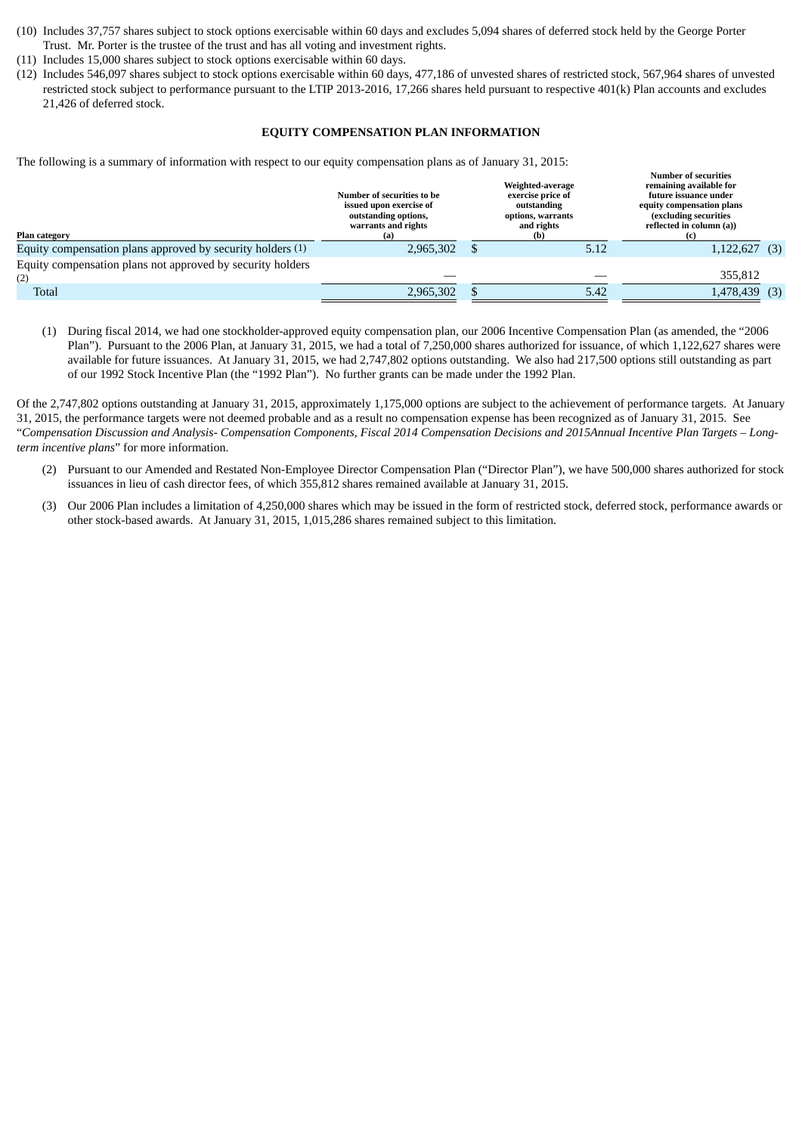- (10) Includes 37,757 shares subject to stock options exercisable within 60 days and excludes 5,094 shares of deferred stock held by the George Porter Trust. Mr. Porter is the trustee of the trust and has all voting and investment rights.
- (11) Includes 15,000 shares subject to stock options exercisable within 60 days.
- (12) Includes 546,097 shares subject to stock options exercisable within 60 days, 477,186 of unvested shares of restricted stock, 567,964 shares of unvested restricted stock subject to performance pursuant to the LTIP 2013-2016, 17,266 shares held pursuant to respective 401(k) Plan accounts and excludes 21,426 of deferred stock.

#### **EQUITY COMPENSATION PLAN INFORMATION**

The following is a summary of information with respect to our equity compensation plans as of January 31, 2015:

| Plan category                                                     | Number of securities to be<br>issued upon exercise of<br>outstanding options,<br>warrants and rights<br>(a) | Weighted-average<br>exercise price of<br>outstanding<br>options, warrants<br>and rights<br>(b) |      | <b>Number of securities</b><br>remaining available for<br>future issuance under<br>equity compensation plans<br>(excluding securities)<br>reflected in column (a)) |  |
|-------------------------------------------------------------------|-------------------------------------------------------------------------------------------------------------|------------------------------------------------------------------------------------------------|------|--------------------------------------------------------------------------------------------------------------------------------------------------------------------|--|
| Equity compensation plans approved by security holders (1)        | 2,965,302                                                                                                   |                                                                                                | 5.12 | $1,122,627$ (3)                                                                                                                                                    |  |
| Equity compensation plans not approved by security holders<br>(2) |                                                                                                             |                                                                                                |      | 355,812                                                                                                                                                            |  |
| <b>Total</b>                                                      | 2,965,302                                                                                                   |                                                                                                | 5.42 | $1,478,439$ (3)                                                                                                                                                    |  |

(1) During fiscal 2014, we had one stockholder-approved equity compensation plan, our 2006 Incentive Compensation Plan (as amended, the "2006 Plan"). Pursuant to the 2006 Plan, at January 31, 2015, we had a total of 7,250,000 shares authorized for issuance, of which 1,122,627 shares were available for future issuances. At January 31, 2015, we had 2,747,802 options outstanding. We also had 217,500 options still outstanding as part of our 1992 Stock Incentive Plan (the "1992 Plan"). No further grants can be made under the 1992 Plan.

Of the 2,747,802 options outstanding at January 31, 2015, approximately 1,175,000 options are subject to the achievement of performance targets. At January 31, 2015, the performance targets were not deemed probable and as a result no compensation expense has been recognized as of January 31, 2015. See "Compensation Discussion and Analysis- Compensation Components, Fiscal 2014 Compensation Decisions and 2015Annual Incentive Plan Targets - Long*term incentive plans*" for more information.

- (2) Pursuant to our Amended and Restated Non-Employee Director Compensation Plan ("Director Plan"), we have 500,000 shares authorized for stock issuances in lieu of cash director fees, of which 355,812 shares remained available at January 31, 2015.
- (3) Our 2006 Plan includes a limitation of 4,250,000 shares which may be issued in the form of restricted stock, deferred stock, performance awards or other stock-based awards. At January 31, 2015, 1,015,286 shares remained subject to this limitation.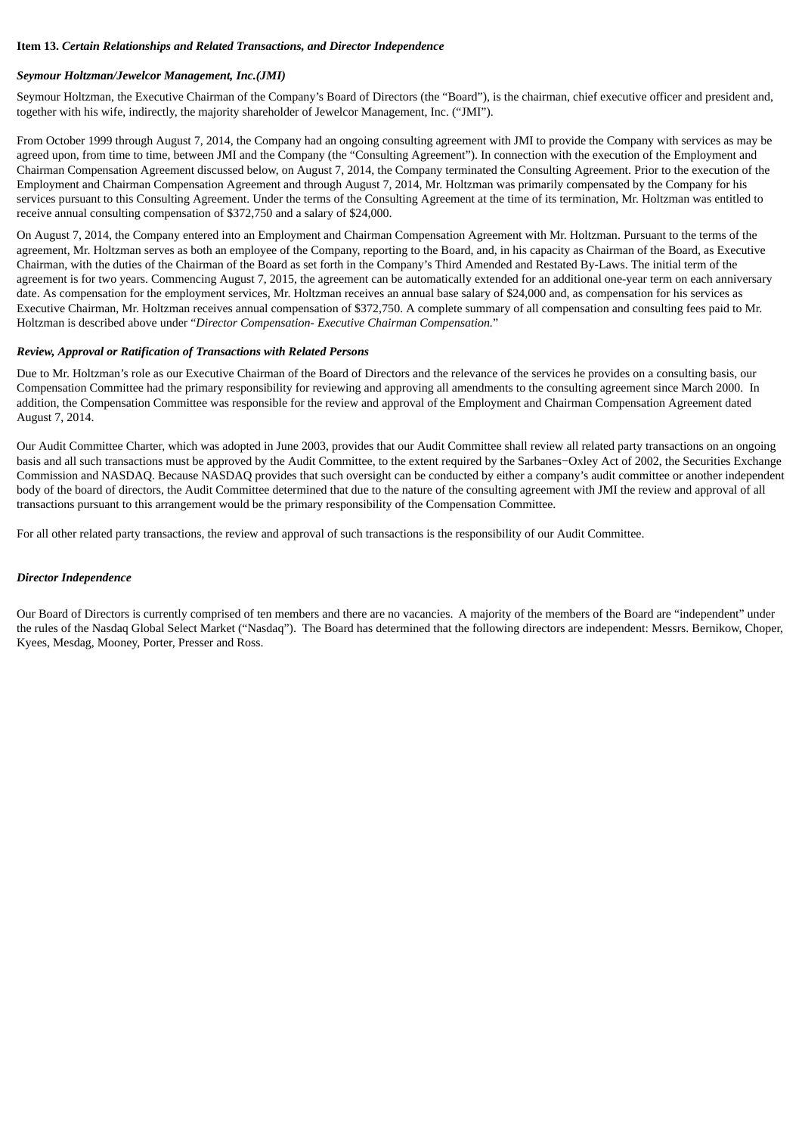#### **Item 13.** *Certain Relationships and Related Transactions, and Director Independence*

### *Seymour Holtzman/Jewelcor Management, Inc.(JMI)*

Seymour Holtzman, the Executive Chairman of the Company's Board of Directors (the "Board"), is the chairman, chief executive officer and president and, together with his wife, indirectly, the majority shareholder of Jewelcor Management, Inc. ("JMI").

From October 1999 through August 7, 2014, the Company had an ongoing consulting agreement with JMI to provide the Company with services as may be agreed upon, from time to time, between JMI and the Company (the "Consulting Agreement"). In connection with the execution of the Employment and Chairman Compensation Agreement discussed below, on August 7, 2014, the Company terminated the Consulting Agreement. Prior to the execution of the Employment and Chairman Compensation Agreement and through August 7, 2014, Mr. Holtzman was primarily compensated by the Company for his services pursuant to this Consulting Agreement. Under the terms of the Consulting Agreement at the time of its termination, Mr. Holtzman was entitled to receive annual consulting compensation of \$372,750 and a salary of \$24,000.

On August 7, 2014, the Company entered into an Employment and Chairman Compensation Agreement with Mr. Holtzman. Pursuant to the terms of the agreement, Mr. Holtzman serves as both an employee of the Company, reporting to the Board, and, in his capacity as Chairman of the Board, as Executive Chairman, with the duties of the Chairman of the Board as set forth in the Company's Third Amended and Restated By-Laws. The initial term of the agreement is for two years. Commencing August 7, 2015, the agreement can be automatically extended for an additional one-year term on each anniversary date. As compensation for the employment services, Mr. Holtzman receives an annual base salary of \$24,000 and, as compensation for his services as Executive Chairman, Mr. Holtzman receives annual compensation of \$372,750. A complete summary of all compensation and consulting fees paid to Mr. Holtzman is described above under "*Director Compensation- Executive Chairman Compensation.*"

### *Review, Approval or Ratification of Transactions with Related Persons*

Due to Mr. Holtzman's role as our Executive Chairman of the Board of Directors and the relevance of the services he provides on a consulting basis, our Compensation Committee had the primary responsibility for reviewing and approving all amendments to the consulting agreement since March 2000. In addition, the Compensation Committee was responsible for the review and approval of the Employment and Chairman Compensation Agreement dated August 7, 2014.

Our Audit Committee Charter, which was adopted in June 2003, provides that our Audit Committee shall review all related party transactions on an ongoing basis and all such transactions must be approved by the Audit Committee, to the extent required by the Sarbanes−Oxley Act of 2002, the Securities Exchange Commission and NASDAQ. Because NASDAQ provides that such oversight can be conducted by either a company's audit committee or another independent body of the board of directors, the Audit Committee determined that due to the nature of the consulting agreement with JMI the review and approval of all transactions pursuant to this arrangement would be the primary responsibility of the Compensation Committee.

For all other related party transactions, the review and approval of such transactions is the responsibility of our Audit Committee.

### *Director Independence*

Our Board of Directors is currently comprised of ten members and there are no vacancies. A majority of the members of the Board are "independent" under the rules of the Nasdaq Global Select Market ("Nasdaq"). The Board has determined that the following directors are independent: Messrs. Bernikow, Choper, Kyees, Mesdag, Mooney, Porter, Presser and Ross.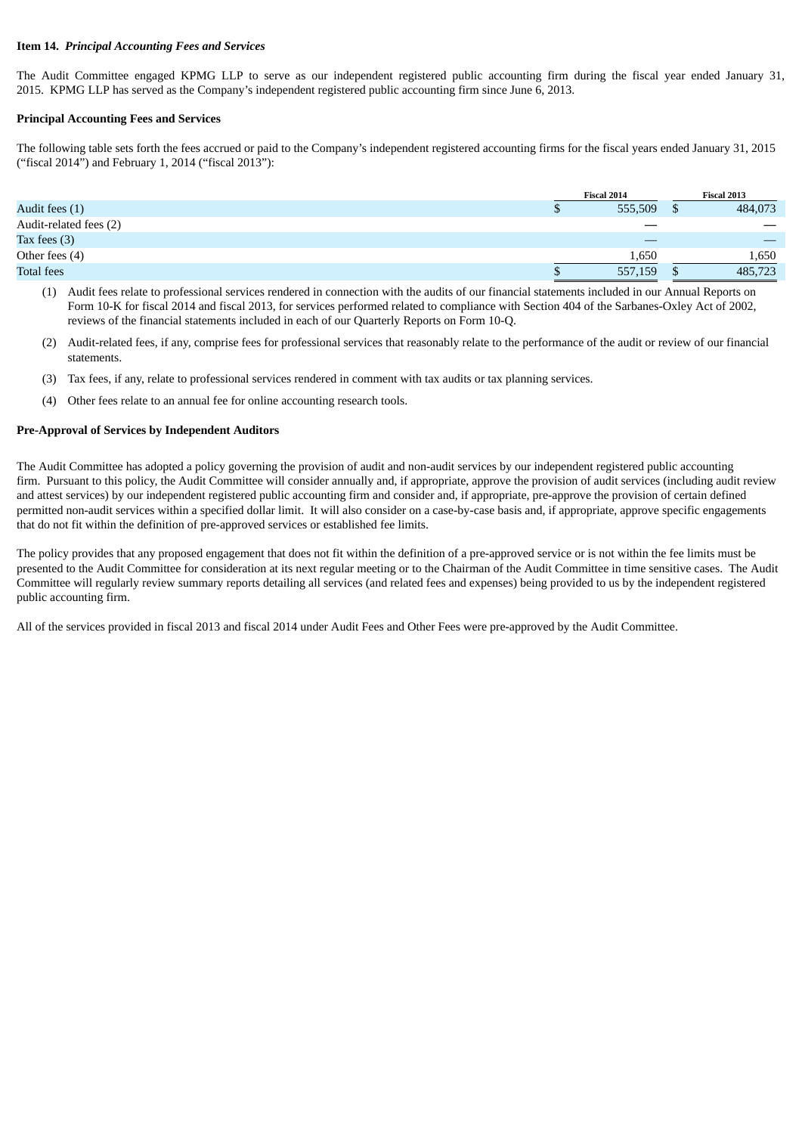#### **Item 14.** *Principal Accounting Fees and Services*

The Audit Committee engaged KPMG LLP to serve as our independent registered public accounting firm during the fiscal year ended January 31, 2015. KPMG LLP has served as the Company's independent registered public accounting firm since June 6, 2013.

### **Principal Accounting Fees and Services**

The following table sets forth the fees accrued or paid to the Company's independent registered accounting firms for the fiscal years ended January 31, 2015 ("fiscal 2014") and February 1, 2014 ("fiscal 2013"):

|                        | Fiscal 2014 |  | Fiscal 2013 |  |
|------------------------|-------------|--|-------------|--|
| Audit fees (1)         | 555,509     |  | 484,073     |  |
| Audit-related fees (2) |             |  |             |  |
| Tax fees $(3)$         |             |  | _           |  |
| Other fees (4)         | 1,650       |  | 1,650       |  |
| <b>Total fees</b>      | 557,159     |  | 485,723     |  |

(1) Audit fees relate to professional services rendered in connection with the audits of our financial statements included in our Annual Reports on Form 10-K for fiscal 2014 and fiscal 2013, for services performed related to compliance with Section 404 of the Sarbanes-Oxley Act of 2002, reviews of the financial statements included in each of our Quarterly Reports on Form 10-Q.

- (2) Audit-related fees, if any, comprise fees for professional services that reasonably relate to the performance of the audit or review of our financial statements.
- (3) Tax fees, if any, relate to professional services rendered in comment with tax audits or tax planning services.
- (4) Other fees relate to an annual fee for online accounting research tools.

#### **Pre-Approval of Services by Independent Auditors**

The Audit Committee has adopted a policy governing the provision of audit and non-audit services by our independent registered public accounting firm. Pursuant to this policy, the Audit Committee will consider annually and, if appropriate, approve the provision of audit services (including audit review and attest services) by our independent registered public accounting firm and consider and, if appropriate, pre-approve the provision of certain defined permitted non-audit services within a specified dollar limit. It will also consider on a case-by-case basis and, if appropriate, approve specific engagements that do not fit within the definition of pre-approved services or established fee limits.

The policy provides that any proposed engagement that does not fit within the definition of a pre-approved service or is not within the fee limits must be presented to the Audit Committee for consideration at its next regular meeting or to the Chairman of the Audit Committee in time sensitive cases. The Audit Committee will regularly review summary reports detailing all services (and related fees and expenses) being provided to us by the independent registered public accounting firm.

All of the services provided in fiscal 2013 and fiscal 2014 under Audit Fees and Other Fees were pre-approved by the Audit Committee.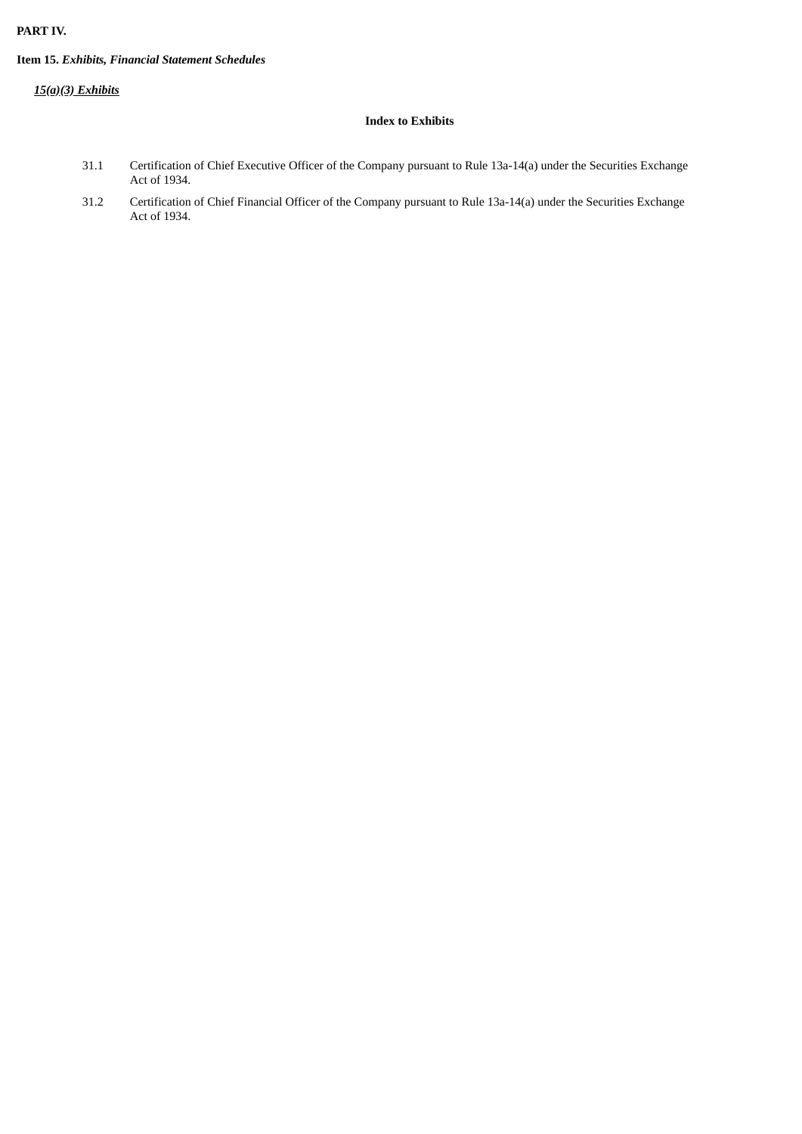## **PART IV.**

## **Item 15.** *Exhibits, Financial Statement Schedules*

## *15(a)(3) Exhibits*

## **Index to Exhibits**

- 31.1 Certification of Chief Executive Officer of the Company pursuant to Rule 13a-14(a) under the Securities Exchange Act of 1934.
- 31.2 Certification of Chief Financial Officer of the Company pursuant to Rule 13a-14(a) under the Securities Exchange Act of 1934.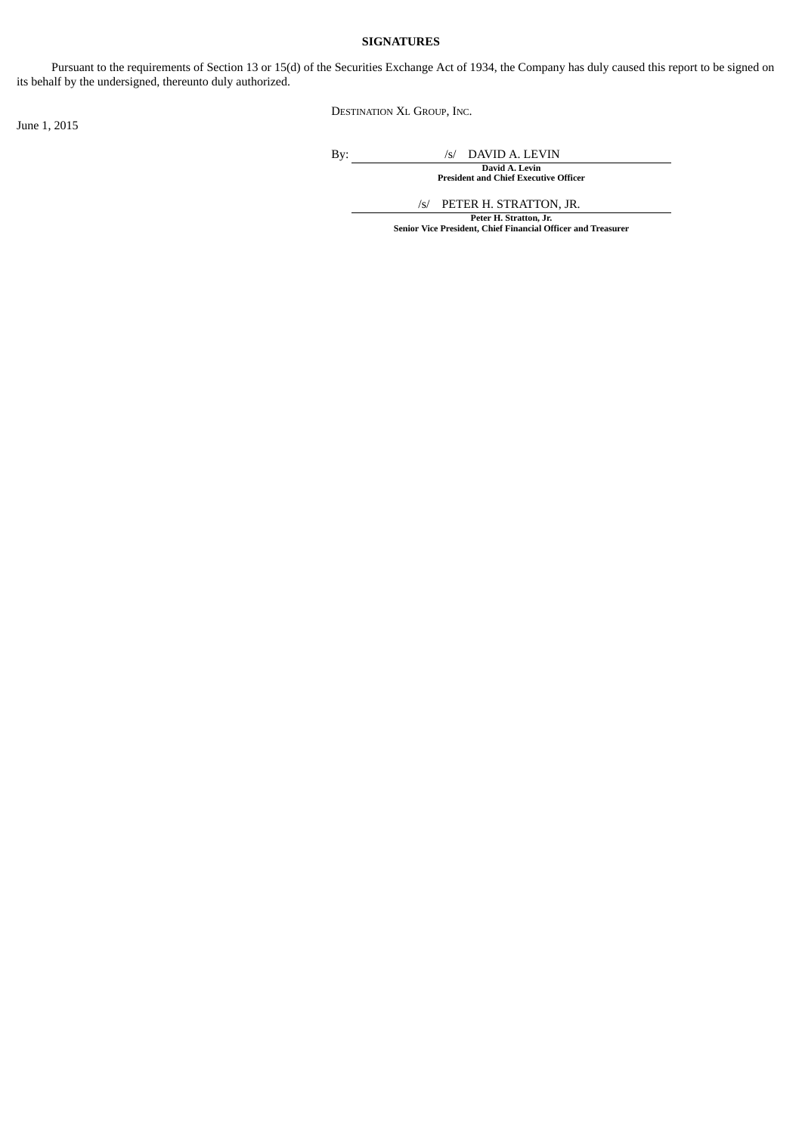## **SIGNATURES**

Pursuant to the requirements of Section 13 or 15(d) of the Securities Exchange Act of 1934, the Company has duly caused this report to be signed on its behalf by the undersigned, thereunto duly authorized.

DESTINATION XL GROUP, INC.

June 1, 2015

By: /s/ DAVID A. LEVIN

**David A. Levin President and Chief Executive Officer**

/s/ PETER H. STRATTON, JR. **Peter H. Stratton, Jr. Senior Vice President, Chief Financial Officer and Treasurer**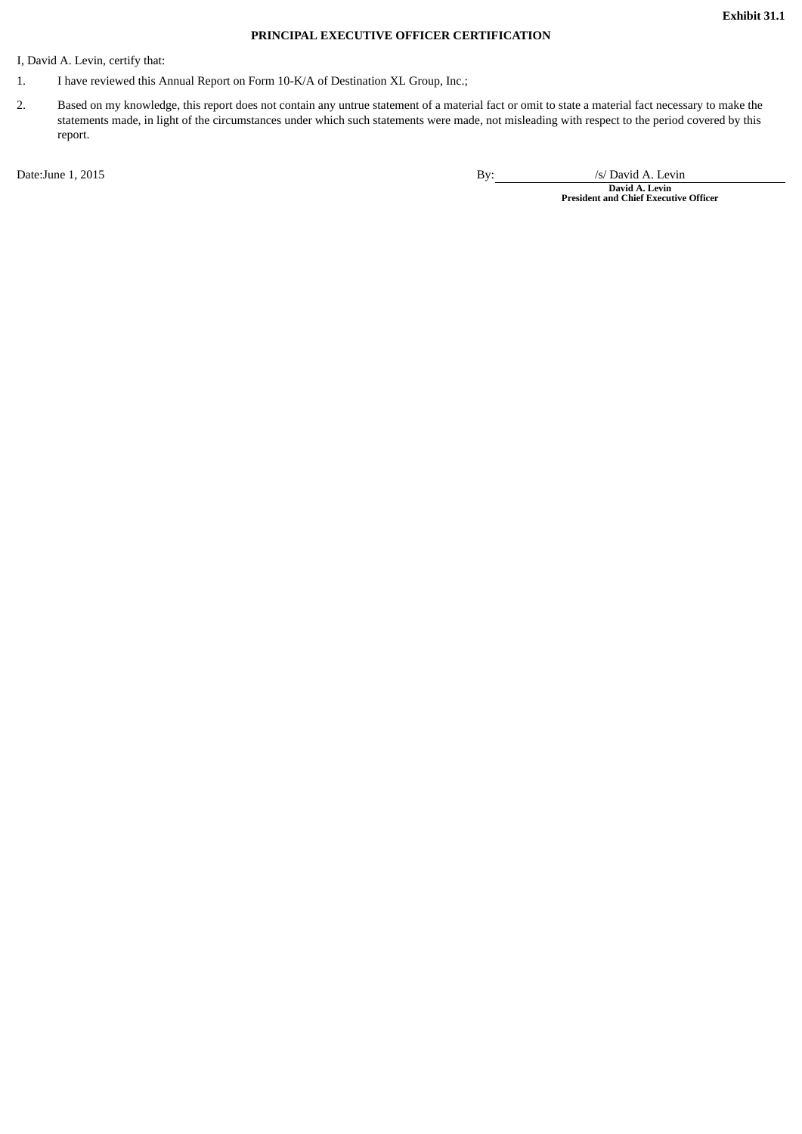## **PRINCIPAL EXECUTIVE OFFICER CERTIFICATION**

I, David A. Levin, certify that:

- 1. I have reviewed this Annual Report on Form 10-K/A of Destination XL Group, Inc.;
- 2. Based on my knowledge, this report does not contain any untrue statement of a material fact or omit to state a material fact necessary to make the statements made, in light of the circumstances under which such statements were made, not misleading with respect to the period covered by this report.

Date:June 1, 2015 **By:** /s/ David A. Levin by: /s/ David A. Levin

**David A. Levin President and Chief Executive Officer**